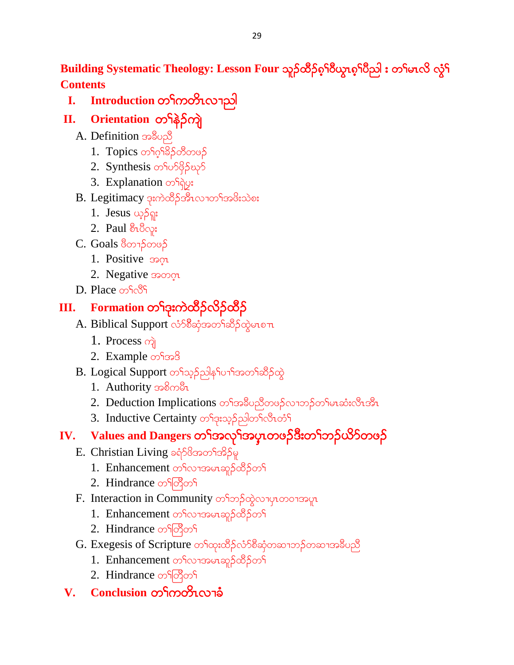Building Systematic Theology: Lesson Four သူဉ်ထိဉ်စ<sup>ှ</sup>ါပိယ္စာစ်<sup>1</sup>ပိည<sup>ါ</sup> း တ<sup>ှ</sup>မာလိ လွံ<sup>ငှ</sup> **Contents**

# **I. Introduction** တ<sup>ှ</sup>ကတိၤလၫညါ

- **II.** Orientation တ<sup>ှ</sup>န်ဉ်ကျဲ
	- A. Definition အနီပညီ
		- 1. Topics တ<sup>၎</sup>ဂ္ဂ<sup>၎ဌ</sup>ဉ်တီတဖဉ်
		- 2. Synthesis osos88205
		- 3. Explanation of go:
	- $B.$  Legitimacy ဒုးကဲထိဉ်အီၤလၢတ႑်အဖိုးသဲစး
		- 1. Jesus ယှဉ်ရူး
		- 2. Paul  $\delta_1\delta_{\text{Q}}$ :
	- $C.$  Goals  $\delta$ တ႑ $\delta$ တဖဉ်
		- 1. Positive  $\mathfrak{so}_{\mathfrak{A}}$
		- 2. Negative  $\infty$
	- D. Place *ග*ිල්

# **III.** Formation တ<sup>ှ</sup>င်းကဲထိဉ်လိဉ်ထိဉ်

- A. Biblical Support လံ႒စီဆုံအတ<sup>ှ</sup>ဆိ5်ထွဲမာစπ
	- 1. Process  $\omega$
	- 2. Example  $\infty$ f $\infty$ <sup>8</sup>
- B. Logical Support တ<sup>ှ</sup>သှဉ်ညါနှ<sup>င်ု</sup>ပၢ<sup>င်</sup>အတ<sup>ှ</sup>ဆိဉ်ထွဲ
	- 1. Authority solong
	- 2. Deduction Implications တ<sup>ှ</sup>အခ်ဳပညီတဖဉ်လၢဘဉ်တ<sup>ှ</sup>မာဆံးလီၤအီၤ
	- 3. Inductive Certainty တ<sup>၎</sup>ဒုးသွဉ်ညါတ<sup>၎</sup>လီၤတိ<sup>၎</sup>

# **IV.** Values and Dangers တ<sup>ရ</sup>အလှ<sup>ရ</sup>အပုၤတဖဉ်ဒီးတ<sup>ရ</sup>ဘဉ်ယိာ်တဖဉ်

- $E.$  Christian Living ခရံ $58$ အတ<sup>ှ</sup>အိဉ်မှု
	- 1. Enhancement တ<sup>ှ</sup>လာအမာဆုဉ်ထိဉ်တ<sup>ှ</sup>
	- 2. Hindrance တ<sup>ျ</sup>တိုတ<sup>ှ</sup>
- F. Interaction in Community တ<sup>ှ</sup>တဉ်ထွဲလျပုလာဝါအပူး
	- 1. Enhancement တ<sup>ှ</sup>လၢအမာဆူဉ်ထိဉ်တ<sup>ှ</sup>
	- 2. Hindrance on တြိတ်
- G. Exegesis of Scripture တ<sup>ှ</sup>ထုံးထိဉ်လံာ်စိဆုံတဆၢဘဉ်တဆၢအခ်ိပညီ
	- 1. Enhancement တ<sup>ှ</sup>လာအမာဆူဉ်ထိဉ်တ<sup>ှ</sup>
	- 2. Hindrance on တြိတ်
- $V.$  **Conclusion** တ<sup>ြ</sup>ကတိၤလျခံ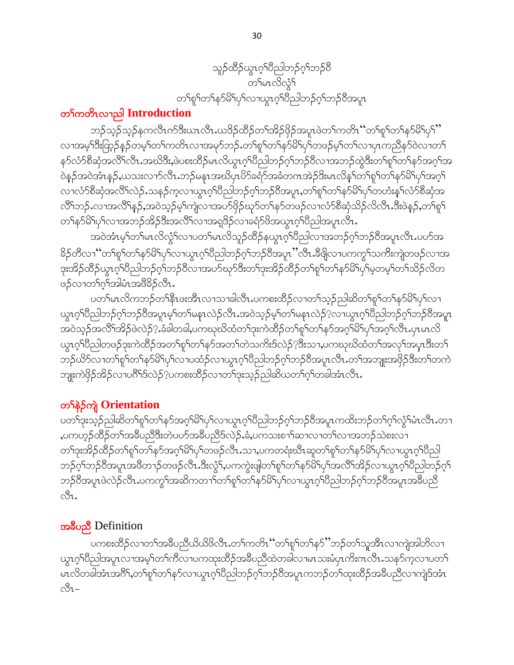

## တ<sup>ှ</sup>ကတိၤလၫည<sup>ါ</sup> Introduction

ဘဉ်သ့ဉ်သ့ဉ်နကလီၤက်ဒီးယၤလီၤႉယဒိဉ်ထိဉ်တၫ်အိဉ်ဖိုဉ်အပူၤဖဲတၫ်ကတိၤ ''တ႑်စူၫ်တ႑်နှာ်မိ႑်ပု႑ိ' လၢအမ့<sup>၎ဒွေး</sup>ထြွာ်နဉ်တမ့<sup>၎</sup>တ1်ကတိၤလၢအမုာ်ဘဉ်ႉတ<sup>၎</sup>စူ<sup>၎</sup>တ1်နာ်မိ<sup>႖</sup>ပှာ်တဖဉ်မ့<sup>၎</sup>တ1်လၢပှၤကညီနာ်ဝဲလၢတ႑် နှာ်လံာ်စီဆုံအလိ်ၤလိၤ.အဃိဒီး,ဖဲပစးထိဉ်မၤလိယ္ပၤဂ့ၤ်ပိညါဘဉ်ဂ့ၤ်ဘဉ်၀ိလၤအဘဉ်ထွဲဒီးတၤ်စူၤ်တၤ်နဉ်အဂ့ၤ်အ ဝဲနဉ်အဝဲအံၤန္ဉာ,ယသးလ႑ာလိၤႉဘဉ်မနၤအဃိပုၤပိာ်ခရံာ်အခံတဂၤအဲဉ်ဒိးမၤလိန္1တ႑်စူၫ်တ႑်နာမိ႑်ပု႑်အဂ္န႑ လၢလံာ်စီဆုံအလိံ<sup>ရ</sup>လဲဉ် သနဉ်က့လၢယွၤဂ့ါပီညါဘဉ်ဂ့ါဘဉ်ဝိအပူၤ,တၢ်စူါတၢ်နာ်မိါၦါတဟံးနၤ်လံာ်စီဆုံအ လိႝၫ်ဘဉ်ႉလၢအလိႝၤ်နှဉ်ႇအ၀ဲသ့ဉ်မ့ှၢ်ကျဲလၢအပာ်ဖိုဉ်ဃှာ်တ႑်နှာ်တဖဉ်လၤလံာ်စီဆုံသိဉ်လိလီၤ.ဒီးဖဲန္ဉာ်ႇတ႑်စူ႑် တၫ်နဉ်မိ1်ပု1်လၢအဘဉ်အိဉ်ဒီးအလိၤ်လၢအရှုဒိဉ်လၢခရံဉ်ဖိအယွၤဂ္ုပြညါအပူၤလီၤ.

အဝဲအံၤမ့္ပ်တ္ပါမၤလိလ္ပံုလ႑ပတ္ပါမၤလိသူဉ်ထိဉ်နယ္ဂၤဂ့္ပါ၀ိည္ပါလ႑အဘဉ်ဂ့္ပ်ဘဉ်၀ိအပူၤလီၤ.ပဟ်အ နိဉ်တီလၫ'ဴတၫ်စူၫ်တ႑်နှာ်မိ႑်ပု႑်လၫယ္လၤဂ့ၫ်ပီညါဘဉ်ဂ့႑်ဘဉ်ဝီအပူၤ''လီၤႉဒီဖျိလ႑ပကကွ႑်သက်ိဳးကျဲတဖဉ်လ႑အ ဒုးအိဉ်ထိဉ်ယွπဂ့ါပီညါဘဉ်ဂ့ါဘဉ်ဝီလၢအပာ်ဃှာ်ဒီးတ1်ဒုးအိဉ်ထိဉ်တ1်စူ1်တ1်နာ်မိ1်ပု1်မှတမ့ါတ1်သိဉ်လိတ ဖဉ်လၢတ႑်ဂုံအြပ္ပ္ပံုအဖြဲ႕ခဲ့ပြား

ပတ<sup>၎</sup>မၤလိကဘဉ်တ<sup>၎</sup>နိၤဖးအိၤလၢသၢခါလိၤႉပကစးထိဉ်လၢတ<sup>၎</sup>သ့ဉ်ညါဆိတၫ်စူၫ်တ႑်နဉ်မိ<sup>႖</sup>ပှ<sup>၎</sup>လၢ ယ္စၤဂ္ဒ္ကု၀ွည္ပါသဉ္၀ုံ႕သဉ္၀ွအပူးမ္ပါတ္႕ဇန္းတဲ့၃ု၀ပ္မႈအ၀ွဘ္နဲ႕ခ်ဳပ္မွာပါတ္ပါတီမွာပါသည္စပ္မွာသည္စပ္မွာပါသည္ က်သည အဝဲသ့ဉ်အလိ်<sup>ရ</sup>အိဉ်ဖဲလဲဉ်?.ခံခါတခါ,ပကဃုဃိထံတ<sup>ရ</sup>ဒုးကဲထိဉ်တ<sup>ရ</sup>ုရာတရနဉ်အဂ္ဂါမိ<sup>ရ</sup>ပှါအဂ္ဂါလီၤ.ပုၤမၤလိ ယွၤဂ္<sup>ရ</sup>ပိညါတဖဉ်ဒုးကဲထိဉ်အတ<sup>ရ</sup>စု<sup>ရ</sup>တ<sup>ရ</sup>နာ်အတ<sup>ရ</sup>တဲသက်ိးဒ်လဲဉ်<sup>ဂုဒ္မ်ိဳးသ႑ပကဃုဃိထံတ<sup>ရ</sup>အလှ<sup>ရ</sup>အပုၤဒီးတ<sup>ရ</sup></sup> ဘဉ်ယိ5်လၢတၫ်စူၫ်တ႑်နှ5်မိ႑်ပု႑်လၢပထံဉ်လၢယွၤဂ့ၫ်ပီညါဘဉ်ဂ့ၫ်ဘဉ်ဝိအပူၤလီၤႉတ႑်အဘျုးအဖိုဉ်ဒီးတ႑်တကဲ ဘျုးကဲဖိုဉ်အိဉ်လၢပဂိ်္ဂါဒ်လဲဉ်?ပကစးထိဉ်လၢတ႑်ဒုးသ့ဉ်ညါ့ဆိယတ႑်ဂ့၂်တခါအံၤလီၤ.

# တ<sup>ှ</sup>နဲ့ဉ်ကျဲ Orientation

ပတ<sup>၎</sup>ဒုးသ့ဉ်ညါဆိတ<sup>၎</sup>စူ<sup>၎</sup>တ႑်နဉ်အဂ္ဂါမိ<sup>၎</sup>ပှ<sup>၎</sup>လၫယွၤဂ့ါပီညါဘဉ်ဂ့ါဘဉ်ပီအပူၤကထိးဘဉ်တ႑်ဂ့ါလွံ<sup>႖</sup>မံၤလီၤ.တ႑ ,ပကဟ့ဉ်ထိဉ်တ<sup>၎</sup>အဓိပညိဒိီးတဲပပာ်အဓိပညိဒ်လဲဉ်.ခံ,ပကသးစၢ<sup>၎</sup>ဆၢလၢတ<sup>ှ</sup>လၢအဘဉ်သဲစးလၢ တၫ်ဒုးအိဉ်ထိဉ်တၫ်စူၫ်တ႑်နဉ်အဂ္ဂါမိ႑်ပှါတဖဉ်လီၤ.သ႑,ပကတရံးဃီၤဆူတ႑်စူၫ်တ႑်နဉ်မိ႑်ပှါလ႑ယွၤဂ္ဂါပီညါ ဘဉ်ဂ့ၢ်ဘဉ်၀ိအပူၤအဖိတ႑ာ်တဖဉ်လီၤ.ဒီးလွံၤ်,ပကကွဲးဖျါတၢ်စူၤ်တၤ်နဉ်မိၤ်ပှၤ်အလိၤ်အိဉ်လၤယွၤဂ့ၢ်ပိညါဘဉ်ဂ့ၤ် ဘဉ်ဝိအပူၤဖဲလဲဉ်လီၤ.ပကကွ်္ဂါအဆိကတ႑)်တ႑်စှဉ်တ႑်နှာမိြပုှလ႑ယွၤဂ့္ဂါပီညါဘဉ်ဂ့်္ဂါဘဉ်ဝိအပူၤအခ်ီပညီ ್ಲಿ.

# အခ်ဳပညီ Definition

ပကစးထိဉ်လၢတၫ်အခ်ဳပညီယိယိဖိလီၤ.တ႑်ကတိၤ ''တ႑်စူၫ်တ႑်နှာ်''ဘဉ်တ႑်သူအီၤလၢကျဲအါဘိလ႑ ယွၤဂ့ၫ်ပီညါအပူၤလၢအမ့္ပ်ာတ႑်ကီလၤပကထုးထိဉ်အခ်ဳပညီထဲတခါလၤမၤသးမံပုၤက်းကလီၤႉသနဉ်ကုလၤပတ႑် မၤလိတခါအံၤအဂ်ိ1,တ႑်စူ႑်တ႑်နှာ်လၢယွၤဂ္ဂၢိပိညါဘဉ်ဂုၤ်ဘဉ်ဝိအပူၤကဘဉ်တ႑်ထုးထိဉ်အခ်ဳပညီလၢကျဲဒ်အံၤ  $\circ\theta$  $1-$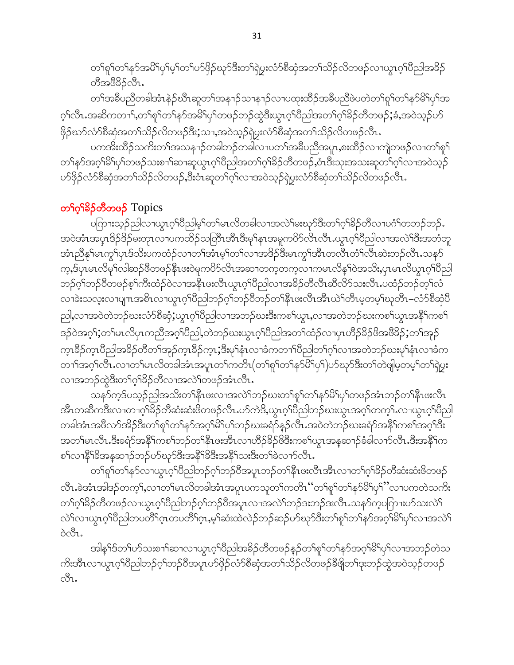တၫ်စူၫ်တ႑်နှာ်အမိ1်ပှ1်မ့႞တ႑်ပာ်ဖှိဉ်ဃုာ်ဒီးတ႑်ရဲပွးလံာ်စီဆုံအတ႑်သိဉ်လိတဖဉ်လ႑ယွၤဂ့ၤ်ပီညါအမိဉ် တီအဲဖီနွိုင်ပြီး

တၫ်အခ်ဳပညီတခါအံၤနဲ့ဉ်ဃိၤဆူတၫ်အနၫဉ်သၢန႑ဉ်လၢပထုးထိဉ်အခ်ဳပညီဖဲပတဲတၫ်စူၫ်တၫ်နဉ်မိ႑်ပှၫ်အ ဂ့<sup>၎</sup>လီၤႉအဆိကတၫၫ်ႇတၫ်စူၫ်တၫ်န>်အမိ<sup>ု</sup>ပှၫ်တဖဉ်ဘဉ်ထွဲဒီးယွၤဂ့ၫ်ပိညါအတၫ်ဂ့<sup>၎ဌ</sup>ဉ်တီတဖဉ်;ခံႇအဝဲသ့ဉ်ပာ် ဖြဉ်ဃာ်လံာ်စိဆုံအတ႑်သိဉ်လိတဖဉ်ဒီး;သၢ,အဝဲသ့ဉ်ရဲပွးလံာ်စိဆုံအတ႑်သိဉ်လိတဖဉ်လီၤ.

ပကအိုးထိဉ်သကိုးတၫ်အသန႑ာ်တခါဘဉ်တခါလ ပတ႑်အခ်ဳပညီအပူး,စးထိဉ်လ ကျဲတဖဉ်လ ၊တ႑်စူ႑် တၫ်နာ်အဂ္ဂါမိါပုါတဖဉ်သးစၫါဆၢဆူယွၤဂ့ါပိညါအတၢ်ဂ့ါခိဉ်တိတဖဉ်,ဝံၤဒီးသုးအသးဆူတၢ်ဂ့ါလၢအဝဲသ့ဉ် ဟ်ဖိုဉ်လံာ်စီဆုံအတ႑်သိဉ်လိတဖဉ်,ဒီးဝံၤဆူတ႑်ဂ့ၤ်လၢအဝဲသ့ဉ်ရဲပွးလံာ်စီဆုံတ႑်သိဉ်လိတဖဉ်လီၤ.

# တ**်**ဂုံးခြိန်တီတဖန် Topics

ပကြားသ့ဉ်ညါလၫယွၤဂ့ါပီညါမ့ါတါမၤလိတခါလၢအလဲဲါမးဃုာ်ဒီးတ႑်ဂ့ါခိဉ်တိလ႑ပဂံါတဘဉ်ဘဉ်… အဝဲအံၤအပ္န္၊ဒိဉ်ဒိဉ်မးတုၤလ႑ပကထိဉ်သတြိၤအိၤဒီးမု)နၤအမူကပိဉ်လိၤလိၤ.ယ္ဂၤဂ့)်ပိညါလ႑အလဲ၂ဒီးအဘံဘူ အံၤညီနှၤ်မၤကွၤ်ပုၤဒ်သိးပကထံဉ်လၢတၤ်အံၤမ့ၤ်တၤ်လၢအဒိဉ်ဒီးမၤကွၤ်အီၤတလီၤတံၤ်လီၤဆဲးဘဉ်လီၤ သနဉ် က္မႇဒ်ပုၤမၤလိမှၫ်လါဆဉ်ဖီတဖဉ်နီၤဖးဝဲမှုကပိ႒်လိၤအဆၢတက္ခတက္ခလၢကမၤလိန္ ၢ်ဝဲအသိးႇပုၤမၤလိယ္ဂၤဂ့ၫ်ပီညါ ဘဉ်ဂ့ၢ်ဘဉ်၀ီတဖဉ်စ့ၢ်ကီးထံဉ်၀ဲလၢအနိၤဖးလီၤယွၤဂ့ၢ်ပိညါလၢအခိဉ်တီလီၤဆီလိ5သးလီၤ.ပထံဉ်ဘဉ်တ့ၢ်လံ လၢခဲးသလူးလၢပျπအစိၤလၢယ္ပၤဂ့ၫ်ပီညါဘဉ်ဂ့ၫ်ဘဉ်ပီဘဉ်တ႑်နီၤဖးလီၤအီၤယဲ႑်တီၤမ့တမ့ၤ်ဃုတိၤ–လံာ်စီဆုံပီ ညါ,လၫအဝဲတဲဘဉ်ဃးလံာ်စိဆုံ;ယွၤဂ့ၢိပိညါလၫအဘဉ်ဃးဒီးကစၢ်ယွၤ,လၫအတဲဘဉ်ဃးကစၢ်ယွၤအနိ<sup>ရ</sup>ကစၢ် ဒဉ်ဝဲအဂ္ဂါ;တါမၤလိပုၤကညီအဂ္ဂါပီညါ,တဲဘဉ်ဃးယွၤဂ့ါပီညါအတါထံဉ်လၢပုၤဟိဉ်<sup>8ွ</sup>ဉ်ဖိအ<sup>ဖွဲ့</sup>8ွဉ်;တါအှဉ် က္၊ဒီဉ်က္၊ပီညါအခိဉ်တိတၫ်အုဉ်က္၊ဒီဉ်က္၊;ဒီးမုၢိနံၤလၢခံကတ႑)ပိညါတ႑်ဂ့ၫ်လၢအတဲဘဉ်ဃးမုၢိနံၤလၢခံက တၫ်ာအဂ္ဂါလီၤႉလ႑တ႑်မၤလိတခါအံၤအပူၤတ႑်ကတိၤ $($ တ႑်စူဉ်တ႑်နှာ်မြိဳ႕ပှဉ်)ဟာ်ဃုာဒြီးတ႑်တဲဖျါမ့တမ့်ာတ႑်ရဲပွား လၢအဘဉ်ထွဲဒီးတၫ်ဂ့ၫ်ခိဉ်တိလၢအလဲၤ်တဖဉ်အံၤလီၤ.

သန>်က့ဒ်ပသ့ဉ်ညါအသိးတၫ်နီၤဖးလၢအလဲႝာဘုံဃးတၫ်စူၫ်တၫ်န>်မိ႑်ပုၫ်တဖဉ်အံၤဘဉ်တ႑်နီၤဖးလီၤ အီၤတဆီကဒီးလၫတၫဂ့<sup>၎ဌ</sup>ဉ်တီဆံးဆံးဖိတဖဉ်လီၤႉပာ်ကဲဒိႇယ္လၤဂ့<sup>၎</sup>ပီညါဘဉ်ဃးယွၤအဂ့ၢ်တက့ၢ်ႉလၫယွၤဂ့ၢ်ပီညါ တခါအံၤအဖိလာ်အိဉ်ဒီးတ႑်စူ႑်တ႑်နှာ်အဂ္ဂါမိ႑်ပု႑်ဘဉ်ဃးခရံာ်နှဉ်လိၤ.အဝဲတဲဘဉ်ဃးခရံာ်အနိ<sup>၎</sup>ကစ႑်အဂ္ဂါဒီး အတ႑်မၤလီၤ.ဒီးခရံှာ်အနိ<sup>5</sup>ကစဉ်ဘဉ်တ႑်နီၤဖးအီၤလၢဟိဉ်<sup>8</sup>ဉ်ဖိဒီးကစ႑်ယွၤအန္**ဆၫဉ်ခံခါလ**ၢာ်လီၤ.ဒီးအနိ<sup>5</sup>ုက စၢိလၢနိ<sup>႖႙ၟ</sup>အန္**ဆၫၟာ႒ပာဴဃှာဒိႏအနိ<sup>႖႙ၟ</sup>ဒိႏအနိ႑သးဒိႏတ႑**ခဲလၢာလီၤ

တ<sup>ျ</sup>စု<sup>ရ</sup>တ<sup>ရ</sup>နာ်လၫယ္ပၤဂ့<sup>ရ</sup>ပီညါဘဉ်ဂ့<sup>ရ</sup>ဘဉ်၀ိအပူၤဘဉ်တ<sup>ရန္</sup>ၤဖးလီၤအီၤလၢတၫ်ဂ့<sup>ရ</sup>ခိဉ်တိဆံးဆံးဖိတဖဉ် လီၤ.ခဲအံၤအါဒဉ်တက့်1,လၢတၤ်မၤလိတခါအံၤအပူၤပကသူတၤ်ကတိၤ ''တၢိစူၫ်တၫ်နှာ်မိ႑်ပှ<sup>1</sup>'လၢပကတဲသကိႏ တၫ်ဂ္ဂ<sup>႖႙</sup>ၣတိတဖဉ်လၫယ္ပၤဂ့ၫိပညါဘဉ်ဂ့ၫ်ဘဉ်ပိအပူၤလၢအလဲၫ်ဘဉ်ဒးဘဉ်ဒးလိၤႉသနၥ်က္၀ကြားဟ်သးလဲ႑် လဲြလၢယ္လၤဂ့္ပ်က္လြဲတပတ္ပဲြပဲ၊ လဂတ္လုပံု၊ 'ဂုံဗုဒ္ဓားထဲတဲ့၃သဉ်ဆဉ်ကုနာပွည့္ပံေပမဲ့ပြဲသုတ္ပါဒ္ပါကုမားသက္ပဲ႕  $\delta$ o $\delta$ l.

အါန1်ဒ်တ1်ပာ်သးစ႑ါဆ႑လ႑ယွၤဂုၢိပိညါအခိဉ်တိတဖဉ်နှဉ်တ႑်စူၫ်တ႑်နာ်အဂ္ဂါမိ႑်ပု႑်လ႑အဘဉ်တဲသ ကိုးအီၤလၢယ္ပၤဂ္ဂါ၀ိညါဘဉ်ဂ္ဂါဘဉ်၀ိအပူၤပာ်ဖိုဉ်လံာ်စီဆုံအတ႑်သိဉ်လိတဖဉ်ခ်ီဖျိတ႑်ဒုးဘဉ်ထွဲအ၀ဲသူဉ်တဖဉ်  $\mathcal{S}_1$ .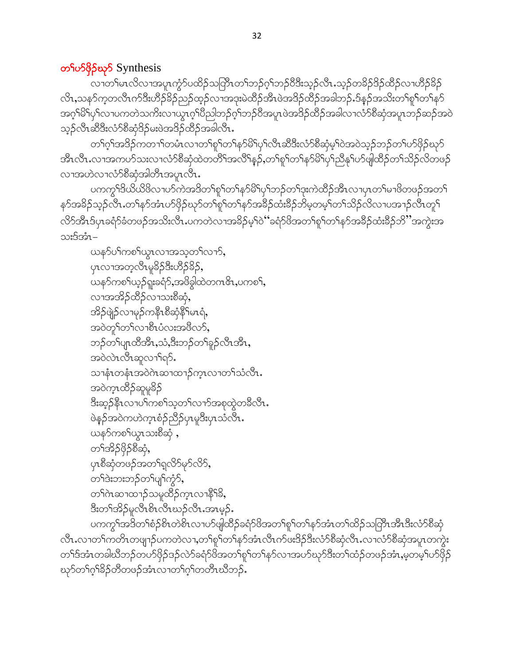### တ<sup>ှ</sup>ပာ Synthesis

လၢတၫ်မၤလိလၢအပူၤကွံာ်ပထိဉ်သတြီၤတၫ်ဘဉ်ဂ့ၢ်ဘဉ်ဝီဒီးသ့ဉ်လီၤ.သ့ဉ်တခိဉ်ဒိဉ်ထိဉ်လၢဟိဉ်ခိဉ် လိၤႇသနၥ်က့တလိၤက်ဒီးဟိဉ်မိဉ်ညဉ်ထ့ဉ်လၢအဒုးမဲထိဉ်အီၤဖဲအဒိဉ်ထိဉ်အခါဘဉ်ႉဒ်နဉ်အသိးတ<sup>ရ</sup>စုၫ်တၫ်နှာ် အဂ္ဂါမိါပုါလၢပကတဲသကိႏလၢယ္ပၤဂ့ါပိညါဘဉ်ဂ့ါဘဉ်၀ိအပူၤဖဲအဒိဉ်ထိဉ်အခါလၢလံာ်စီဆုံအပူၤဘဉ်ဆဉ်အဝဲ သုဉ်လီၤဆီဒီးလံာ်စီဆုံဒိဉ်မးဖဲအဒိဉ်ထိဉ်အခါလီၤ.

တၫ်ဂ့ၫ်အဒိဉ်ကတ႑ၢ်တမံၤလၢတ႑်စူၫ်တ႑်နှာမိ႑်ပှ႑်လီၤဆီဒီးလံာ်စီဆုံမ့႑်ဝဲအဝဲသ့ဉ်ဘဉ်တ႑်ပာဖိုဉ်ဃုာ် အီၤလီၤႉလၢအကဟ်သးလၢလံာ်စိဆုံထဲတတိ်ိုအလိ်နှဉ်ႇတၢ်စူၫ်တၫနာ်မိၫ်ပှၫ်ညီနုၤ်ပာဖျ်ထိဉ်တ႑သိဉ်လိတဖဉ် လၫအဟဲလၫလံ႒်စိဆုံအါတိၤအပူၤလိၤ.

ပကက္ဂ<sup>ရ</sup>ဒိယိယိ<sup>8</sup>လၫၯ်ကဲအဒိတ<sup>ရ</sup>စု႞တ႑်နှာ်မိ<sup>ရ</sup>ပု<sup>ရ</sup>ဘဉ်တ႑်ဒုးကဲထိဉ်အီၤလၢပုၤတ႑်မၫ<sup>8</sup>တဖဉ်အတ႑် နာ်အခိဉ်သုဉ်လီၤႉတၢ်နာ်အံၤပာ်ဖှိဉ်ဃုာ်တၢ်စူ်၊တၢ်နာ်အခိဉ်ထံးခိဉ်ဘိမ္မတမ့်၊တၢ်သိဉ်လိလၢပအၢဉ်လီၤတူ၊် လိ5်အီၤဒ်ပုၤခရံ5ံခံတဖဉ်အသိးလီၤႉပကတဲလၢအခိဉ်မှ<sup>၎</sup>ဝဲမ်ဴခရံ5်ဖိအတ<sup>ျ</sup>စူ<sup>၎</sup>တၫ်နဉ်အခိဉ်ထံးခိဉ်ဘိ"အကွဲးအ သးဒ်အံၤ–

ယနဉ်ပါကစါယွာလာအသ့တါလာဉ်, ပုၤလၢအတဲ့လွိၤမူခွဲဥဒ္မ်ိဳးကွဲဥခွဥ့ဲ ယန>်ကစ<ယာ့ဉ်ရူးခရံာ်,အဖိခွါထဲတဂၤဇိၤ,ပကစ<sup>၎</sup>, လၫအအိဉ်ထိဉ်လ႑သးစီဆုံ, အိဉ်ဖျဲ့ဉ်လၢမုဉ်ကနီၤစီဆုံနိ<sup>၎</sup>မၤရံ**,** အဝဲတူ်တ႑်လၫစီၤပံလးအဖိလာ်, ဘဉ်တၫ်ပျာထိအိၤႇသံႇဒိးဘဉ်တ႑်ခူဉ်လီၤအိၤႇ အဝဲလဲၤလီၤဆူလၫ်ရာ်. သၢနံၤတနံၤအဝဲဂဲၤဆၢထၢဉ်က္ၤလၢတၫ်သံလီၤ. အဝဲက္���ာဆူမုခ်ိ ဒီးဆွဉ်နီၤလၢပါကစါသ့တါလၢာ်အစုတွဲတခ်ီလီၤ. ဖဲနဉ်အဝဲကဟဲက္ၤစံဉ်ညိဳဉ်ပုၤမူဒီးပုၤသံလီၤႉ ယနၥ်ကစ<်ယွာသးစီဆုံ , တ႑်အိဉ်ဖိုဉ်စီဆုံ, ပုၤစီဆုံတဖဉ်အတ႑်ရှလိ9်မှ9်လိ9်, တ်ဒါးဘးဘဉ်တ႑်ပျာ်ကွဲ၁်, တၫ်ဂဲၤဆၢထၢဉ်သမှုထိဉ်က္cလၢနိ<sup>၎၌</sup>, ဒီးတၫ်အိဉ်မူလီၤစိၤလီၤဃဉ်လီၤ.အၤမ့ဉ်.

ပကကွ<sup>ရ</sup>အဒိတ<sup>ရ</sup>စံဉ်စိၤတဲစိၤလၢပာ်ဖျထိဉ်ခရံာ်ဖိအတ<sup>ရ</sup>ရုဂ်တရနာ်အံၤတၢ်ထိဉ်သတြီၤအီၤဒီးလံာ်စီဆုံ လီၤႉလၢတၫ်ကတိၤတဖျၫဉ်ပကတဲလၢႇတၫ်စူၫ်တၫ်နဉ်အံၤလီၤက်ဖးဒိဉ်ဒီးလံာ်စီဆုံလီၤႉလၢလံာ်စီဆုံအပူၤတကွဲး တၫ်ဒ်အံၤတခါဃီဘဉ်တပာ်ဖိုဉ်ဒဉ်လဲာ်ခရံာ်ဖိအတ႑်စူၫ်တ႑်နှာ်လၢအပာ်ဃှာ်ဒီးတ႑်ထံဉ်တဖဉ်အံၤႇမ့တမ့္ပ်ယာ်ဖိုဉ် ၰာ်တ႑်ဂ္ဂါခိဉ်တီတဖဉ်အံၤလၢတ႑်ဂ္ဂါတတိၤဃီဘဉ်.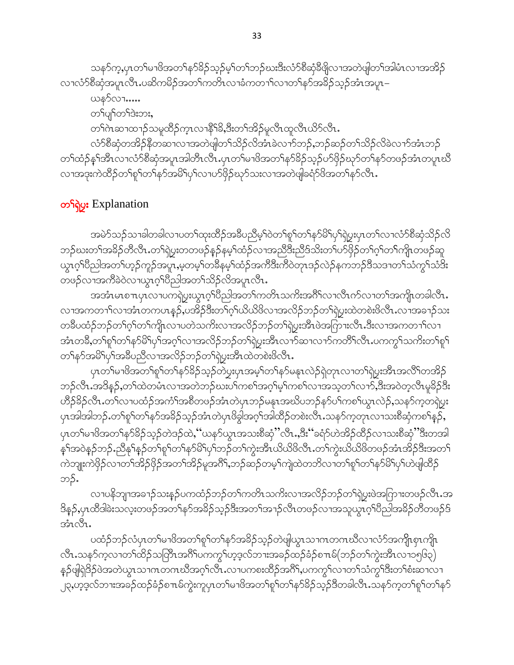သန>်က့ႇပုၤတၫ်မၢၓိအတၫ်နာ်ခိဉ်သ့ဉ်မ့ၢ်တ႑်ဘဉ်ဃးဒီးလံာ်စီဆုံခီဖျိလၢအတဲဖျါတ႑်အါမံၤလၢအအိဉ် လၢလံာ်စီဆုံအပူၤလီၤ.ပဆိကမိဉ်အတ႑်ကတိၤလၢခံကတ႑ာ်လၢတ႑်နာ်အခိဉ်သူဉ်အံၤအပူၤ– ယန>်လၢ…… တ႑်ပျာ်တာ်ဒဲးဘး, တၫ်ကဲဆၢထၫဉ်သမှုထိဉ်ကူၤလၫနိ႖်နိ,ဒီးတ႑်အိဉ်မှုလီၤထူလီၤယိဉ်လီၤ. လံာ်စီဆုံတအိဉ်နိတဆၢလၢအတဲဖျါတၫ်သိဉ်လိအံၤခဲလၢာ်ဘဉ်ႇဘဉ်ဆဉ်တၫ်သိဉ်လိခဲလၢာ်အံၤဘဉ် တၫ်ထံဉ်နှၤ်အီၤလၤလံဉ်စိဆုံအပူၤအါတီၤလိၤႉပုၤတၤ်မၢဖိအတၤ်နဉ်နိဉ်သည်ပဉ်ဖိုဉ်ဃှာ်တၤ်နဉ်တဖဉ်အံၤတပူၤဃိ လၫအဒုးကဲထိဉ်တ႑်စှ႑်တ႑်နှာ်အမိ႑်ပု႑်လ႑ဟာ်ဖိုဉ်ဃှာ်သးလ႑အတဲဖျံခရံှာ်ဖိအတ႑်နှာ်လီၤ.

# တ<sup>၎</sup>ရဲပွး Explanation

အမဲာ်သဉ်သၢခါတခါလၢပတၫ်ထုးထိဉ်အခ်ိပညိမ့ၫ်ဝဲတၫ်စူၫ်တ႑်နာ်မိၢိပှၫ်ရဲပွးပှၤတ႑်လၢလံာ်စိဆုံသိဉ်လိ ဘဉ်ဃးတ<sup>၎</sup>အမိဉ်တီလီၤ.တ<sup>၎</sup>ရဲပွးတတဖဉ်နဉ်နမ့<sup>၎</sup>ထံဉ်လၫအညီဒီးညီဒ်သိးတ<sup>၎်ပဉ်ဖို</sup>ဉ်တ႑်ဂ့<sup>၎</sup>တ႑်ကျုံတဖဉ်ဆူ ယွၤဂ္<sup>ရ</sup>ပိညါအတ<sup>ရ</sup>ဟ္ဥာ်ကူဉ်အပူၤႇမ့တမ့<sup>ရ</sup>တခ်ိနမ့်ရထံဥ်အကီဒီးက်ိဳဝဲတုၤဒဉ်လဲဥ်နကဘဉ်ဒိသဒၢတၫ်သံကွ<sup>ရ်</sup>သံဒီး တဖဉ်လၢအက်ိဳခဲဝဲလၢယွၤဂ့ါပီညါအတ႑်သိဉ်လိအပူၤလီၤ.

အအံၤမၤစ႑ာပုၤလ႑ပကၡဲပူးယွၤဂ့ါပိညါအတ႑်ကတိၤသကိႏအဂိၤ်လ႑လိၤက်လ႑တ႑်အကျိုၤတခါလိၤ. လၢအကတၫါလၢအႆၤတကပၤန္၄ႇဳပအိုၣ်ဒီးတၢိဂ့႞ယိယိဖိလၢအလိဉ်ဘဉ်တၢိရဲုပွးထဲတစဲးဖိလီၤႉလၢအခၫဉ်သး တခ်ဳပထံဉ်ဘဉ်တၫ်ဂ့ၫ်တၫ်ကျိုလ႑ပတဲသက်ိးလ႑အလိဉ်ဘဉ်တ႑်ရဲပွးအီၤဖဲအကြားလီၤ.ဒီးလ႑အကတ႑ၫ်လ႑ အံၤတခ်ိဳ,တ႑်စူ႑်တ႑်နှာ်မိြပု႑်အဂ္ဂါလ႑အလိဉ်ဘဉ်တ႑်ရဲပွးအီၤလ႑ာ်ဆ႑လ႑ာ်ကတိႝၤလီး ပကက္ဂါသက်ိဳးတ႑်စူ႑် တ႑်နဉ်အမိ1ပု1်အခ်ဳပညီလ အာလိဉ်ဘဉ်တ႑်ရဲပွးအီၤထဲတစဲးဖိလီၤ.

ပုၤတၫ်မၢဖိအတ႑်စူၫ်တ႑်နှာ်ခိဉ်သူဉ်တဲပွးပုၤအမှ႑်တ႑်နှာ်မနုၤလဲဉ်ရဲတုၤလၢတ႑်ရဲပွးအိၤအလိၤ်တအိဉ် ဘဉ်လီၤ.အဒိနဉ်,တၫ်ထဲတမံၤလၢအတဲဘဉ်ဃးပါကစါအဂ္ဂါမ့ါကစါလၢအသ့တ႑်လၫာ်,ဒီးအဝဲတဲ့လီၤမူခိဉ်ဒီး ဟိႆဉ်နိဉ်လီၤ.တၫ်လၢပထံဉ်အကံၤ်အစိတဖဉ်အံၤတဲပုၤဘဉ်မနၤအဃိပဘဉ်နဉ်ပၤ်ကစၤ်ယွၤလဲဉ်,သနဉ်က့တရဲပွး ပှၤအါအါဘဉ်ႉတၫ်စူၫ်တၫ်နှာ်အခိဉ်သွဉ်အံၤတဲပှၤဖိခွါအဂ့ၢ်အါထိဉ်တစဲးလိၤႉသနဉ်ကတုၤလၢသးစိဆုံကစၫ်နှဉ်**,** ပုၤတၫ်မၢဖိအတ႑်နဉ်ိနိဉ်သူဉ်တဲဒဉ်ထဲ,''ယနဉ်ယွၤအသးစိဆုံ''လီၤ…ဒီး''ခရံဉ်ဟဲအိဉ်ထိဉ်လ႑သးစိဆုံ''ဒီးတအါ နှၤ်အဝဲနဉ်ဘဉ်ႉညီနုၤ်နှဉ်တၤ်စူၤ်တၤ်နှာ်မိၤ်ပှၤ်ဘဉ်တၤ်ကွဲးအီၤယိယိဖိလီၤႉတၤ်ကွဲးယိယိဖိတဖဉ်အံၤအိဉ်ဒီးအတၤ် ကဲဘျုးကဲဖှိဉ်လၢတၫ်အိဉ်ဖှိဉ်အတၫ်အိဉ်မူအဂိါႇဘဉ်ဆဉ်တမ့ၢ်ကျဲထဲတဘိလၢတၫ်စူၫ်တ႑်နှာ်မိ႑်ပှၤ်ပဲဖျါထိဉ် ဘဉ်.

လၢပနိဘျာအခၫဉ်သးနဉ်ပကထံဉ်ဘဉ်တၫ်ကတိၤသကိႏလၢအလိဉ်ဘဉ်တၫ်ရဲပွးဖဲအကြားတဖဉ်လီၤ.အ ဒိန္5,ပှၤထိဒါခဲးသလူးတဖဉ်အတၫ်နဉ်အခိဉ်သွဉ်ဒီးအတၫ်အၫဉ်လိၤတဖဉ်လၢအသူယွπဂ္ဂါပီညါအခိဉ်တိတဖဉ်ဒ် အံၤလီၤ.

ပထံဉ်ဘဉ်လံပှၤတၫ်မၢၓိအတၫ်စူၫ်တ႑်နှာ်အခိဉ်သှဉ်တဲဖျါယွၤသၢကတကဃီလၢလံာ်အကျိၤစှၤကျိၤ လီၤႉသန5်က့လၢတၫ်ထိဉ်သတြိၤအဂ်ိါပကကွှၤ်ဟ့ဒ့လ်ဘၢးအခဉ်ထဉ်ခံဉ်စ႑ာမ်(ဘဉ်တၤ်ကွဲးအီၤလၢ၁၅၆၃) နှဉ်ဖျံရဲဒိဉ်ဖဲအတဲယွၤသၢဂၤတဂၤဃီအဂ့ၢ်လီၤ.လၢပကစးထိဉ်အဂိ်ၤ,ပကကွၢ်လၢတၤ်သံကွၢ်ဒီးတၢ်စံးဆၢလၢ ၂၃,ဟ့ဒ့လ်ဘၫးအခဉ်ထဉ်ခံဉ်စπမ်ကွဲးကူပှၤတၤ်မၢဖိအတၤ်စူၤ်တၤ်နာ်ခိဉ်သှဉ်ဒီတခါလီၤႉသနာ်က့တၤ်စူၤ်တၤ်နာ်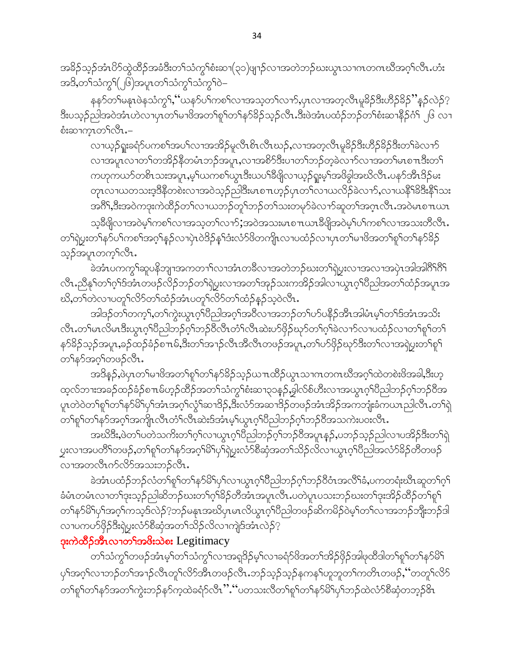အခိဉ်သှဉ်အံၤ $8$ ာ်ထွဲထိဉ်အခံဒီးတ႑်သံကွ႑်စံးဆ႑(၃၁)ဖျာဉ်လၢအတဲဘဉ်ဃးယွၤသၢဂၤတဂၤဃိအဂ္ဂါလီၤ.ဟံး အဒိ,တ႑်သံက္ဂ<sup>၎</sup>(၂၆)အပူၤတ႑်သံက္ဂ<sup>၎</sup>သံကွ<sup>၎</sup>ဲ–

နနဉ်တ႑်မနုၤဖဲနသံကွ႑်, 'ယနဉ်ပ႑်ကစ႑်လၢအသုတ႑်လၢာ်,ပုၤလၢအတဲ့လိၤမူခိဉ်ဒီးဟိဉ်ခိဉ်''နဉ်လဲဉ်? ဒီးပသ့ဉ်ညါအဝဲအံၤဟဲလၢပှၤတ<sup>ြ</sup>မၢဖိအတ<sup>ှ</sup>ရုণ်တ<sup>ှ</sup>န>်ခိဉ်သ့ဉ်လီၤ.ဒီးဖဲအံၤပထံဉ်ဘဉ်တn်စံးဆ<sup>ု</sup>နဉ်ဂံ<sup>ြ</sup>၂၆ လၢ စံးဆၫက္ၤတ႑်လီၤ.-

လၢယ့ဉ်ရူးခရံဉ်ပကစၫ်အပ႑်လၢအအိဉ်မူလီၤစိၤလီၤဃဉ်,လၢအတဲ့လီၤမူခိဉ်ဒီးဟိဉ်ခိဉ်ဒီးတ႑်ခဲလၢာ် လၢအပူၤလၢတၫ်တအိဉ်နီတမံၤဘဉ်အပူၤ,လၢအစိာ်ဒီးပၢတၫ်ဘဉ်တဲ့ခဲလၢာ်လၢအတ႑်မၤစ႑ၤဒီးတ႑် ကဟုကယာ်တစိၤသးအပူၤ,မ့္ပ်ယကစ႑်ယ္ဂၤဒီးယပ႑်ခ်ိဖြိုလ႑ယ္ဝဲရူးမ့္ပ်အဖိခွါအဃိလီၤ.ပနၥ်အီၤဒိဉ်မႈ တုၤလၢယတသးဒ့ဒိနိတစဲးလၢအဝဲသုဉ်ညါဒိီးမၤစ႑ာဟုဉ်ပုၤတ႑်လၢယလိဉ်ခဲလၢာ်,လၢယနိ<sup>၎႙ွဒ္</sup>နိ<sup>႖</sup>သး အင်္ဂါ,ဒီးအဝဲကဒုးကဲထိဉ်တၫ်လၫယဘဉ်တု႞ဘဉ်တ႑်သးတမုာ်ခဲလ႑ာ်ဆူတ႑်အဂ္ဂၤလီၤ.အဝဲမၤစ႑ာယာ

သံခွတ္ပါတာအဝွက်ယော့များသည္ သမ္မတည္မ်ားအားအသားမ်ားစာ ကားခွတ္ပါတယ္မ်ားတယ္မ်ားထားသူမွာ ထု တၫ်ရဲပွးတၫ်န**ာ်**ပါကစၢ်အဂ္ဂါနဉ်လၫပှဲၤဝဲဒိဉ်နှၤ်ဒံးလံာ်ဖိတကျိၤလၢပထံဉ်လၫပှၤတၢ်မၢဖိအတ႑်စူၫ်တ႑်နာ်ခိဉ် သ့ဉ်အပူၤတက္Sလိၤ.

-<br>ခဲအံၤပကကွ<sup>၎</sup>ဆူပနိဘျာအကတၫ်လၢအံၤတခ်ိလၢအတဲဘဉ်ဃးတၫ်ရဲပွးလၢအလၢအပှဲၤအါအါဂိ<sup>ု</sup>ဂို .<br>လီၤ.ညီန<sup>ှ</sup>ုတ်ဂ်င်္ဂဒ်အံၤတဖဉ်လိဉ်ဘဉ်တ<sup>ှ</sup>ရဲ့ပွးလၢအတ<sup>ှ</sup>အှဉ်သးကအိဉ်အါလၢယ္ဂၤဂ့်္ဂါပညါအတ<sup>ှ</sup>က်ညှိအပူၤအ ဃိႇတၫ်တဲလၢပတူၫ်လိ႒်တၫ်ထံဉ်အံၤပတူၫ်လိ႒်တၫ်ထံဉ်နဉ်သဲ့ဝဲလီၤ.

အါဒဉ်တၫ်တက့႑်,တ႑်ကွဲးယွၤဂ့ၫ်ပညါအဂ္ဂၢ်အဝိလၢအဘဉ်တ႑်ပာ်ပနိဉ်အီၤအါမံၤမ့ၫ်တ႑်ဒ်အံၤအသိး လီၤ.တၫ်မၤလိမၤဒီးယွၤဂ့ၢ်ပီညါဘဉ်ဂ့ၢ်ဘဉ်၀ီလီၤတံၢ်လီၤဆဲးပာ်ဖှိဉ်ဃုာ်တၫ်ဂ့ၢ်ခဲလၢာ်လၢပထံဉ်လၢတၫ်စူၫ်တ႑် နာ်ိန်ိသည်အပူး ခဉ်ထဉ်ခံဉ်စπမ် ဒီးတၫ်အၫဉ်လီးအိလီးတဖဉ်အပူး တၫိပာ်ဖှိဉ်ဃုာဒီးတၫ်လၢအရဲပွးတၫ်ရုၫ် တ်နဉ်အဂ္ဂါတဖဉ်လီၤ.

အဒိန္၄,ဖဲပုၤတၫ်မၫဖိအတၫ်စူၫ်တၫ်န>်ခိဉ်သ့ဉ်ယ႑ထိဉ်ယွၤသၢဂၤတဂၤဃိအဂ္ဂၢ်ထဲတစဲးဖိအခါ,ဒီးဟ့ ထ့လ်ဘၫးအခဉ်ထဉ်ခံဉ်စ႑ာမ်ဟ့ဉ်ထိဉ်အတ႑်သံကွ<sup>ှ</sup>စံးဆ႑၃၁နဉ်,ခွါလ်စ်ဟီးလ႑အယွၤဂ့<sup>၎</sup>ပိညါဘဉ်ဂ့<sup>၎</sup>ဘဉ်ဝိအ ပူၤတဲဝဲတၫ်စူၫ်တၫ်နှာ်မိ႑်ပုၫ်အံၤအဂ္ဂၢ်လ္ဂ်႑်ဆ႑ဒိဉ်,ဒီးလံာ်အဆ႑ဒိဉ်တဖဉ်အံၤအိဉ်အကဘုုံးခံကယၤညါလီၤ.တ႑်ရဲ တၫ်စူၫ်တ႑်နှာ်အဂ္ဂါအကျိုၤလီၤတံ႑်လီၤဆဲးဒ်အံၤမ့္ပ်ယွၤဂ္ဂါပီညါဘဉ်ဂ္ဂါဘဉ်ဝိအသကဲးပဝးလီၤ.

အဃိဒီး,ဖဲတၫ်ပတဲသကိႏတၫ်ဂ့ၫ်လၢယ္လၤဂ့ၫ်ပိညါဘဉ်ဂ့ၫ်ဘဉ်ဝိအပူၤန္ဉာ်,ပဘဉ်သ္ဉာ်ညါလၢပအိဉ်ဒီးတၫ်ရဲ ပ္ဘးလၫအပတိႝၲကဖဉ်ႇတၫ်စူ<sup>၎</sup>တ႑်နဉ်အဂ္ဂ<sup>ု</sup>မိ႑်ပှ<sup>ြ</sup>ရဲပ္ပးလံာ်စီဆုံအတ႑်သိဉ်လိုလ႑ယ္မ႑ဂ္ဂၢိပိညါအလံာ်ခိဉ်တိတဖဉ် လၫအတလီၤဂဉ်လိဉ်အသးဘဉ်လီၤ.

ခဲအံၤပထံဉ်ဘဉ်လံတ<sup>၎</sup>စူ<sup>၎</sup>တ႑်နှာ်မိ<sup>ု</sup>ပု႑်လၢယွၤဂ့ၢ်ပီညါဘဉ်ဂ့ၢ်ဘဉ်ပီဝံၤအလိၢ်ခံႇပကတရံးဃီၤဆူတ႑်ဂ့႑် ခံမံၤတမံၤလၢတ<sup>၎</sup>ဒုးသ့ဉ်ညါဆိဘဉ်ဃးတ<sup>၎</sup>ဂ့<sup>ရှ</sup>3ဉ်တိအံၤအပူၤလီၤ.ပတဲပူၤပသးဘဉ်ဃးတ<sup>၎</sup>ဒုးအိဉ်ထိဉ်တ<sup>ို</sup>ရှ<sup>ငှ</sup> တၫိနာ်မိ၊ိပှါအဂ့ါကသ့ဒ်လဲဉ်?ဘဉ်မနုၤအဃိပုၤမၤလိယ္ပၤဂ့ါပီညါတဖဉ်ဆိကမိဉ်ဝဲမ့ါတၫိလၤအဘဉ်ဘိုုးဘဉ်ဒါ လၢပကပာ်ဖိုဉ်ဒီးရဲပွးလံာ်စီဆုံအတ႑်သိဉ်လိလၢကျဲဒ်အံၤလဲဉ်?

## ဒုးကဲထိဉ်အီးလၫတ<sup>ရ</sup>အဖိုးသဲစး Legitimacy

.<br>တၫ်သံကွ<sup>၎</sup>တဖဉ်အံၤမ့<sup>၎</sup>တ႑်သံကွ႑်လၢအရုဒိဉ်မ့ှၤ်လၢခရံှာဖိအတ႑်အိဉ်ဖှိဉ်အဖြထိဒါတ႑်စူ႑်တ႑်နှာမိြ ၦ<sup>႖</sup>အဂ္ဂါလၫဘဉ်တၫ်အၫဉ်လီၤတူ<sup>၎</sup>လိ5်အီၤတဖဉ်လီၤ.ဘဉ်သ့ဉ်သ့ဉ်နကန<sup>႖</sup>ဟူဘူတၫ်ကတိၤတဖဉ်ႇိတတူၫ်လိ5် တၫ်ရှၫ်တ႑်နှာ်အတ႑်ကွဲးဘဉ်နှာ်ကဲ့ထဲခရံဉ်လီၤ'' ''ပတသးလိတ႑်ရှၫ်တ႑်နှာ်မိ႑်ပှၫ်ဘဉ်ထဲလံာ်စီဆုံတဘ့ဉ်&ၤ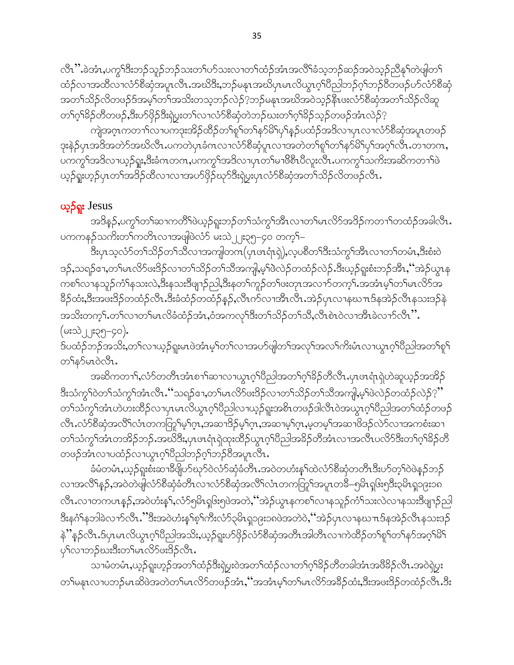လီၤ'' ခဲအံၤႇပက္ဂ<sup>ရန္မ</sup>ီးဘဉ်သူဉ်ဘဉ်သးတ႑်ပာ်သးလ႑တ႑်ထံဉ်အံၤအလိြခံသူဘဉ်ဆဉ်အဝဲသူဉ်ညီနှၤ်တဲဖျါတ႑် ထံဉ်လၢအထိလၢလံာ်စိဆုံအပူၤလီၤ.အဃိဒီး,ဘဉ်မနၤအဃိပုၤမၤလိယ္ပၤဂ့ါပိညါဘဉ်ဂ့ါဘဉ်၀ိတဖဉ်ဟ်လံာ်စိဆုံ အတ႑်သိဉ်လိတဖဉ်ဒ်အမှ့ ်တ႑်အသိးတသ့ဘဉ်လဲဉ်?့ဘဉ်မနုၤအဃိအဝဲသူဉ်နီၤဖးလံာ်စီဆုံအတ႑်သိဉ်လိဆူ တၫ်ဂူၫ်ခြိဉ်တီတဖဉ်,ဒီးပာ်ဖိုဉ်ဒီးရဲပွးတ႑်လ႑လံာ်စီဆုံတဲဘဉ်ဃးတ႑်ဂူၫ်ခြိဉ်သူဉ်တဖဉ်အံၤလဲဉ် $\,$ ု

.<br>ကျဲအဂ္ $\tau$ ကတၫ<sup>ှိ</sup>လ႑ပကဒုးအိဉ်ထိဉ်တ႑်စူ<sup>၎</sup>တ႑်နှာ်မိ<sup>႖</sup>ပု႑်နှဉ်ပထံဉ်အဒိလ႑ပှ $\tau$ လ႑လံာ်စီဆုံအပူ $\tau$ တဖဉ် ဒုးနဲဉ်ပုၤအဒိအတဲာ်အဃိလီၤ.ပကတဲပုၤခံကလၢလံာ်စီဆုံပူးလၢအတဲတၫ်စူၫ်တ႑်နာ်မိ႑်ပှၢ်အဂ္ဂၢ်လီၤ.တၢတက, ပကကွ်ာအဒိလၢယ့ဉ်ရှူး,ဒီးခံဂၤတဂၤ,ပကကွ်ာအဒိလၢပှၤတၢ်မၢဖိစီၤပီလူးလ်ိဳၤ.ပကကွၢ်သက်းအဆိကတၢၢ်ဖဲ ယ့ဉ်ရူးဟ့ဉ်ပုၤတၫ်အဒိဉ်ထိလၫလၫအပာ်ဖိုဉ်ဃှာဒီးရဲပွးပုၤလံာ်စီဆုံအတ႑်သိဉ်လိတဖဉ်လီၤ.

# ယ့**်**ရူး Jesus

အဒိန**ှ်,**ပကွ<sup>ရ</sup>တ<sup>ရ</sup>ဆၢကတိရဖဲယ့ဉ်ရူးဘဉ်တ<sup>ရ</sup>သံကွ<sup>ရအွ</sup>ီးလၢတ<sup>ရ</sup>မၤလိဉ်အဒိဉ်ကတၢရ်တထံဉ်အခါလီး ပကကနဉ်သက်ိဳးတ<sup>ရ်</sup>ကတိၤလၢအဖျံဖဲလံာ် မးသဲ၂၂း၃၅-၄၀ တက့်၊–

ဒီးပှၤသ့လံာ်တ႑်သိဉ်တ႑်သိလၢအကျါတဂၤ(ပှၤၒၤရုံၤရှဲ),လ့ပစိတ႑်ဒီးသံကွ႑်အိၤလၢတ႑်တမံၤႇဒီးစံးဝဲ ဒဉ်,သရဉ်ဧၢ,တၫ်မၤလိဉ်ဖးဒိဉ်လၢတ႑်သိဉ်တ႑်သိအကျါ,မ့ှါဖဲလဲဉ်တထံဉ်လဲဉ်.ဒီးယှဉ်ရူးစံးဘဉ်အိၤႇ '်အဲဉ်ယွၤန ကစၫ်လၢနသူဉ်ကံႝာနသးလဲႇဒီးနသးဒိဖျာဉ်ညါႇဒိးနတႝကူဉ်တၫ်ဖးတုၤအလၢာ်တက့ါႉအအံၤမ့ၢ်တၢ်မၤလိာ်အ ခြိဉ်ထံး,ဒီးအဖ<sup>္</sup>ဒိဉ်တထံဉ်လီၤ.ဒီးခံထံဉ်တထံဉ်နဉ်,လီၤက်လၢအီၤလီၤ.အဲဉ်ပှၤလၢနဃၤဒ်နအဲဉ်လီၤနသးဒဉ်နဲ အသိးတက္S်ကေS်လၢတSမၤလိခံထံဉ်အံၤႇဝံအကလုS်ဒီးတSသိဉ်တSသိႆႇလီၤစဲၤဝဲလၢအိၤခဲလၢာ်လီၤ". (မးသဲ၂၂း၃၅–၄၀).

ဒ်ပထံဉ်ဘဉ်အသိႏႇတၫ်လၫယ့ဉ်ရူးမၤဖဲအံၤမ့ၢ်တၫ်လၫအပာ်ဖျါတၫ်အလုၢ်အလၢ်ကိႈမံၤလၢယွၤဂ့ၢ်ပိညါအတၢ်စူၫ တ်နဉ်မၤ၀ဲလီၤ.

အဆိကတၫ်ႇလံာ်တတိၤအံၤစၫ်ဆၢလၢယ္ပၤဂ့်္ဂါပိညါအတၤ်ဂ့်္ဂါခိဉ်တိလီၤ.ပုၤဖၤရံၤရဲဟဲဆူယ့ဉ်အအိဉ် ဒီးသံကွ<sup>ှ</sup>ဝဲတၫ်သံကွှ<sup>ရ</sup>အံၤလီၤ.''သရဉ်ဧၢ,တ႑်မၤလိဉ်ဖးဒိဉ်လၢတ႑်သိဉ်တ႑်သီအကျါ,မ့ှ်ဖဲလဲဉ်တထံဉ်လဲဉ် $?$ '' တၫ်သံကွၫ်အံၤဟဲဟးထိဉ်လၫပှၤမၤလိယွၤဂ့ၫ်ပိညါလၫယ့ဉ်ရူးအစိၤတဖဉ်ဒါလီၤဝဲအယွၤဂ့ၫ်ပိညါအတ႑်ထံဉ်တဖဉ် လီၤႉလံာ်စီဆုံအလိ်ၤလံၤတကတြှၤ်မ့ၤ်ဂုၤ,အဆ႑ဒိဉ်မ့ၤ်ဂုၤ,အဆ႑မ့ၤ်ဂုၤ,မ့တမ့ၤ်အဆ႑ဖိဒဉ်လဲာ်လ႑အကစံးဆ႑ တၫ်သံကွ<sup>ှ</sup>အာၤတအိဉ်ဘဉ်.အဃိဒီး,ပုၤဖၤရံ၊ရဲထုးထိဉ်ယွၤဂ့ၢ်ပီညါအခိဉ်တိအံၤလၢအလိၤပလိ်ာဒီးတၢ်ဂ့ၢ်ခိဉ်တိ တဖဉ်အံၤလၢပထံဉ်လၢယွၤဂ့ၢ်ပီညါဘဉ်ဂ့ၢ်ဘဉ်ဝိအပူၤလီၤ.

ခံမံတမံၤႇယ့ဉ်ရူးစံးဆၢဒိီဖျိပာ်ဃှာ်ဝဲလံာ်ဆုံခံတိၤႉအဝဲတဟံးန5်ထဲလံာ်စိဆုံတတိၤဒီးပာ်တ့၁်ပဲနှဉ်ဘဉ် လၫအလိႝၤန္}်,အဝဲတဲဖျါလံာ်စီဆုံခံတိၤလၢလံာ်စိဆုံအလိၤ်လံၤတကတြူၤ်အပူၤတခ်ိ–၅မိၤရှ၆း၅ဒီး၃မိၤရှ၁၉း၁၈ လီၤႉလၢတကပၤန္ဉာ်ႇအဝဲဟံးန1်ႇလံာ်၅မိၤရှ၆း၅ဖဲအတဲႇိဴအဲ့ဉ်ယွၤနကစ1်လၢနသူဉ်ကံ1်သးလဲလၢနသးဒိဗျၢဉ်ညါ ဒီးနဂံౕါနဘါခဲလ႑ာလီၤ.''ဒီးအဝဲဟံးန႑်စ့႑်ကီးလံာ်၃မိၤရှာ၉း၁၈ဖဲအတဲဝဲ,''အဲဉ်ပှၤလ႑နဃၤဒန်အဲဉ်လီၤနသးဒဉ် နဲႛန္ဉဴလီၤႉဒ်ပုၤမၤလိယ္မၤဂ့ၫ်ပီညါအသိႏႇယ့ဉ်ရူးဟ်ဖိုဉ်လံာ်စီဆုံအတိၤအါတီၤလၢကဲထိဉ်တ႑်စူၫ်တ႑်နဉ်အဂ္ဂၢိမိ႑ ပုၫၳလၫဘဉ်ဃးဒီးတ႑်မၤလိဉ်ဖးဒိဉ်လီၤ.

သၢမံတမံၤႇယ့ဉ်ရူးဟ့ဉ်အတၫ်ထံဉ်ဒီးရဲပွးဝဲအတၫ်ထံဉ်လၢတၫ်ဂ့ၫ်နိဉ်တိတခါအံၤအဖိနိဉ်လိၤႉအဝဲရဲပွး တၫ်မနၤလၢပဘဉ်မၤဆိဖဲအတဲတၫ်မၤလိ႒်တဖဉ်အံၤႇ''အအံၤမ့ၢ်တၫ်မၤလိ႒်အခဵဉ်ထံး,ဒီးအဖးဒိဉ်တထံဉ်လီၤ.ဒီး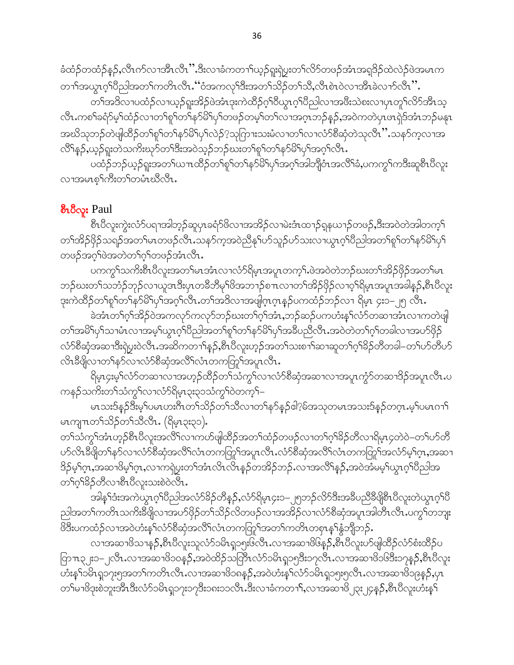ခံထံဉ်တထံဉ်နဉ်,လီၤက်လၢအိၤလိၤ''.ဒီးလၢခံကတ႑်ယှဉ်ရူးရှဲပွးတ႑်လိ႒်တဖဉ်အံၤအရဒိဉ်ထဲလဲဉ်ဖဲအမၤက တၫ်ာအယွာဂ့်္ဂါပိညါအတ႑်ကတိၤလိၤ. ပ်ံအကလု်ဒီးအတ႑်သိဉ်တ႑်သိ,လိၤစဲၤ၀ဲလၢအိၤခဲလ႑ာလိၤ $\cdot$ ိ.

တၫ်အဒိလ႑ပထံဉ်လ႑ယ့ဉ်ရူးအိဉ်ဖဲအံၤဒုးကဲထိဉ်ဂ့ၫ်၀ိယ္ပၤဂ့ၫ်၀ိညါလ႑အဖိဳးသဲစးလ႑ပုၤတုၫ်လိဉ်အီၤသ့ လီၤႉကစၢ်ခရံဉ်မ့ၢ်ထံဉ်လၢတၢ်စူၫ်တၫ်နှာ်မိ်ၢပှၢ်တဖဉ်တမ့ၢ်တၢ်လၢအဂ္ဂၤဘဉ်နဉ်,အဝဲကတဲပှၤဖၤရှဲဒ်အံၤဘဉ်မနုၤ အဃိသုဘဉ်တဲဖျံထိဉ်တ<sup>ှ</sup>ရု<sup>ရ</sup>တ<sup>ှ</sup>နှာမိ<sup>ရ</sup>ပှ<sup>ြ</sup>လဲဉ်?သုကြားသးမံလၢတၢ်လၢလံာ်စိဆှံတဲသုလိၤ'' သန5်က့လၢအ လိ်<sup>ရ</sup>န္**ဉ်,**ယူဉ်ရူးတဲသကိႏၰာ်တၫ်ဒီးအဝဲသုဉ်ဘဉ်ဃးတ႑်စူၫ်တ႑်နှာ်မိ႑်ပု႑်အဂ္ဂၤလီၤ.

ပထံဉ်ဘဉ်ယှဉ်ရူးအတၫ်ယ႑ထိဉ်တ႑်စူ႑်တ႑်နှာ်မိ႑်ပှ႑်အဂ္ဂါအဘြိုဝံၤအလိႝၤ်ခံ,ပကကွ႑်ကဒီးဆူစီၤပီလူး လၢအမၤစ္<sup>၎</sup>ကီးတ႑တမံၤဃိလီၤ**.** 

#### စီးဝီလူး Paul

စီၤ၀ီလူးကွဲးလံာ်ပရၢအါဘ့ဉ်ဆူပှၤခရံာ်ဖိလၢအအိဉ်လၢမဲးဒံၤထၢဉ်ရှနယၢဉ်တဖဉ်,ဒီးအဝဲတဲအါတက့<sup>၎</sup> တၫ်အိဉ်ဖှိဉ်သရဉ်အတၫ်မၤတဖဉ်လီၤ.သနာ်က့အဝဲညီနုၤ်ဟ်သူဉ်ဟ်သးလၢယွၤဂ့ၢ်ပီညါအတ႑်စူၫ်တ႑်နာ်မိ႑်ပှ႑် တဖဉ်အဂ္ဂါဖဲအတဲတ1်ဂ္ဂါတဖဉ်အံၤလီၤ.

ပကက္ဂ<sup>ရ</sup>သကိႏစီၤပီလူးအတ<sup>ၡ</sup>မၤအံၤလၢလံာ်ရိမ္၊အပူၤတက့¶.ဖဲအဝဲတဲဘဉ်ဃးတၢ်အိဉ်ဖှိဉ်အတၢ်မၤ ဘဉ်ဃးတၫ်သဘံဉ်ဘုဉ်လၢယူဒၤဒီးပှၤတခ်ိဘိမုၤ်ဖိအဘၫဉ်စπလၢတၫ်အိဉ်ဖှိဉ်လၢဝ့ၢ်ရိမ့ၤအပူၤအခါနဉ်,စီၤပီလူး ဒုးကဲထိဉ်တ<sup>ရ</sup>စု<sup>ရ</sup>တ်န<sup>5</sup>မိ<sup>ရ</sup>ပှ<sup>ရ</sup>အဂ့်္ဂလီၤ.တ<sup>ရ</sup>အဒိလၫအဖျါဂ့ၤဂ့ၤန္ဉာ်ပကထံဉ်ဘဉ်လၢ ရိမ့ၤ ၄း၁–၂၅ လီၤ.

ခဲအံၤတၫ်ဂ္ၫ်အိဉ်ဝဲအကလုာ်ကလုာ်ဘဉ်ဃးတ႑်ဂ္ၫ်အံၤႇဘဉ်ဆဉ်ပကဟံးန္ ၊်လံာ်တဆၢအံၤလၢကတဲဖျါ တၫ်အမိါၦၢ်သၢမံၤလၢအမ့ါယွၤဂ့ၢိပိညါအတၢ်စူၢ်တၢ်နှာ်မိါၦၢ်အခ်ဳပညီလီၤ.အဝဲတဲတၢ်ဂ့ၢ်တခါလၢအပာ်ဖိုဉ် လံာ်စီဆုံအဆၢဒီးရဲပွးဝဲလီၤ.အဆိကတၫ်န္၄်,စီၤ၀ီလူးဟုဉ်အတ႑်သးစ႑္ပ်ဆ႑ဆူတ႑်ဂ္ဂါခိဉ်တီတခါ–တ႑်ပာ်တီပာ် လိၤနီဖြိုလၢတၫ်နှာ်လၢလံာ်စီဆုံအလိႆၤလံၤတကတြှ၊်အပူၤလီၤ.

ရိမ့ၤ၄းမ့်<sup>ရ</sup>လံာ်တဆၫလၫအဟ့ဉ်ထိဉ်တ႑်သံကွ<sup>၎</sup>လၫလံာ်စီဆုံအဆ႑လၫအပူၤ*ကွဲ*ာ်တဆ႑ဒိဉ်အပူၤလီၤ.ပ ကနဉ်သကိုးတ႑်သံကွ႑်လ႑လံာရိမ့ၤ၃း၃၁သံကွ႑်ဝဲတက့႑်–

မၤသးဒ်နဉ်ဒီးမှၤ်ပမၤဟးဂိၤတ႑်သိဉ်တ႑်သိလ႑တ႑်နဉ်နဉ်ငါ့?မ်အသုတမၤအသးဒ်နဉ်တဂ္ၤ.မ့ၤ်ပမၤဂၢၤ မၤကျπတၫ်သိဉ်တၫ်သီလီၤ. (ရိမ္နာ၃း၃၁).

တၫ်သံကွၫ်အံၤဟ့ဉ်စီၤပီလူးအလိႝၤ်လ႑ကဟ်ဖျါထိဉ်အတ႑်ထံဉ်တဖဉ်လ႑တ႑်ဂ္ဂါခိဉ်တိလ႑ရိမ္၊၄တဲဝဲ–တ႑်ဟ်တိ ဒိဉ်မ့ှ်ဂုၤ,အဆၫဖိမ့ှ်ဂုၤ,လၫကၡဲပူးတ႑်အံၤလိၤလိၤန္ဉာတအိဉ်ဘဉ်ႉလ႑အလိြန္ဉ**်**,အဝဲအိမမ့္ပ်ယ္ဂၤဂ့ၫိပညါအ တ႑်ပုံ႕၃၃လွယ္ေလးသားစဲ့၀တ္မွာ

အါန1်ဒံးအကဲယွၤဂ့ါပိညါအလံာ်ခိဉ်တီနဉ်,လံာ်ရိမ့ၤ၄း၁–၂၅ဘဉ်လိာ်ဒီးအခ်ီပညီခီဖိုုစီၤပီလူးတဲယွၤဂ့ါပိ ညါအတ႑်ကတိၤသကိႏၶိဖျိလၢအပာ်ဖိုဉ်တ႑်သိဉ်လိတဖဉ်လၢအအိဉ်လၢလံာ်စိဆုံအပူၤအါတီၤလီၤ.ပက္ဂၤ်တဘူး ဖိဒီးပကထံဉ်လၢအဝဲဟံးန5်လံာ်စီဆုံအလိ်ြလံၤတကတြှာ်အတာ်ကတိၤတစုၤန္ ်နွံဘျိဘဉ်.

လၫအဆၫဖိသ႑န္၄ိႇစီၤပီလူးသူလံာ်၁မိၤရှ၁၅း၆လီၤႉလၫအဆ႑ဖိ၆န္၄ိႇစီၤပီလူးပာ်ဖျါထိိဉ်လံာ်စံးထိဉ်ပ ြာπ၃၂း၁–၂လီၤ.လၫအဆၫ<sup>8</sup>၁၀န<sup>5</sup>်နှအဝဲထိဉ်သင်္တြာလံာ်၁မိၤရှ၁၅ဒီး၁၇လီၤ.လၫအဆ႑ဖိဝမ်ဒီး၁၇န**ှ**်နီ၊ ဗီလူး ဟံးန5်ာမိၤရှ၁၇း၅အတ5်ကတိၤလီၤ.လၢအဆၢ<sup>8</sup>၁၈နဉ်,အဝဲဟံးန5်လံာ်၁မိၤရှ၁၅း၅လီၤ.လၢအဆၢ<sup>8</sup>၁၉နှဉ်,ပုၤ တၫ်မၢဗိဒုးစဲဘူးအီၤဒီးလံာ်ဝမိၤရှ၁၇း၁၇ဒီး၁၈း၁၁လိၤ.ဒီးလၢခံကတၫ်ႇလၫအဆၫ<sup>8</sup>၂၃း၂၄န**်**,စီၤပီလူးဟီးနှ<sup>င်</sup>၊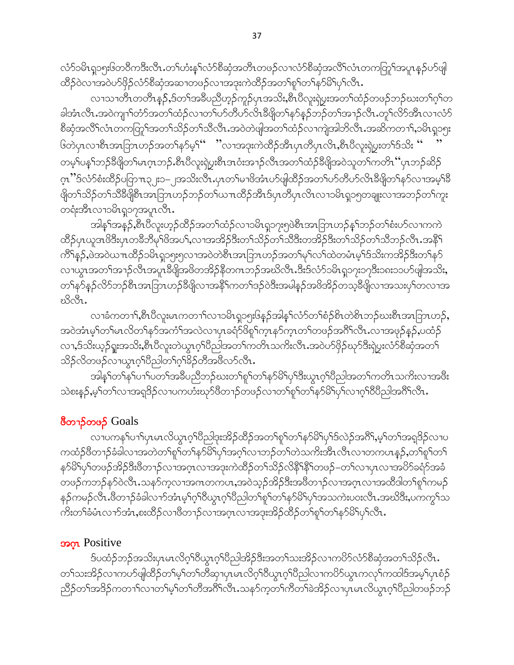လံာ်၁မိၤရှ၁၅း၆တဝီကဒီးလိၤႉတၫ်ဟံးနှၤ်လံာစိဆုံအတိၤတဖဉ်လၢလံာစိဆုံအလိၤ်လံၤတကတြှ၊်အပူၤန္ဉဉ်ပာ်ဖျါ ထိဉ်ဝဲလၢအဝဲဟ်ဖိုဉ်လံာ်စီဆုံအဆၢတဖဉ်လၢအဒုးကဲထိဉ်အတ႑်စူ ်တ႑်နှာ်မိ်ပြာလီၤ.

လၫသၢတိၤတတိၤန္**ဉ်,**ဒ်တၫ်အခ်ဳပညီဟ့ဉ်ကူဉ်ပုၤအသိး,စီၤပီလူးရဲပွးအတၫ်ထံဉ်တဖဉ်ဘဉ်ဃးတၫ်ဂ့ၢ်တ ခါအံၤလီၤ.အဝဲကျၢါတံာ်အတါထံဉ်လၢတါဟ်တီဟ်လိၤနီဖျိတၢ်နှာ်နှဉ်ဘဉ်တၢ်အၢဉ်လီၤ.တူ၊်လိာ်အီၤလၢလံာ် စီဆုံအလိိ<sup>ရ</sup>လံၤတကတြွ<sup>ရ</sup>အတ<sup>ရ</sup>သိဉ်တ<sup>ရ</sup>သီလီၤ.အဝဲတဲဖျါအတ<sup>ရ</sup>ထံဉ်လၫကျဲအါဘိလီၤ.အဆိကတၫ်ႇ၁မိၤရှ၁၅း ၆တဲပုၤလၢစီၤအာဘြာဟဉ်အတ<sup>ု</sup>န>်မ့<sup>၎</sup>'' ''လၢအဒုးကဲထိဉ်အီၤပုၤတိပုၤလိၤ,စီၤပိလူးရဲပွးတ<sup>၎ဌ</sup>သိး '' တမ့်ၢပန္´ါဘဉ်ခ်ီဖျိတၤ်မာဂ္ဂာဘဉ်ႉစီၤပိလူးရဲပွးစီၤဒာဝံးအၫဉ်လီၤအတၤ်ထံဉ်ခ်ီဖျိအဝဲသူတၤ်ကတိၤ´´ပုၤဘဉ်ဆိဉ် ဂ္ၤ''်ဒ်လံာ်စံးထိဉ်ပတြာπ၃၂း၁–၂အသိးလိၤႇပုၤတၫ်မၢဖိအံၤဟ်ဖျဲထိဉ်အတ႑်ဟ်တီဟ်လိၤနိဖျိတ႑်နှာ်လၢအမ့ၢ်နိ ဖျိတ်သိဉ်တ်သိဒိီဖျိစီးအာဘြာဟဉ်ဘဉ်တ်ယπထိဉ်အီးဒ်ပုၤတိပုၤလိၤလၢ၁မိၤရူ၁၅တချူးလၢအဘဉ်တၤ်ကူး တရံးအီၤလၢ၁မိၤရှ၁၇အပူၤလီၤ.

အါန1်အနဉ်,စီၤပီလူးဟ့ဉ်ထိဉ်အတ1်ထံဉ်လၢ၁မိၤရှ၁၇း၅ဖဲစီၤအၤြာၤဟဉ်န1်ဘဉ်တ1်စံးပာ်လၢကကဲ ထိဉ်ပုၤယူဒၤဖိဒီးပုၤတခ်ိဘိမှၫ်ဖိအပ႑်,လၢအအိဉ်ဒီးတ႑်သိဉ်တ႑်သိဒီးတအိဉ်ဒီးတ႑်သိဉ်တ႑်သိဘဉ်လိၤ.အနိ႑် ကိ်န္5,ဖဲအ၀ဲယπထိဉ်၁မိၤရု၁၅း၅လၢအ၀ဲတဲစီၤအာဘြာၤဟဉ်အတၫ်မှၫ်လၫ်ထဲတမံၤမ့ၢ်ဒ်သိးကအိဉ်ဒီးတၫ်နှာ် လၫယ္မွာအတၫ်အၫဉ်လီၤအပူၤခ်ဳဖြိုအဖိတအိဉ်နိတဂၤဘဉ်အဃိလီၤႉဒီးဒ်လံာ်ဝမိၤရှ၁၇း၁၇ဒီး၁၈း၁၁ပာ်ဖျါအသိး, တၫ်န>်နဉ်လိ>်ဘဉ်စီၤအၤြာၤဟဉ်ခီဖျိလၢအနိ<sup>႖</sup>ကတၫ်ဒဉ်ဝဲဒီးအမါနဉ်အဖိအိဉ်တသ့ခီဖျိလၢအသးပု<sup>႖်</sup>တလၢအ ಬೆಯೆ.

လၢခံကတၫ်ႇစီၤပီလူးမၤကတၫ်လၢ၁မိၤရှ၁၅းဖြန5်အါန5်လံာ်တၫ်စံဉိစိၤတဲစိၤဘဉ်ဃးစီၤအၤြာၤဟဉ်ႇ အဝဲအံၤမ့္ပ်ာက်မၤလိတ္ပုနာ်အကံုအလဲလာပုၤခရံာဖိစူးက္စ္ပၤနာ်က္နၤတ္ပါတဖဉ်အဂိၤ်လီၤ.လာအဖုဉ်နဉ်,ပထံဉ် လၢႇဒ်သိးယှဉ်ရူးအသိးႇစီၤပီလူးတဲယွၤဂ့ါပီညါအတ႑်ကတိၤသကိးလိၤႉအဝဲပာ်ဖိုဉ်ဃှာ်ဒီးရဲပူးလံာ်စီဆုံအတ႑် သိဉ်လိတဖဉ်လၫယ္ပၤဂ့ౕၢိပိညါတၤ်ဂ့ၤ်ဴခိဉ်တီအဖီလာ်လီၤ.

အါန1်တ1်န1်ပ1ါပတ1်အခီပညီဘဉ်ဃးတ1်စူ1်တ1်န5်မိ1်ပှ1်ဒီးယွာက်ပြီညါအတ1်ကတိၤသကိႏလၢအဖီး သဲစးန5့်,မ့<sup>၎</sup>တ႑်လၫအရှဒိဉ်လၫပကဟံးဃှာ်ဖိတ႑ဉ်တဖဉ်လၫတ႑်စူ႑်တ႑်နာမိြပု႑်လ႑ဂ္ဂါဝိပြီညါအဂိ်ါလီၤ.

### <sup>8</sup>တ႑ာ်တဖဉ် Goals

လၢပကန1်ပၫါပှၤမၤလိယွၤဂ့ါပီညါဒုးအိဉ်ထိဉ်အတ1်စူ1်တ1်န5်မိ1်ပှ1်ဒ်လဲဉ်အဂိါ်ႇမ့1်တ1်အရှဒိဉ်လၢပ ကထံဉ်ဖိတၫဉ်ခံခါလၫအတဲတၫ်စူၫ်တ႑်နှာမိြပှါအဂ္ဂါလၫဘဉ်တၫ်တဲသကိႏအိၤလိၤလၢတကပၤန္ဉာ်,တ႑်စူၫ်တ႑် နှာ်မိ1်ပု1်တဖဉ်အိဉ်ဒီးဖိတ႑ာ်လၢအဂ္ဂၤလၢအဒုးကဲထိဉ်တ႑်သိဉ်လိနိ1နိ1်တဖဉ်–တ1်လၢပုၤလၢအပိဉ်ခရံာ်အခံ တဖဉ်ကဘဉ်နာ်ဝဲလီၤႉသနာ်ကဲ့လၢအဂၤတကပၤႇအဝဲသူဉ်အိဉ်ဒီးအဖိတ႑ာ်လၢအဂ္ဂၤလၢအထိဒါတ႑်စူ႑်ကမဉ် နဉ်ကမဉ်လီၤ.ဗီတၫဉ်ခံခါလ႑ာ်အံၤမ့္ပ်က္ပါဝိယ္စၤဂ့္ပါဝိညါတ႑်စူ႑်တ႑်နှာ်မိြပု႑်အသကဲးပဝးလီၤ.အဃိဒီး,ပကကွ႑်သ ကိုးတၫ်ခံမံၤလၫာ်အံၤႇစးထိဉ်လ႑ဖိတ႑ဉ်လ႑အဂ္ဂၤလ႑အဒုးအိဉ်ထိဉ်တ႑်စု႑်တ႑်နှာမိြပု႑်လီၤ.

#### **SOOL** Positive

ဒ်ပထံဉ်ဘဉ်အသိးပုၤမၤလိဂ္<sup>ရ</sup>ဝိယ္ဂၤဂ့<sup>ရ</sup>ဝိညါအိဉ်ဒီးအတ႑်သးအိဉ်လ႑ကပိဉ်လံဉ်စီဆုံအတ႑်သိဉ်လီၤႉ တ႑်သးအိဉ်လၫကပဉ်ဖျါထိဉ်တ႑်မ့ှ်တ႑်တိဆု႑ပှၤမၤလိဂ္ဂၤ်ဝိယွၤဂ္ဂၤ်ဝိညါလ႑ကပိဉ်ယွၤကလုၤ်ကထါဒ်အမ့္ပ်ပှၤစံဉ် ညီဉ်တၫ်အဒိဉ်ကတ႑ၢ်လၢတ႑်မှၤ်တ႑်တိအဂိၤ်လီၤ.သနဉ်က့တ႑်ကီတ႑်ခဲအိဉ်လ႑ပုၤမၤလိယ္ဇၤဂ္ဂါပီညါတဖဉ်ဘဉ်၊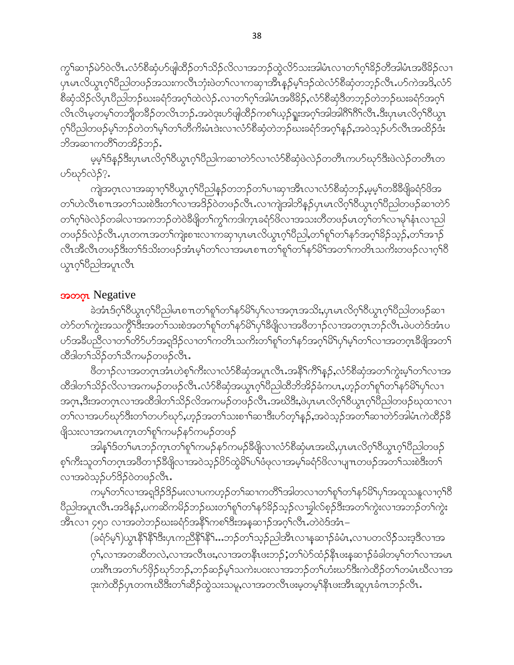ကွ<sup>ှ</sup>ဆ႑ာ်မဲ၁်ဝဲလီၤ.လံ၁်စီဆုံပာ်ဖျါထိဉ်တ႑်သိဉ်လိလ႑အဘဉ်ထွဲလိ9်သးအါမံၤလ႑တ႑်ဂ့<sup>၎ဌ</sup>ဉ်တီအါမံၤအဖီ<sup>ဌ</sup>ဉ်လ႑ ပုၤမၤလိယ္မၤဂ့ౕၢပီညါတဖဉ်အသးကလီၤဘုံးဖဲတၤ်လၢကဆုၢအိၤန္ဉာဴမ့ၤ်ဒဉ်ထဲလံာ်စီဆုံတဘ့ဉ်လီၤႉပာ်ကဲအဒိႇလံာ် စိဆုံသိဉ်လိပုၤပိညါဘဉ်ဃးခရံာ်အဂ့ၢ်ထဲလဲဉ်ႉလၢတၢ်ဂ့ၢ်အါမံၤအဖိခိဉ်ႇလံာ်စိဆုံဒိတဘ့ဉ်တဲဘဉ်ဃးခရံာ်အဂ့ၢ် လိၤလိၤမ့တမ့်ၫ်တဘိုုတခ်ိဉ်တလိၤဘဉ်ႉအဝဲဒုးပာ်ဖျါထိဉ်ကစ႑်ယှဉ်ရူးအဂ္ဂါအါအါဂိ<sup>ရာဂြီ</sup>းပြီးပုံၤမၤလိဂ္ဂါ၀ိယ္ဂၤ ဂုၤ်ပီညါတဖဉ်မှၤ်ဘဉ်တဲတၤ်မှၤ်တၤ်တီကိႏမံၤဒဲးလၤလံာ်စီဆုံတဲဘဉ်ဃးခရံာ်အဂ္ဂၤ်န္ဉာ်,အဝဲသု့ဉ်ပာ်လီၤအထိဉ်ဒံး ဘိအဆ႑ကတိႝၤ်တအိဉ်ဘဉ်.

မွမ့်ၫ်ဒ်န္ဉာ်ဒီးပုၤမၤလိဂ္ဂၤ်ဝိယ္ယၤဂ္ဂၤ်ပိညါကဆ႑တဲဉ်လ႑လံဉ်စီဆုံဖဲလဲဉ်တတိၤကပာ်ဃှာ်ဒီးဖဲလဲဉ်တတိၤတ ဟ်ဃှာ်လဲဉ်?.

ကျဲအဂ္ၤလၫအဆုၫဂ့ౕၢဝိယ္ယၤဂ့ၤ်ပိညါန္ဉဉိတဘဉ်တၤ်ပၫဆုၫအိၤလ႑လံာ်စီဆုံဘဉ်ႇမ့မ့ၤ်တခ်ိခီဖျိခရံာ်ဖိအ တၫ်ဟဲလီၤစ႑ာအတ႑်သးစဲဒီးတ႑်လ႑အဒိဉ်ဝဲတဖဉ်လီၤႉလ႑ကျဲအါဘိန္ဉာိပ္႑မၤလိဂ္႑်၀ိယ္(၁၇ိညိုတဖဉ်ဆ႑တဲ႒် တၫ်ဂ့ၫ်ဖဲလဲဉ်တခါလၢအကဘဉ်တဲဝဲခီဖျိတၫ်ကွ႑်ကဒါက္ $\mathsf{t}$ ခရံှာ်ဖိလၢအသးတိတဖဉ်မ $\mathsf{t}$ တ္႑်တ႑်လၢမု႑ိနံ $\mathsf{t}$ လၢညါ တဖဉ်ဒ်လဲဉ်လီၤ.ပုၤတဂၤအတၫ်ကျဲးစၫးလၫကဆုၫပှၤမၤလိယွၤဂ့ၫ်ပိညါ,တၫ်စူၫ်တၫ်နဉ်အဂ့ၫ်<sup>ဌ</sup>ဉ်သှဉ်,တၫ်အၫဉ် လီၤအီလီၤတဖဉ်ဒီးတၫ်ဒ်သိးတဖဉ်အံၤမ့ၢ်တ႑်လၢအမၤစ႑ာတ႑်ရှာ်တ႑်နှာ်မိ်ုအတ႑်ကတိၤသကိႏတဖဉ်လၢဂ့ၢ်ဝိ ယ္ဂၤဂ့ဴาoသါအပူၤလီၤ

#### ssoon Negative

ခဲအံၤဒ်ဂ္ဂါ၀ီယွၤဂ္ဂါပီညါမၤစ႑တ႑်စူ႑်တ႑်နဉ်မိ႑်ပှ႑်လ႑အဂ္ဂၤအသိႏ္ပပၤေလိဂ္ဂါ၀ီယွၤဂ္ဂါပီညါတဖဉ်ဆ႑ တဲာ်တၫ်ကွဲးအသက္ဂိ<sup>ရဒ္</sup>ဒီးအတ႑်သးစဲအတ႑်စူ႑်တ႑်နှာ်မိ႑ပု႑်ိဳးဖြိုလ႑အဖိတ႑ဉ်လ႑အတဂ္႑ဘဉ်လိ႑့ဖဲပတဲဒ်အံၤပ ပာ်အခ်ီပညီလၫတ<sup>ြ</sup>တိာ်ဟ်အရှုဒိဉ်လ႑တ႑်ကတိၤသကိႏတ႑်စူၣတ႑နှာ်အဂ္ဂါမိ<sup>ု</sup>ပု႑်မ့ှါတ႑်လ႑အတဂ္ဂၤခီဖျိအတ႑် ထီဒါတ႑်သိဉ်တ႑်သိကမဉ်တဖဉ်လိၤ**.** 

.<br>ဖိတ႑ာ်လၢအတဂ္ဂၤအံၤဟဲစ့<sup>၎</sup>ကိဳးလၢလံာ်စိဆုံအပူၤလီၤအနိ<sup>၎</sup>ကိြန္ဉာ်,လံာ်စိဆုံအတ႑်က္ပဲးမ့<sup>၎</sup>တ႑်လၢအ ထိခါတ႑်သိဉ်လိလၫအကမဉ်တဖဉ်လီၤႉလံာ်စိဆုံအယွၤဂ့ၢ်ပိညါထိဘိအိဉ်ခံကပၤႇဟ့ဉ်တၢ်စူၫ်တ႑်နှာ်မိ၊်ပု႑်လ႑ အဂ္•ာ,ဒီးအတဂ္•ာလၫအထိိဒါတ႑်သိဉ်လိအကမဉ်တဖဉ်လီၫႉအဃိဒိး,ဖဲပုၤမၤလိဂ္န<ါဝိယ္လ႑ဂ္န္<code>ဒြည္ပါတဖဉ်ဃုထၫလ႑</code> တ႑်လၢအပာ်ဃှာ်ဒီးတ႑်တပာ်ဃှာ်,ဟူဉ်အတ႑်သးစ႑ာ်ဆၢဒီးပာ်တဲ့ နာ့ဉ်,အဝဲသူဉ်အတ႑်ဆၢတဲာ်အါမံၤကဲထိဉ်နိ ဖျိသးလၢအကမၤက္ၤတၫ်စူၫ်ကမဉ်နာ်ကမဉ်တဖဉ်

အါန1်ဒ်တ1်မၤဘဉ်က္ၤတ1်စူ1်ကမဉ်နဉ်ကမဉ်ဒီဖျိလၢလံဉ်စီဆုံမၤအဃိႇပှၤမၤလိဂ့ၢ်ဝိယွၤဂ့ၢ်ဝိညါတဖဉ် စ့<sup>၎</sup>ကီးသူတ<sup>၎</sup>တဂ္ၤအဖိတ႑ာ်ခ်ီဖိျလၢအဝဲသ့ဉ်ပိ5်ထွဲမိ<sup>ြပ</sup>ါဖံဖုလၢအမ့<sup>၎</sup>ခရံာ်ဖိလၢပျπတဖဉ်အတ႑်သးစဲဒီးတ႑် လၫအဝဲသုဉ်ပာ်ဒိဉ်ဝဲတဖဉ်လီၤ.

ကမ့်္ဂါတ႑်လ႑အရှုဒိဉ်ဒိဉ်မႈလ႑ပကဟ့ဉ်တ႑်ဆ႑ကတိႝၤ်အါတလ႑တ႑်စူၫ်တ႑်နှာမြိၤပု႑်အထူသန္နလ႑ဂ္ဂါဝိ ပိညါအပူၤလီၤႉအဒိန္ဉာဴႇပကဆိကမိဉ်ဘဉ်ဃးတ႑်စူ႑်တ႑်နာ်ခိဉ်သ္ဉာ်လၢခ္ဘါလ်စ္စဉ်ဒီးအတ႑်ကွဲးလၢအဘဉ်တ႑်ကွဲး အီၤလၢ ၄၅၁ လၢအတဲဘဉ်ဃးခရံာ်အနိ<sup>5</sup>ကစ<sup>ှ</sup>ဒိုးအန္**ဆၫ**ဉ်အဂ္ဂါလီၤ.တဲဝဲဒ်အံၤ–

(ခရံဉ်မ့<sup>၎</sup>)ယွာနိ<sup>၎ဇ္ဇ</sup>ိုဒီးပုၤကညီနိ<sup>ုင္မွ</sup>ို…ဘဉ်တ႑်သ့ဉ်ညါအီၤလၫန္နဆ႑ာ်ခံမံၤႇလၢပတလိဉ်သးဒ့ဒိလၢအ ဂ္ဂ်္ဂလၢအတဆီတလဲ,လၢအလီၤဖႏႇလၢအတနိၤဖးဘဉ်;တ႑်ပဲာ်ထံဉ်နီၤဖးန္**ဆၫ**ဉ်ခံခါတမ့္ပ်တ႑်လၢအမၤ ဟးဂြီးအတ႑်ပာ်ဖှိဉ်ဃုာ်ဘဉ်ႇဘဉ်ဆဉ်မ့ှ်သကဲးပဝးလၢအဘဉ်တ႑်ဟံးဃာ်ဒီးကဲထိဉ်တ႑်တမံၤဃီလၢအ ဒုးကဲထိဉ်ပှၤတဂၤဃိဒိးတၫ်ဆိဉ်ထွဲသးသမှု,လၢအတလီၤဖးမှတမှ<sup>၎</sup>နိုၤဖးအိၤဆူပုၤခံဂၤဘဉ်လိၤ*.*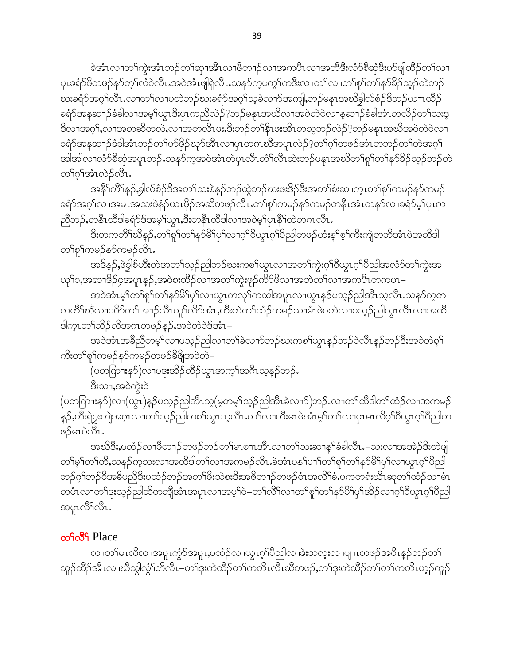ခဲအံၤလၢတၫ်ကွဲးအံၤဘဉ်တ႑်ဆုၢအိၤလၢဖိတ႑ဉ်လၢအကပိၤလၢအတိဒီးလံာ်စိဆုံဒီးဟ်ဖျါထိဉ်တ႑်လၢ ပှၤခရံာ်<sup>8</sup>တဖဉ်နာ်တ့<sup>၎</sup>လံဝဲလီၤႉအဝဲအံၤဖျရဲလီၤႉသနာ်က့ပကွ<sup>၎</sup>ကဒီးလၢတ႑်လၢတ႑်စူ႑်တ႑်နာ်ခိဉ်သ့ဉ်တဲဘဉ် ဃးခရံဉ်အဂ္ဂါလီၤႉလၢတၫ်လၢပတဲဘဉ်ဃးခရံဉ်အဂ္ဂါသ့ခဲလၢာ်အကျါႇဘဉ်မနုၤအဃိချွှလ်စံဉ်ဒိဘဉ်ယπထိဉ် ခရံာ်အနုဆၫာ်ခံခါလၫအမ့်္ဂယ္ဂၤဒီးပုၤကညီလဲဉ်?ဘဉ်မနုၤအဃိလ႑အဝဲတဲဝဲလ႑နဆ႑ာ်ခံခါအံၤတလိဉ်တ႑်သးဒ့ ဒီလၫအဂ္ဂ္),လၫအတဆီတလဲ,လၫအတလီၤဖႏႇဒီးဘဉ်တ႑်နီၤဖးအီၤတသ္စ္ကာဉ်လဲဉ်?ဘဉ်မနုၤအဃိအဝဲတဲဝဲလ႑ ခရံာ်အနုဆၫှာ်ခံခါအံၤဘဉ်တၫ်ဟ်ဖှိဉ်ဃုာ်အီၤလၢပှၤတဂၤဃီအပူၤလဲဉ်?တၫ်ဂ့ၢ်တဖဉ်အံၤတဘဉ်တၢ်တဲအဂ့ၢ် အါအါလၫလံာ်စီဆုံအပူၤဘဉ်ႉသနၥ်က့အဝဲအံၤတဲပုၤလီၤတံၤ်လဲၤဆဲးဘဉ်မနၤအဃိတၤ်စူၤ်တၤ်နာ်ခိဉ်သွဉ်ဘဉ်တဲ တ႑်လုံအဲ့ၤလဲဉ်လီၤ.

အနိ<sup>၎</sup>ကိြနှဉ်,ခွါလ်စံဉ်<sup>ဒြ</sup>အတ<sup>ှ</sup>သးစဲနဉ်ဘဉ်ထွဲဘဉ်ဃးဖးဒိဉ်ဒီးအတ<sup>ှ</sup>စံးဆၫက္ၤတ<sup>ှ</sup>ရှ'်ကမဉ်နဉ်ကမဉ် ခရံာ်အဂ့ါ်လၢအမၤအသးဖဲနံဉိယၤဖှိဉ်အဆိတဖဉ်လီၤ.တ<sup>ရ</sup>စုါကမဉ်နာ်ကမဉ်တန်ိၤအားတနာ်လၢခရံာမ့်ပြပျက ညီဘဉ်,တနိၤထိဒါခရံဉ်ဒ်အမ့္ပ်ယွာ,ဒီးတနိၤထိဒါလၫအဝဲမ့္ပ်ဟုနိြလဲတဂၤလိၤ.

ဒီးတကတိႝ<sup>ရာ</sup>ယီနဉ်,တၫ်စူၫ်တ႑်နဉ်မိ႑်ပှ႑်လ႑ဂ္႑ါဝိယွၤဂ့ၫ်ပီညါတဖဉ်ဟံးန႑်စ့႑်ကိုးကျဲတဘိအံၤဖဲအထိဒါ တ႑်စူ႖်ကမဉ်နဉ်ကမဉ်လီၤ.

အဒိန္၄်,ဖဲခွါစ်ဟီးတဲအတ႑်သ့ဉ်ညါဘဉ်ဃးကစ႑်ယွၤလၢအတ႑်ကွဲးဂ့ၫ်၀ိယွၤဂ့ၫ်၀ိညါအလံာ်တ႑်ကွဲးအ ယု1်၁,အဆၫ<sup>ဒ္ဌ</sup>ဉ်၄အပူၤန္ဉာ်,အဝဲစးထိဉ်လၫအတၫ်ကွဲးဖုဉ်က်ိ်ာဖိလ႑အတဲတ႑်လ႑အကပိၤတကပၤ–

အဝဲအံၤမ့္ပ်တ္ပါစု္ပါတ္ပါနၥ်မိြပ္ပ္ပါလ႑ယ္ပၤကလုုကထါအပူၤလ႑ယ္ပၤန္နဉ်ပသ္၃ညါအီၤသ့လီၤ.သနၥ်က္စတ ကတိႝ႞ဃီလၢပပိဉ်တ႑်အ႑ာ်လီၤတူ႑်လိဉ်အံၤႇဟိဳးတဲတ႑်ထံဉ်ကမဉ်သၢမံၤဖဲပတဲလၢပသ့ဉ်ညါယွၤလီၤလၢအထိ ဒါက္•ာတ႑်သိဉ်လိအဂၤတဖဉ်နဉ်,အဝဲတဲဝဲဒ်အံ႑–

အဝဲအံၤအခ်ီညီတမ့်၊လၢပသ့ဉ်ညါလၢတၫ်ခဲလၫာ်ဘဉ်ဃးကစၢ်ယွၤန္ဉာိဘဉ်ဝဲလီၤန္ဉာိဘဉ်ဒီးအဝဲတဲစ့ၫ် ကိဳးတၫ်စူၫ်ကမဉ်နဉ်ကမဉ်တဖဉ်ဒီဖြိုအဝဲတဲ–

(ပတကြားန9်)လၢပဒုးအိဉ်ထိဉ်ယွာအက္ခ<sup>ရ</sup>အဂ်ီးသူနဉ်ဘဉ်**.** 

ဒီးသၢ,အဝဲကွဲးဝဲ–

(ပတဂြာၫးန5်)လၫ(ယွၤ)နဉ်ိပသ္ဉဉ်ညါအိၤသ့(မ့တမ့်ၢိသ့ဉ်ညါအိၤခဲလ႑ာ်)ဘဉ်ႉလ႑တ႑်ထိဒါတ႑်ထံဉ်လ႑အကမဉ် နဲ့ဉ်,ဟိဳးရဲပွးကျဲအဂ္ဂၤလ႑တ႑်သူဉ်ညါကစ႑်ယွၤသ့လီၤ.တ႑်လ႑ဟိးမၤဖဲအံၤမ့္ပ်ာတ႑်လ႑ပ္႑မၤလိဂ္ဂၤဝိယ္မ႑ဂ္ဂၤဝိညါတ 0 0 0 0 0 3 1.

အဃိဒိီး,ပထံဉ်လၫ<sup>8</sup>တ႑ာ်တဖဉ်ဘဉ်တၫ်မၤစ႑ၤအိၤလ႑တ႑်သးဆ႑န္႑်ခံခါလိၤ.–သးလ႑အအဲဉ်ဒိုးတဲဖျါ တၫ်မှ႞တ႑်တိႇသနဉ်ကဲ့သးလၢအထိဒါတ႑်လၢအကမဉ်လိၤႉခဲအံၤပန႑်ပ႑ါတ႑်စု႞တ႑်နဉ်မိ႑်ပှ႑်လၢယွၤဂ္႑်ပြည ဘဉ်ဂ့ၢ်ဘဉ်၀ိအခ်ိပညိဒိီးပထံဉ်ဘဉ်အတ<sup>ျ</sup>ဖိးသဲစးဒိီးအဖိတၫဉ်တဖဉ်ဝံၤအလိ်ၢ်ခံ,ပကတရံးဃိၤဆူတၫ်ထံဉ်သၢမံၤ တမံၤလၢတၫ်ဒုးသုဉ်ညါဆိတဘျိုအံၤအပူၤလၢအမ့ၢ်ဝဲ–တၫ်လိႝၤ်လၢတၫ်စူၫ်တ႑်နှာ်မိ႑်ပု႑်အိဉ်လၢဂ့ၢ်ဝိယ္ဂၤဂ့ၢ်ပိညါ အပူၤလီ်ိုလီၤ.

#### တ**်လိ**ြ Place

လၢတၫ်မၤလိလၢအပူၤက္ပံာ်အပူၤႇပထံဉ်လၢယ္ပၤဂ့ၢ်ပိညါလၢခဲးသလ့းလၢပျ႑ာတဖဉ်အစိၤန္ဉာိဘဉ်တ႑် သူဉ်ထိဉ်အီၤလၢဃိသွါလွံ1်ဘိလီၤ–တ1်ဒုးကဲထိဉ်တ1်ကတိၤလီၤဆီတဖဉ်ႇတ1်ဒုးကဲထိဉ်တ1်တ1်ကတိၤဟ့ဉ်ကူဉ်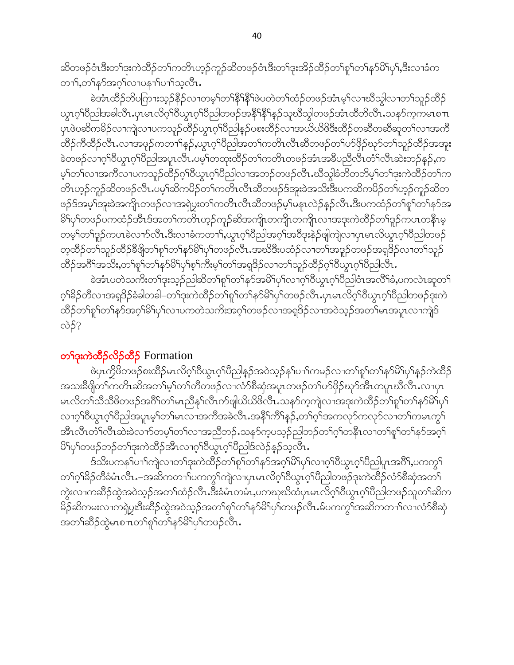ဆိတဖဉ်ဝံၤဒီးတ<sup>၎</sup>ဒုးကဲထိဉ်တ<sup>၎</sup>ကတိၤဟ့ဉ်ကူဉ်ဆိတဖဉ်ဝံၤဒီးတ<sup>၎</sup>ဒုးအိဉ်ထိဉ်တ<sup>၎</sup>စူ<sup>၎</sup>တ႑်နှာ်မိ<sup>ု</sup>ပှ<sup>၎</sup>,ဒီးလၢခံက တၫ်ႇတ႑်နှာ်အဂ္ဂါလၢပန႑ာပ႑ာသွလိၤႉ

ခဲအံၤထိဉ်ဘိပဂြာၫးသ့ဉ်နိုဉ်လၢတမ့်ၢိတ်နို<sup>င်နိုင်</sup>ဖဲပတဲတၤ်ထံဉ်တဖဉ်အံၤမ့ၤ်လၢဃိသွါလၢတၤ်သူဉ်ထိဉ် ယွၤဂ္ဂါပိညါအခါလီၤ.ပုၤမၤလိဂ္ဂါဝိယ္ပၤဂ္ဂါပိညါတဖဉ်အနိ<sup>ု</sup>နိ<sup>ု</sup>နဉ်သူဃိသွါတဖဉ်အံၤထိဘိလီၤ.သနဉ်က့ကမၤစ႑ာ ပုၤဖဲပဆိကမိဉ်လၫကျဲလၫပကသူဉ်ထိဉ်ယွၤဂ့ౕါပီညါန္ဉဉ်ပစးထိဉ်လ႑အယိယိဖိဒီးထိဉ်တဆီတဆီဆူတၤ်လ႑အက်ိ ထိဉ်ကီထိဉ်လီၤႉလၢအဖုဉ်ကတၢၢိန္ဉာဴႇယ္လၤဂ့ၢိပိညါအတ႑်ကတိၤလီၤဆီတဖဉ်တ႑်ပာ်ဖိုဉ်ဃှာ်တ႑်သူဉ်ထိဉ်အအူး ခဲတဖဉ်လၢဂ့ၢိ၀ိယ္ဂၤဂ့ၢိပိညါအပူၤလီၤႉပမ့ၢ်တထုးထိဉ်တၫ်ကတိၤတဖဉ်အံၤအခ်ိပညီလီၤတံၢလီၤဆဲးဘဉ်နဉ်ႇက မ့်)တဉ်လာအကီလာပကသူဉ်ထိဉ်ဂ့်ာဝိယွာဂ့်ာပိညါလာအဘဉ်တဖဉ်လီး ဃီသွါခံဘိတဘိမ့်ာတာ်ဒုံးကဲထိဉ်တာ်က တိၤဟ့ဉ်ကူဉ်ဆိတဖဉ်လီၤ.ပမ့<sup>ှု</sup>ဆိကမိဉ်တ႑်ကတိၤလီၤဆီတဖဉ်ဒ်အူးခဲအသိးဒီးပကဆိကမိဉ်တ႑်ဟ့ဉ်ကူဉ်ဆိတ ဖဉ်ဒ်အမှၤ်အူးခဲအကျို့တဖဉ်လၢအရဲပွးတၤ်ကတိၤလီၤဆီတဖဉ်မှၤ်မနၤလဲဉ်နှဉ်လီၤ.ဒီးပကထံဉ်တၤ်စူၤ်တၤ်နှာ်အ မိၫ်ပှၢ်တဖဉ်ပကထံဉ်အီၤဒ်အတၫ်ကတိၤဟ့ဉ်ကူဉ်ဆိအကျိၤတကျိုၤတကျိုၤလၢအဒုးကဲထိဉ်တၫ်ဒူဉ်ကပၤတနိၤမ့ တမ့်ၢ်တၢ်ဒူဉ်ကပၤခဲလ႑ာ်လီၤ.ဒီးလ႑ာခံကတ႑ၢိႇယ္လၤဂ့ၤ်ပိညါအဂ့ၤ်အဝိဒုးနဲဉ်ဖျဲကျဲလ႑ပုၤမၤလိယ္လၤဂ့ၤ်ပိညါတဖဉ် တဲ့ထိဉ်တ<sup>၎</sup>သူဉ်ထိဉ်ခီဖျိတ<sup>၎</sup>စူ<sup>၎</sup>တ႑်နှာ်မိ<sup>၎</sup>ပှ<sup>၎</sup>တဖဉ်လီၤ.အဃိဒီးပထံဉ်လၢတ႑်အဒူဉ်တဖဉ်အရဒိဉ်လၢတ႑်သူဉ် ထိဉ်အဂိ်ါအသိႏႇတၫ်စူၫ်တ႑်နှာ်မိ႑်ပှ႑်စ့႑်ကိႏမ့႑်တ႑်အရှဒိဉ်လ႑တ႑်သူဉ်ထိဉ်ဂ္ဂါဝီယွၤဂ္ဂါဝီညါလီၤ.

ခဲအံၤပတဲသကိႏတၫ်ဒုးသုဉ်ညါဆိတၫ်စူၫ်တ႑်နှာ်အမိ႑်ပု႑်လၫဂ္ဂ႑ိဝိယ္ပၤဂ္ဂၤါတီညါဝံၤအလိ႑်ခံႇပကလဲၤဆူတ႑် ဂ့ၫ်ိန်ဉတီလၢအရုဒိဉ်ခံခါတခါ–တၫ်ဒုးကဲထိဉ်တ႑်စူၫ်တ႑်နဉ်မိ႑်ပှ႑်တဖဉ်လီၤ.ပုၤမၤလိဂ့ၫ်ဝီယွၤဂ့ၫ်ပီညါတဖဉ်ဒုးကဲ ထိဉ်တ႑်စူ႑်တ႑်နှာ်အဂ္ဂါမိ႑်ပု႑်လၤပကတဲသက်ိးအဂ္ဂါတဖဉ်လၤအရဒိဉ်လၤအဝဲသုဉ်အတ႑်မၤအပူၤလၤကျဲဒ် လဲဉ်?

### တ<sup>ှ</sup>ဒုးကဲထိဉ်လိဉ်ထိဉ် Formation

ဖဲ့ပုၤကၠိဖိတဖဉ်စးထိဉ်မၤလိဂ္ဂၢိဖိယ္ယၤဂ္ဂၢိဖိညါန္ဥာအဝဲသူဉ်နှၤ်ပ႑ၢိကမဉ်လ႑တ႑်ရုၤ်တ႑်နှဉ်မျာန္ဥကဲထိဉ် အသးခ်ိဳဖျိတၫ်ကတိၤဆိအတၫ်မ့ၢ်တၫ်တိတဖဉ်လၢလံာ်စိဆုံအပူၤတဖဉ်တ႑်ပာ်ဖိုဉ်ဃှာ်အီၤတပူၤဃိလီၤႉလၢပုၤ မၤလိတ႑်သိသိိဖိတဖဉ်အဂိ်ါတ႑်မၤညီနှၤ်လီၤက်ဖျယ်ယိဖိလီၤ.သနဉ်ကူကျဲလၢအဒုးကဲထိဉ်တ႑်စူၫ်တ႑်နှာ်မိ႑်ပု႑် လၢဂ့ါ်၀ိယ္လာဂ္ါပိညါအပူၤမ့ါတါမၤလၢအက်ိအခဲလ်ိဳၤႉအနိႝၤ်က်ိါန္ဉ်ႇတၢ်ဂ့ါအကလုာ်ကလုာ်လၢတၤ်ကမၤက္ဂၤ် အီၤလီၤတံၤလိၤဆဲးခဲလၫာ်တမ့ၤ်တၤ်လၢအညီဘဉ်ႉသနာ်ကဲ့ပသုဉ်ညါဘဉ်တၤ်ဂ့ၤ်တနိၤလၢတၤ်စူၤ်တၤ်နာ်အဂ့ၤ် မိၫ်ပု႞တဖဉ်ဘဉ်တ႑်ဒုးကဲထိဉ်အီၤလၢဂ္ဂၢိ၀ိယ္လၤဂ္ဂၢိပိညါဒ်လဲဉ်န္ဉာ်သူလီၤ

ဒ်သိးပကန1်ပ႑)ကျဲလ႑တ႑်ဒုးကဲထိဉ်တ႑်စူ1်တ႑်နဉ်အဂ္ဂါမိ1ပု႑်လ႑ဂ္ဂါဝိယ္ဓၤဂ္ဂါပညါပူၤအဂါိႇပကက္ဂ႑ တၫ်ဂ့ၫ်ခိဉ်တီခံမံၤလီၤ.–အဆိကတ႑ၢ်ပကကွ႑်ကျဲလၢပှၤမၤလိဂ့ၫ်၀ိယွၤဂ့ၫ်ပီညါတဖဉ်ဒုးကဲထိဉ်လံာ်စီဆုံအတ႑် ကွဲးလၫကဆိဉ်ထွဲအဝဲသ့ဉ်အတၫ်ထံဉ်လီၤ.ဒီးခံမံၤတမံၤ,ပကၰဃိထံပုၤမၤလိဂ္ၫ်ဝိယ္ၤဂ့ၫ်ပိညါတဖဉ်သူတ႑်ဆိက မိဉ်ဆိကမးလၫကၡဲပွးဒီးဆိဉ်ထွဲအဝဲသ့ဉ်အတၫ်စူၫ်တ႑်နှာ်မိ႑်ပှၫ်တဖဉ်လီၤႉမ်ပကကွ႑်အဆိကတ႑ာ်လ႑လံာ်စီဆုံ အတ႑်ဆိႆဉ်ထွဲမၤစ႑ာတ႑်စူ႑်တ႑်နှာ်မိ႑်ပု႑်တဖဉ်လီၤ.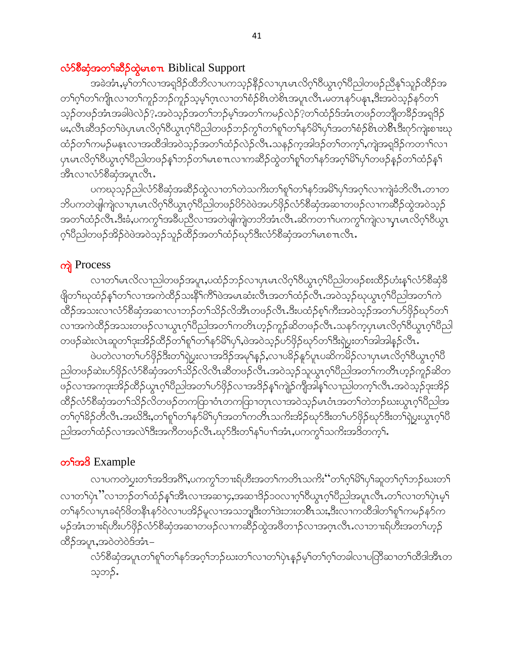### လံာ်စီဆုံအတ<sup>ှ</sup>ဆိုခ်ထဲ့မာစπ Biblical Support

အခဲအံၤႇမ့<sup>၎</sup>တ႑်လၫအရှ<sup>8</sup>ဉ်ထိဘိလ႑ပကသ့ဉ်နိဉ်လ႑ပှၤမၤလိဂ့<sup>၎</sup>၀ိယွၤဂ့<sup>၎</sup>ပိညါတဖဉ်ညီနု<sup>၎</sup>သူဉ်ထိဉ်အ တၫ်ဂ့ၢ်တၫ်ကျိုးလၢတၫ်ကူဉ်ဘဉ်ကူဉ်သ့မ့ၢ်ဂ့ၤလၢတၫ်စံဉ်စိၤတဲစိၤအပူၤလီၤ.မတၤနာ်ပနုၤ,ဒီးအဝဲသ့ဉ်နာ်တ႑် သ့ဉ်တဖဉ်အံၤအခါဖဲလဲဉ် $?$  အဝဲသ့ဉ်အတ<sup>၎</sup>ဘဉ်မ့<sup>၎</sup>အတ<sup>၎</sup>ကမဉ်လဲဉ် $?$ တ႑်ထံဉ်ဒ်အံၤတဖဉ်တဘျီတခ်ိဉ်အရှဒိဉ် မး,လီၤဆီဒဉ်တၫ်ဖဲပုၤမၤလိဂ္ုံဝိယ္ယၤဂ္ုံဝိည္ပါတဖဉ်ဘဉ်ကွ၂်တ႑်စူ၂်တ႑်နှာမြဲျပု႑်အတ႑်စံဉ်စိၤတဲစိၤဒီးဂုဉ်ကျဲးစၫးဃု ထံဉ်တၫ်ကမဉ်မနၤလၢအထိဒါအဝဲသ့ဉ်အတ႑်ထံဉ်လဲဉ်လီၤႉသနဉ်ကဲ့အါဒဉ်တ႑်တက့႑်,ကျဲအရှ3ဉ်ကတ႑ၤ်လၢ ပုၤမၤလိဂ္<sup>ရာ</sup>ဝိယ္လၤဂ့်္ဂါဝိညါတဖဉ်န္<sup>ရ</sup>ဘဉ်တ႑်မၤစ႑ာလ႑ကဆိဉ်ထွဲတ႑်စူ<sup>၎</sup>တ႑်နှာ်အဂ္ဂါမိ<sup>႑</sup>ပု႑်တဖဉ်နှဉ်တ႑်ထံဉ်နှ<sup>၎</sup> အီၤလၢလံ႒်စီဆုံအပူၤလီၤ.

ပကၰသ့ဉ်ညါလံာ်စီဆုံအဆိဉ်ထွဲလၢတၫ်တဲသက်းတၫ်စူၫ်တၫ်နာ်အမိၢိပှၢ်အဂ့ၢ်လၢကျဲ့ခံဘိလီၤႉတၢတ ဘိပကတဲဖျါကျဲလၫပှၤမၤလိဂ့ၫ်ဝိယွၤဂ့ၫ်ပိညါတဖဉ်ပိ>်ပဲအပာ်ဖှိဉ်လံာ်စိဆုံအဆ႑တဖဉ်လ႑ကဆိႆဉ်ထွဲအဝဲသ့ဉ် အတၫ်ထံဉ်လီၤ.ဒီးခံ,ပကကွ<sup>ရ</sup>အခ်ိပညိလၫအတဲဖျံကျဲတဘိအံၤလီၤ.ဆိကတၫၫ်ပကကွ<sup>ရ</sup>ကျဲလၢပုၤမၤလိဂ့ၫ်ဝိယွၤ ့ဂ်ပီညါတဖဉ်အိဉ်ဝဲဖဲအဝဲသူဉ်သူဉ်ထိဉ်အတ႑်ထံဉ်ဃှာ်ဒီးလံာ်စီဆုံအတ႑်မၤစ႑ာလီၤ.

# ကျဲ Process

လၢတၫ်မၤလိလၢညါတဖဉ်အပူး,ပထံဉ်ဘဉ်လၢပုၤမၤလိဂ္ဂၢိ၀ိယ္လၤဂ္ဂၢိပိညါတဖဉ်စးထိဉ်ဟံးနှၤ်လံာ်စိဆုံခ်ိ ဖျိတ်္ဂဃုထံဉ်နှ်္ဂတ႑်လ႑အကဲထိဉ်သးနိ်ိုက်ိြပဲအမၤဆံးလီၤအတ႑်ထံဉ်လီၤႉအဝဲသ္ဉာိဃုယ္ဂၤဂ့္ဂ်ပြီညါအတ႑်ကဲ ထိဉ်အသးလၢလံာ်စိဆုံအဆၢလၢဘဉ်တၫ်သိဉ်လိအိၤတဖဉ်လီၤ.ဒီးပထံဉ်စ့ၢ်ကီးအဝဲသုဉ်အတၢ်ပာ်ဖိုဉ်ဃှာ်တ႑် လၢအကဲထိဉ်အသးတဖဉ်လၢယွၤဂ့ၢိပိညါအတ႑်ကတိၤဟ့ဉ်ကူဉ်ဆိတဖဉ်လီၤႉသနာ်က့ပုၤမၤလိဂ့ၢ်ိပိယ္ၤဂ့ၢ်ိပိညါ တဖဉ်ဆဲးလဲၤဆူတၫ်ဒုးအိဉ်ထိဉ်တ႑်စူ႑်တ႑်နှာ်မိ႑်ပု႑်,ဖဲအဝဲသ့ဉ်ပာ်ဖိုဉ်ဃှာ်တ႑်ဒီးရဲပွးတ႑်အါအါနှဉ်လီၤ.

ဖဲပတဲလၢတၫ်ပာ်ဖိုဉ်ဒီးတ႑်ရဲပွးလၢအဒိဉ်အမှ႑်နှဉ်,လၢပခိဉ်နှာ်ပူၤပဆိကမိဉ်လၢပုၤမၤလိဂ္ဂၢိ၀ိယ္လၤဂ့ၢိ၀ိ ညါတဖဉ်ဆဲးပာ်ဖှိဉ်လံာ်စိဆုံအတ႑်သိဉ်လိလီၤဆီတဖဉ်လီၤ.အဝဲသ့ဉ်သူယွၤဂ့ၤ်ပီညါအတၤ်ကတိၤဟ့ဉ်ကူဉ်ဆိတ ဖဉ်လၢအကဒုးအိဉ်ထိဉ်ယွπဂ့ါ်ပီညါအတ ်ပာ်ဖိုဉ်လၢအဒိဉ်နှၤ်ကျဲဉ်ကျီအါနှၤ်လၢညါတက့ၤ်လီၤ အဝဲသ့ဉ်ဒုးအိဉ် ထိဉ်လံာ်စီဆုံအတ႑်သိဉ်လိတဖဉ်တကထြာဝံၤတကထြာတုၤလၢအဝဲသ့ဉ်မၤဝံၤအတ႑်တဲဘဉ်ဃးယွၤဂ့ၤ်ပီညါအ တၫ်ဂ့ၫ်ခိဉ်တီလီၤ.အဃိဒီး,တ႑်စူၫ်တ႑်နှာ်မိ႑်ပှၫ်အတ႑်ကတိၤသကိးအိဉ်ဃှာ်ဒီးတ႑်ပာ်ဖှိဉ်ဃှာ်ဒီးတ႑်ရဲပွးယွၤဂ့ၫ်ဝီ ညါ့အတၫ်ထံဉ်လၫအလဲၫ်ဒီးအကီတဖဉ်လီၤႉဃုာ်ဒီးတ႑်နှၤ်ပ႑ာအံၤႇပကကွ႑်သကိုးအဒိတက့႑်ႉ

# တ**်ာ**ဒါ Example

လၢပကတဲပွးတၫ်အဒိအဂိႝၫႇပကကွၫ်ဘၢးရ်ဟီးအတၫ်ကတိၤသကိႏဴဴတၫ်ဂ့ၫ်မိ႑်ပု႑်ဆူတ႑်ဂ့ၫ်ဘဉ်ဃးတ႑် လၢတၫ်ပုံၤ''လၢဘဉ်တၫ်ထံဉ်နှၤ်အီၤလၢအဆၢ၄ႇအဆၢဒိဉ်၁၀လၢဂ့ၢိ၀ိယ္ပၤဂ့ၢိပိညါအပူၤလီၤႉတ႑်လၢတ႑်ပုံၤမ့႑် တၫ်နဉ်လၫပုၤခရံဉ်ဖိတနိုၤနဉ်ဝဲလ႑ပအိဉ်မူလ႑အသဘျှဒီးတ႑်ဒဲးဘးတစ်ိဳၤသး,ဒီးလ႑ကထိဒါတ႑်စူ႑်ကမဉ်နဉ်က မဉ်အံၤဘၢးရ်ဟိးဟ်ဖှိဉ်လံာ်စီဆုံအဆၢတဖဉ်လၢကဆိဉ်ထွဲအဖိတၫဉ်လၢအဂ္ဂၤလိၤႉလၢဘၢးရ်ဟီးအတ<sup>်</sup>၊ဟ့ဉ် ထိဉ်အပူၤ,အဝဲတဲဝဲဒ်အံၤ–

-<br>လံာ်စီဆုံအပူၤတ<sup>၎</sup>စူ<sup>၎</sup>တ႑်နာ်အဂ္ဂါဘဉ်ဃးတ႑်လၢတ႑်ပဲ့ၤန္ဉာမ့်<sup>ရ</sup>တ႑်ဂုံတခါလၢပတြိဆ႑တ႑်ထိဒါအီၤတ သ္၁ာဉ်.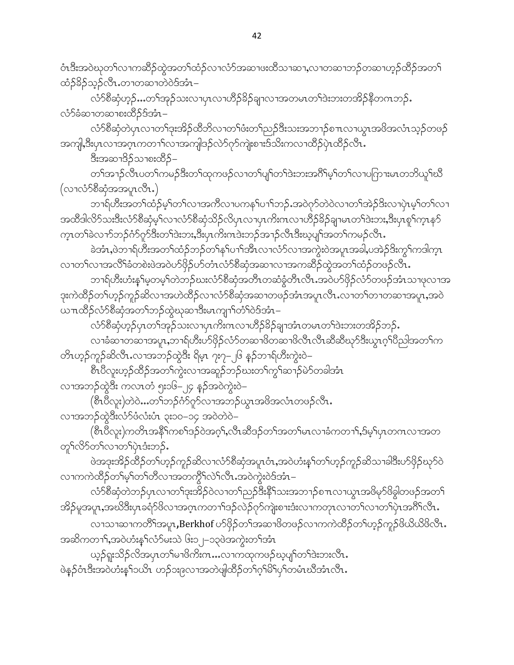ဝံၤဒီးအဝဲဃုတၫ်လၫကဆိိဉ်ထွဲအတၫ်ထံဉ်လၫလံာ်အဆ႑ဖးထိသ႑ဆ႑,လ႑တဆ႑ဘဉ်တဆ႑ဟ္ဥ်ထိဉ်အတ႑် ထံဉ်<sup>၌</sup>ဉ်သုဉ်လီၤႉတ႑တဆ႑တဲဝဲဒ်အံၤ–

လံာ်စီဆုံဟုဉ်…တၫ်အုဉ်သးလၢပှၤလၢဟိဉ်<sup>8ွ</sup>ဉ်ချาလၢအတမၤတၫ်ဒဲးဘးတအိဉ်နိတဂၤဘဉ်. လံ႒်ခံဆၢတဆၢစးထိိဉ်ဒ်အံၤ–

လံာ်စီဆုံတဲပုၤလၢတၫ်ဒုးအိဉ်ထိဘိလၢတၫ်ဖံးတ႑်ညှဉ်ဒီးသးအဘ႑ာ်စ႑ာလၢယ္ပၤအဖိအလံၤသ့ဉ်တဖဉ် အကျ<mark>ါ,</mark>ဒီးပှၤလၢအဂ္ဂၤကတၫါလၢအကျါဒဉ်လဲ၁်ဂုာ်ကျဲးစၫးဒြသိးကလၢထိဉ်ပှဲၤထိဉ်လိၤ<sup>့</sup>

ဒီးအဆၢဒိဉ်သၢစးထိဉ်–

တၫ်အၫဉ်လီၤပတၫ်ကမဉ်ဒီးတၫ်ထုကဖဉ်လၢတၫ်ပျၫ်တၫ်ဒဲးဘးအဂိၢိမ့ၢ်တၫ်လၢပကြားမၤတဘိယူၫ်ဃိ (လၢလံ႒်စီဆုံအအပူၤလီၤ.)

ာၫရ်ဟိးအတ<sup>ြ</sup>ထ်ဉ်မ့<sup>ရ</sup>တ<sup>ရ</sup>လၫအကိလၢပကန<sup>ရ</sup>ပၢ<sup>ရ</sup>ဘဉ်ႉအဝဲဂုာ်တဲဝဲလၢတၢ်အဲဉ်ဒိးလၢပုံၤမ့<sup>ရ</sup>တၢ်လၢ အထီဒါလိ5်သးဒီးလံ5စီဆုံမ့<sup>၎</sup>လၫလံ5စီဆုံသိဉ်လိပှၤလၢပှၤကိးကလၢဟိဉ်<sup>8ွ</sup>ဉ်ချၢမၤတၫ်ဒဲးဘး**,**ဒီးပုၤစူၫ်က္ၤန5် က္နၤတၫ်ခဲလၫာ်ဘဉ်ဂံာ်ဂှာ်ဒီးတၫ်ဒဲးဘး,ဒီးပုၤကိးကဒဲးဘဉ်အ႑ာ်လီၤဒီးဃ့ပျၫ်အတ႑်ကမဉ်လီၤ.

ခဲအံၤႇဖဲဘၫရ်ဟီးအတၫ်ထံဉ်ဘဉ်တ႑်နှၤ်ပ႑ါအီၤလၢလံဉ်လၢအကွဲးဝဲအပူၤအခါႇပအဲဉ်ဒိးကွ႑်ကဒါက္ၤ လၢတ႑်လၢအလိ်ၤ်ခံတစဲးဖဲအဝဲဟ်ဖိုဉ်ဟ်တံၤလံာ်စိဆုံအဆၢလၢအကဆိဉ်ထွဲအတ႑်ထံဉ်တဖဉ်လီၤ $\centerdot$ 

ဘၫရ်ဟီးဟံးနှၤ်မှတမှ့ၤ်တဲဘဉ်ဃးလံာ်စီဆုံအတိၤတဆံခွံတိၤလိၤႉအဝဲဟ်ဖိုဉ်လံာ်တဖဉ်အံၤသၢဖုလၢအ ဒုးကဲထိဉ်တၫ်ဟှဉ်ကူဉ်ဆိလၢအဟဲထိဉ်လၢလံာ်စီဆုံအဆၢတဖဉ်အံၤအပူၤလီၤ.လၢတၫ်တၢတဆၢအပူၤ,အဝဲ ယπထိဉ်လံာ်စိဆုံအတ<sup>ရ</sup>ဘဉ်ထွဲဃုဆၢဒီးမၤကျၢ်တံ<sup>၎</sup>ဝဲဒ်အံၤ–

.<br>လံာ်စီဆုံဟ့ဉ်ပုၤတ<sup>၎်</sup>အှဉ်သးလၢပုၤကိႏၵၤလၢဟိဉ်<sup>ဌ</sup>ဉ်ချာအံၤတမၤတ<sup>၎</sup>ဒဲးဘးတအိဉ်ဘဉ်**.** 

လၢခံဆၢတဆၢအပူၤ,ဘၢရ်ဟိီးဟ်ဖိုဉ်လံာ်တဆၢဖိတဆၢဖိလီၤလီၤဆီဆီဃှာ်ဒီးယွၤဂ္ဂါပီညါအတ႑်က တိၤဟ့ဉ်ကူဉ်ဆိလီၤႉလၢအဘဉ်ထွဲဒီး ရိမ့ၤ ၇း၇–၂၆ နဉ်ဘၢရ်ဟီးကွဲးဝဲ–

စီၤပီလူးဟ့ဉ်ထိဉ်အတ႑်ကွဲးလၢအဆူဉ်ဘဉ်ဃးတ႑်ကွ႑်ဆ႑ာ်မဲာ်တခါအံၤ

လၢအဘဉ်ထွဲဒီး ကလၤတံ ၅း၁၆–၂၄ နဉ်အဝဲကွဲးဝဲ–

(စီၤၒီလူး)တဲ၀ဲ…တၫ်ဘဉ်ဂံ႒်ဂူ႒်လၢအဘဉ်ယွၤအဖိအလံၤတဖဉ်လီၤႉ

လၢအဘဉ်ထွဲဒီးလံာ်ဖံလံးပံၤ ၃း၁၀–၁၄ အဝဲတဲဝဲ–

(စီၤပီလူး)ကတိၤအနိ<sup>5</sup>ကစ<sup>႑</sup>ဒဉ်ဝဲအဂ့S်,လီၤဆီဒဉ်တSအတSမၤလၢခံကတาS်,ဒ်မ့Sပုၤတဂၤလၢအတ တှၫ်လိ်ာတာ်လာတာ်ပုံၤဒီးဘဉ်.

ဖဲအဒုးအိဉ်ထိဉ်တၫ်ဟ့ဉ်ကူဉ်ဆိလၢလံာ်စီဆုံအပူၤဝံၤႇအဝဲဟံးန5်တၫ်ဟ့ဉ်ကူဉ်ဆိသၢခါဒီးဟ်ဖှိဉ်ဃုာ်ဝဲ လၫကကဲထိဉ်တၫ်မှ႞တ႑်တိလၢအတက္ဂိၤလဲၤ်လီၤ အဝဲကွဲးဝဲဒ်အံၤ–

လံာ်စီဆုံတဲဘဉ်ပုၤလၢတၫ်ဒုးအိဉ်ဝဲလၢတ႑်ညှဉ်ဒီးနိ<sup>႖</sup>သးအဘ႑ာ်စπလၢယွၤအဖိမှာ်ဖိခွါတဖဉ်အတ႑် အိဉ်မူအပူၤႇအဃိဒီးပုၤခရံာ်ဖိလၢအဂ္rကတၫ်၊ဒဉ်လဲဉ်ဂုာ်ကျဲးစၫးဒံးလၢကတုၤလၢတၤ်လၢတၤ်ပုဲၤအဂိါ်လီၤ*ႉ* 

လၫသၫဆ႑ကတိႝ႞အပူး,Berkhof ဟ်ဖိုဉ်တ႑်အဆ႑ဖိတဖဉ်လ႑ကကဲထိဉ်တ႑်ဟ္ဝ်ကူဉ်ဖိယိယိဖိလီး. အဆိကတၫ်ာႇအဝဲဟံးနှ်လ်ာ်မးသဲ ၆း၁၂–၁၃ဖဲအကွဲးတၫ်အံၤ

ယ္ဝိရူးသိဉ်လိအပုၤတၫ်မၢဖိကိႏၵၤ…လၫကထုကဖဉ်ဃ္စပျၫ်တၫ်ဒဲးဘးလိၤ. ဖဲနဉ်ဝံၤဒီးအဝဲဟံးန5်ာယ်ၤ ဟဉ်၁း၉လၢအတဲဖျါထိဉ်တ9်ဂ့9်မိ9်ပု9်တမံၤဃီအံၤလီၤ.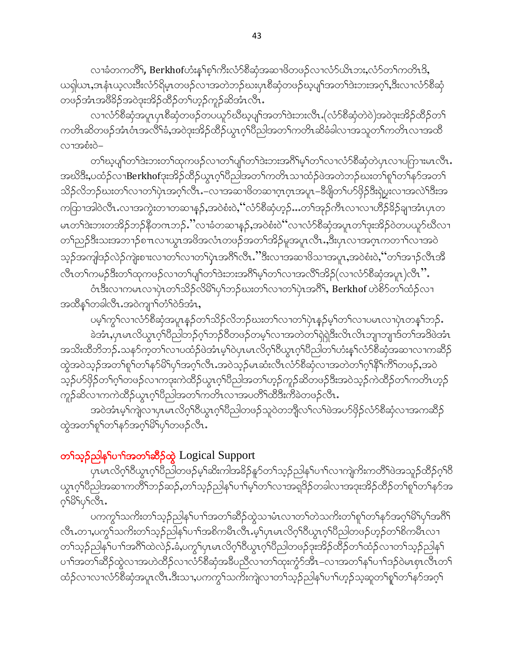လၢခံတကတိိ1်, Berkhofဟံးနဂ်စ့ဂ်ကီးလံဉ်စီဆုံအဆၫဖိတဖဉ်လၢလံဉ်ယိၤဘး,လံဉ်တဂ်ကတိၤဒိ, ယရှါယာႇဒာနံၤယ့လးဒီးလံာ်ရိမ့ၤတဖဉ်လၫအတဲဘဉ်ဃးပုၤစိဆုံတဖဉ်ဃ့ပျၫ်အတၫ်ဒဲးဘးအဂ့ၫ်ႇဒိးလၢလံာ်စိဆုံ တပ်ဦးသမ္မတမ္မသည် အသံပါတို့ သို့သည် အသံပါတာ

လၢလံာ်စီဆုံအပူၤပုၤစီဆုံတဖဉ်တပယူာ်ဃီဃ့ပျၤ်အတၤ်ဒဲးဘးလီၤႉ(လံာ်စီဆုံတဲ၀ဲ)အ၀ဲဒုးအိဉ်ထိဉ်တၤ် ကတိၤဆိတဖဉ်အံၤဝံၤအလိ်<sup>ရ</sup>ခံႇအဝဲဒုးအိဉ်ထိဉ်ယွၤဂ့<sup>ရ</sup>ပြညါအတ<sup>ရ</sup>ကတိၤဆိခံခါလၢအသူတ<sup>ရ</sup>ကတိၤလၢအထိ လၫအစံးဝဲ–

တၫိဃ့ပျာ်တၫ်ဒဲးဘးတၫ်ထုကဖဉ်လၢတၫ်ပျာ်တၫ်ဒဲးဘးအဂိၢိမ့ၢ်တၫ်လၫလံာ်စီဆုံတဲပှၤလၢပဂြာၫးမၤလိၤ. အဃိဒ<mark>ီး</mark>,ပထံဉ်လၢ $\mathrm{Berkhof}$ ုးအိဉ်ထိဉ်ယွπဂ့<sup>ရ</sup>ပီညါအတ<sup>ရ</sup>ကတိၤသၢထံဉ်ဖဲအတဲဘဉ်ဃးတ<sup>ရ</sup>ုရာတ်ရနဉ်အတ<sup>ရ</sup> သိဉ်လိဘဉ်ဃးတၫ်လၢတၫ်ပုဲၤအဂ္ဂၢ်လိၤ.–လၢအဆၢဖိတဆၢဂ္ၤဂ္ၤအပူၤ–ခ်ိဳဖျိတၫ်ဟ်ဖိုဉ်ဒီးရှဲပွးလၢအလဲၫ်ဒီးအ ကဝြာၤအါဝဲလီၤႉလၢအကွဲးတၢတဆၢန္၄်ႇအဝဲစံးဝဲႇၴဴလံ႒စီဆုံဟ့ဉ်…တၤ်အုဉ်ကီၤလၢလၢဟိဉ်<sup>႙ွ</sup>ဉ်ချၢအံၤၦၤတ မၤတၫ်ဒဲးဘးတအိဉ်ဘဉ်နိတဂၤဘဉ်.''လၢခံတဆ႑န္၄်,အဝဲစံးဝဲ''လၢလံာ်စိဆုံအပူၤတၫ်ဒုးအိဉ်ဝဲတပယူာ်ဃီလၢ တၫ်ညဉ်ဒီးသးအဘၫဉ်စπလၫယ္ပၤအဖိအလံၤတဖဉ်အတၫ်အိဉ်မူအပူၤလီၤ…ဒီးပှၤလၢအဂ္ၤကတ႑ါလၢအဝဲ သ္ဥၥအကျါဒဥ်လဲဥယ္ပါးစၫးလ႑တည္ေလာပ္ပါးအပ္မွုတ္ေပးေသးအသက္လက္မွာေသးစားပုံႏွာင္းသမားေလာ့၊ အ လီၤတၫ်ကမဉ်ဒီးတၫ်ထုကဖဉ်လၢတၫ်ပျၫ်တၫ်ဒဲးဘးအဂိၢိမ့ၢ်တၫ်လၢအလိၢ်အိဉ် $($ လၢလံာ်စီဆုံအပူၤ $)$ လီ $\cdot$ ိ $\cdot$ 

ဝံၤဒီးလၢကမၤလၢပှဲၤတၫ်သိဉ်လိမိၫ်ပှၢ်ဘဉ်ဃးတ႑်လၢတ႑်ပုဲၤအဂိါ,Berkhof ဟဲစိ႒်တ႑်ထံဉ်လၢ အထိနှ်ကခါလီၤ.အဝဲကျၫ်တံ်ဝဲဒ်အံၤ,

ပမ့္ပ်က္လွ်ာလၫလံာ်စီဆုံအပူၤန္ဥတ႑်သိဥလိဘဥ်ဃးတ႑်လ႑တ႑ပုံၤန္ဥပမ့္ပ်တ႑်လ႑ပမၤလ႑ပုံၤတန္ ြဘုန်

ခဲအံာႇပုံၤမာလိယ္ဂာဂုိ၊၀ိည္ပါဘဉ်ဂုိးဘဉ်၀ိတဖဉ်တမ့္ပ်လၤအတဲတ႑်ရဲရဲဒီးလိၤလိၤဘျာဘျာဒ်တ႑်အဒိဖဲအံၤ အသိးထိဘိဘဉ်ႉသနဉ်က့တ႑်လၢပထံဉ်ဖဲအံၤမ့္ ဝဲပုၤမၤလိဂ္ ၊ိ၀ိယ္လၤဂ္ ၊ိ၀ိည္ပါတ႑်ဟံးန္ ၊်လံဉ်စီဆုံအဆ႑လ႑ကဆိဉ် ထွဲအဝဲသုဉ်အတ႑်စူ႑်တ႑်နှာ်မိ႑်ပု႑်အဂ္ဂၤလီၤ.အဝဲသုဉ်မၤဆံးလီၤလံာ်စီဆုံလၢအတဲတ႑်ဂ္ဂါနိ႑်ကိြတဖဉ်,အဝဲ သ့ဉ်ပာ်ဖှိဉ်တ႑်ဂ့၂်တဖဉ်လၢကဒုးကဲထိဉ်ယွာဂ့၂်ပီညါအတ၂်ဟ့ဉ်ကူဉ်ဆိတဖဉ်ဒီးအဝဲသ့ဉ်ကဲထိဉ်တ႑်ကတိၤဟ့ဉ် ကူဉ်ဆိလၢကကဲထိဉ်ယွπဂ့ါပိညါအတ႑်ကတိၤလၢအပတိႝၤထိဒီးကိခဲတဖဉ်လိၤႉ

အဝဲအံၤမ့ၢ်ကျဲလၫပှၤမၤလိဂ္<sup>ရ</sup>ဝိယ္ပၤဂ့<sup>ရ</sup>ဝိညါတဖဉ်သူဝဲတဘျိုလ႑်လ႑်ဖဲအပာ်ဖှိဉ်လံာ်စိဆှံလၢအကဆိဉ် ထွဲအတ႑်စူၫ်တ႑်နဉ်အဂ္ဂါမိ႑်ပု႑်တဖဉ်လီၤ.

#### တ<sup>ှ</sup>သေ့ဉ်ညါနှ<sup>င်</sup>ပၫ်အတ<sup>ှ</sup>ဆိဉ်ထွဲ Logical Support

ပြာမာလိဂ္ဂါဝီယွာဂ္ဂါဝီညါတဖဉ်မ့ါဆိုးကါအခိဉ်နူာ်တ1်သ့ဉ်ညါန1်ပၢါလၫကျဲကိုးကတိႝၤဖဲအသူဉ်ထိဉ်ဂ့ါဝီ ယ္လာဂ္<sup>ရ</sup>ဝိညါအဆၫကတိ<sup>ရြ</sup>ဘဉ်ဆဉ်,တၫ်သ့ဉ်ညါန႑်ပ႑ာမှုပ်တ႑်လ႑အရှုဒ်ဉ်တခါလ႑အဒုးအိဉ်ထိဉ်တ႑်ရှ<sup>ြ</sup>တ႑နှာ်အ  $\varphi$ S $\beta$ S $\psi$ S $\alpha$ 

ပကကွ<sup>ှ</sup>သကိိးတ<sup>ှ</sup>သှဉ်ညါနှ1်ပ႑ါအတ1်ဆိိုာ်ထွဲသ႑မံၤလ႑တ1်တဲသကိိးတ<sup>ရ</sup>စူ1်တ1်နဉ်အဂ္ဂါမိ1်ပှ1်အ<sup>8</sup>ြ လီၤ.တၢ,ပက္ဂ<sup>႑</sup>သကိႏတ႑်သူဉ်ညါန<sup>ှ</sup>ုပၢ႑်အစိကမဵၤလီၤ.မ့ฺ<sup>၎</sup>ပုၤမၤလိဂ္<sup>႖</sup>ဝိယ္ၤဂ့ၫ်ပီညါတဖဉ်ဟ့ဉ်တၢိစိကမဵၤလၢ တၫ်သုဉ်ညါန<sup>ှ</sup>ု၊ ၁၂အင်္ဂါထဲလဲဉ်.ခံ,ပကွှ<sup>ရ</sup>ပှၤမၤလိဂ္ဂါဝီယွၤဂ့ါပီညါတဖဉ်ဒုးအိဉ်ထိဉ်တ႑်ထံဉ်လၢတ႑်သုဉ်ညါန<sup>ှ</sup> ပၫႝၗာတ႞ဆီၣ်ထွဲလၢအဟဲထိဉ်လၢလံာ်စီဆုံအခ်ဳပညီလၢတ႞ထုးကွံာ်အိၤ–လၢအတ႞နှၤ်ပၢၢ်ဒဉ်ဝဲမၤစုၤလီၤတ႑် ထံဉ်လၫလ႑လံာ်စိဆှံအပူၤလီၤ.ဒီးသ႑,ပကကွ႑်သကိႏကျဲလ႑တ႑်သူဉ်ညါန<်ပ႑ာ်ဟုဉ်သ့ဆူတ<sup>၎</sup>စူ<sup>၎</sup>တ႑်န>်အဂ္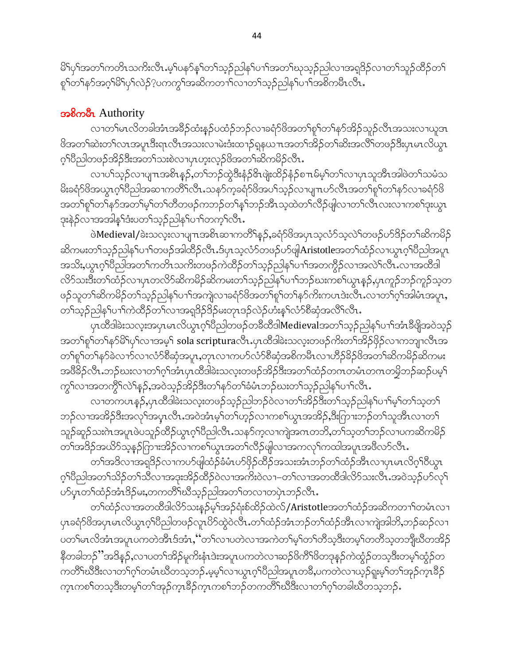မိ1်ပု1်အတ1်ကတိၤသကိဴးလီၤ.မ့1်ပန>်န1်တ1်သူဉ်ညါန1်ပ႑ါအတ1်ဃုသူဉ်ညါလၢအရှုဒိဉ်လၢတ1်သူဉ်ထိဉ်တ1 စှါတါနဉ်အဂ္ဂါမိါပုါလဲဉ်?ပကကွါအဆိကတ႑ါလၢတါသူဉ်ညါနှါပ႑ါအစိကမီၤလီၤ.

#### အစိုက**ိုး** Authority

လၢတၫ်မၤလိတခါအံၤအခ်ိႆဉ်ထံးနဉ်ပထံဉ်ဘဉ်လၢခရံာ်ဖိအတၫ်စူၫ်တ႑်နာ်အိဉ်သူဉ်လီၤအသးလၢယူအ၊ ဖိအတၫ်ဆဲးတၫ်လၤအပူၤဒီးရၤလီၤအသးလၢမဲးဒံးထ႑ာ်ရှနယπအတၫ်အိဉ်တၫ်ဆိုးအလိၤ်တဖဉ်ဒီးပုၤမၤလိယ္( ဂ့်္ဂါ၀ီညါတဖဉ်အိဉ်ဒီးအတ႑်သးစဲလၤပုၤဟူးလ္ဝ်ပိအတ႑်ဆိကမိဉ်လီၤ.

လၢပါသူဉ်လၢပျπအစိၤန္ဉာ့်တၫ်ဘဉ်ထွဲဒီးနံ့ဉ်ဖိၤဖူးထိဉ်နံ့ဉ်စπမ်မ့္ပ်တ႑်လၢပုၤသူအီၤအါဖဲတ႑်သမံသ မိုးခရံာ်ဖိအယွာက်ပြည်သြသောကတိဂ်လီာ…သနာ်ကူခရံာ်ဖိအပါသူဉ်လာပျπပာ်လီာအတဂ်စူဂ်တါနာ်လာခရံာ်ဖိ အတၫ်စူၫ်တၫ်နှာ်အတၫ်မ့ၫ်တ႑်တိတဖဉ်ကဘဉ်တ႑်နှၤ်ဘဉ်အီၤသ့ထဲတ႑်လီဉ်ဖျါလၫတ႑်လီၤလးလ႑ကစ႑်ဒုးယွၤ ဒုးနဲ့ဉ်လၢအအါန1်ဒီးပတ1်သ့ဉ်ညါန1်ပၢါတက့ၢ်လီၤ.

ဖဲ**Medieval/**ခဲးသလူးလၢပျπအစိၤဆၢကတိႝၤန္ဥၨာနၣဴ၆အပုၤသ့လံာ်သ့လဲၤ်တဖဉ်ပာ်ဒိဉ်တၤ်ဆိကမိဉ် ဆိကမးတ<sup>၎</sup>သူဉ်ညါန<sup>ှ</sup>ုပၢါတဖဉ်အါထိဉ်လီၤ.ဒ်ပုၤသ့လံာ်တဖဉ်ပာ်ဖျံ**Aristotle**အတ႑်ထံဉ်လၢယွၤဂ့ါပိညါအပူၤ အသိႏႇယ္လၤဂ့ౕၢိ၀ိညါအတၤ်ကတိၤသကိႏတဖဉ်ကဲထိဉ်တၤ်သူဉ်ညါနၤ်ပၫၤ်အတက္ဂိဉ်လၤအလဲၤ်လီၤႉလၤအထိဒါ လိ5်သးဒီးတၫ်ထံဉ်လၢပုၤတလိ5်ဆိကမိဉ်ဆိကမးတ႑်သ့ဉ်ညါှနှၤ်ပၫာ်ဘဉ်ဃးကစ႑်ယွၤန္ဉာ်,ပှၤကူဉ်ဘဉ်ကူဉ်သ့တ ဖဉ်သူတၫ်ဆိကမိဉ်တၫ်သူဉ်ညါနှၤ်ပၫၤ်အကျဲလၢခရံှာ်ဖိအတ႑်စူၤ်တ႑်နှာ်ကိုးကပၤဒဲးလီၤႉလၢတ႑်ဂ့ၤ်အမြီးအပူး, တၫ်သူဉ်ညါနှၤ်ပၢၤ်ကဲထိဉ်တ႑်လၢအရှဒိဉ်ဒိဉ်မးတုၤဒဉ်လဲဉ်ဟံးနှၤ်လံာ်စီဆုံအလိၤ်လီၤ.

ပုၤထိဒါခဲးသလုံးအပုၤမၤလိယ္လၤဂ့်္ဂါ၀ိညါတဖဉ်တခ်ိထိဒါ<code>Medieval</code>အတ ်သူဉ်ညါန ်ပၫ်ာအံၤခီဖျိအဝဲသ့ဉ် အတ<sup>ှ</sup>ရှာ်တ<sup>ှ</sup>နာမိပြပုဂ်လာအမှှာ် sola scripturaလီၤ.ပုၤထိဒါခဲးသလူးတဖဉ်ကိုးတာ်အိဉ်ဖိုဉ်လာကဘျာလီၤအ တၫ်စူၫ်တ႑်နှာ်ခဲလၫာ်လၢလံာ်စီဆုံအပူၤ,တုၤလၢကပာ်လံာ်စီဆုံအစိကမီၤလၢဟိဉ်ခိဉ်ဖိအတ႑်ဆိကမိဉ်ဆိကမး အဖိခိဉ်လီၤ.ဘဉ်ဃးလၢတၫ်ဂွၢ်အံၤပုၤထိဒါခဲးသလူးတဖဉ်အိဉ်ဒီးအတ႑်ထံဉ်တဂၤတမ်ၤတဂၤတမိဘဉ်ဆဉ်ပမှ႑် ကွှ်လာအတကွိ်လ်ှန့်ဉ်,အဝဲသူဉ်အိဉ်ဒီးတှနှဉ်တှန်မံၤဘဉ်ဃးတှ်သူဉ်ညါနှ်ပၢှ်လီၤ.

လၢတကပၤန္5,ပုၤထိဒါခဲးသလူးတဖဉ်သူဉ်ညါဘဉ်ဝဲလၢတၫ်အိဉ်ဒီးတ႑်သူဉ်ညါန႑်ပ႑ာမှု၂တ႑်သူတ႑် ဘဉ်လၢအအိဉ်ဒီးအလှၢ်အပူၤလီၤ.အဝဲအံၤမ့္ပ်ာက်ပ္ပာ့ဉ်လၢကစ္ပါယ္ပၤအအိဉ်,ဒီးဂြားဘဉ်တ႑်သူအီၤလၢတ႑် သူဉ်ဆူဉ်သးဂဲၤအပူၤဖဲပသူဉ်ထိဉ်ယွၤဂ့ၢ်ပီညါလီၤႉသနၥ်က့လၢကျဲအဂၤတဘိႇတၫ်သ့တၫ်ဘဉ်လၢပကဆိကမိဉ် တၫ်အဒိဉ်အယိ9်သ့နဉ်ကြားအိဉ်လၢကစ႑်ယွာအတ႑်လိဉ်ဖျါလၢအကလှၤ်ကထါအပူာအဖိလ9်လီာ.

တၫ်အဒိလၢအရှုဒိဉ်လၢကပာ်ဖျါထံဉ်ခံမံၤပာ်ဖိုဉ်ထိဉ်အသးအံၤဘဉ်တ႑်ထံဉ်အီၤလၢပုၤမၤလိဂ့ၤ်ဝိယ္ပၤ ဂ့ါ်ပီညါအတၤ်သိဉ်တၤ်သီလၫအဒုးအိဉ်ထိဉ်ဝဲလၫအကိႏဝဲလ႑–တၤ်လၫအတထိဒါလိ်ာသးလီၤႉအဝဲသ့ဉ်ဟ်လှၤ် ဟ်ပုၤတၫ်ထံဉ်အံၤဒိဉ်မး,တကတိႝၤ်ဃိသ့ဉ်ညါအတၤ်တလၢတပုဲၤဘဉ်လီၤ.

တၫ်ထံဉ်လၫအတထိဒါလိ်ာသးနဉ်မ့ၢ်အဉ်ရုံးစ်ထိဉ်ထဲလ်/Aristotleအတၫ်ထံဉ်အဆိကတ႑ာ်တမံၤလ႑ ၦၢခရံာ်<sup>8</sup>အပှၤမၤလိယွၤဂ့<sup>ရ</sup>ပီညါတဖဉ်လူၤပိ႒်ထွဲဝဲလီၤ.တ<sup>၎</sup>ထံဉ်အံၤဘဉ်တ႑်ထံဉ်အီၤလၢကျဲအါဘိႇဘဉ်ဆဉ်လၢ ပတ႑်မၤလိအံၤအပူၤပကတဲအိၤဒ်အံၤႇ 'တ႑်လ႑ပတဲလ႑အကဲတ႑်မ္ ကြာတိသ္ခဒီးတမ္ ၁တတိသူတဘူညီတအိဉ် နိတခါဘဉ်''အဒိနဉ်ႇလၢပတၫ်အိဉ်မူကိႏနံၤဒဲးအပူၤပကတဲလၢဆဉ်ဖိကိ်ၤဖိတဒုနှဉ်ကဲထွံဉ်တသ့ဒီးတမ့ၢ်ထွံဉ်တ ကတိႝၫဃိဒီးလၢတၫ်ဂ့ၢ်တမံၤဃိတသ့ဘဉ်ႉမ့မ့ၤ်လၢယွၤဂ့ၢ်ပိညါအပူၤတခ်ိႇပကတဲလၢယူဉ်ရူးမ့ၢ်တၫ်အှဉ်ကူၤခိဉ် က္ၤကစၫိတသ္ဒဒီးတမ့္ပ်တ႑်အုဉ်က္ၤနိဉ်က္ၤကစ႑်ဘဉ်တကတိ႑်ဃဒိဒီးလ႑တ႑်ဂ္ ၊်တခါဃီတသ္မဘဉ်…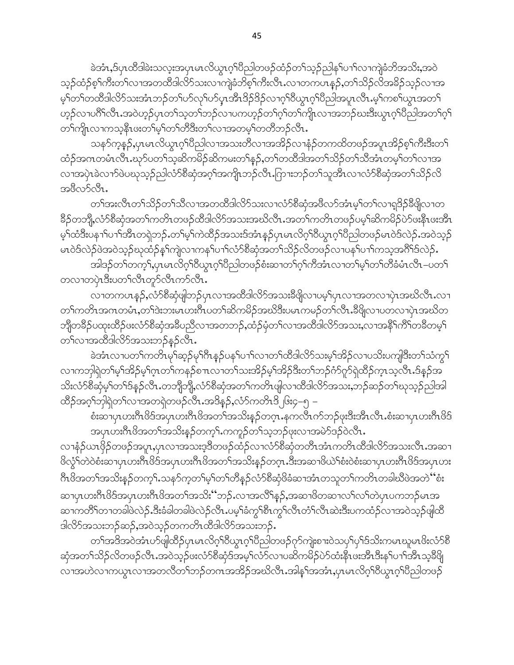ခဲအံၤႇဒ်ပုၤထိဒါခဲးသလူးအပုၤမၤလိယ္ဇၤဂ့ౕၢိပိညါတဖဉ်ထံဉ်တ႑်သူဉ်ညါန႑်ပ႑္ပ်လ႑ကျဲခံဘိအသိႏႇအဝဲ သူဉ်ထံဉ်စ့<sup>၎</sup>ကီးတ႑်လၢအတထိဒါလိ႒်သးလၢကျဲခံဘိစ့႑်ကီးလီၤႉလၢတကပၤန္ဉာ်,တ႑်သိဉ်လိအခိဉ်သူဉ်လၢအ မ့်ၫတ႑်တထိဒါလိဉ်သးအံၤဘဉ်တ႑်ပဉ်လှၤ်ပွားအီၤဒိဉ်ဒိဉ်လၢဂ္ဂၤါတ္လာဂုံပြီညါအပူၤလီၤ.မ့်ၫကစ႑်ယွၤအတ႑် ဟ့ဉ်လၢပဂိၢိလိၤၗအဝဲဟ့ဉ်ပုၤတၫ်သူတၫ်ဘဉ်လၢပကဟ့ဉ်တၫ်ဂ့ၫ်တၫ်ကျိုၤလၢအဘဉ်ဃးဒီးယွၤဂ့ၢိပိညါအတၫ်ဂူၫ တၫ်ကျိုးလၫကသွန်ိဳးဖူးတ႑်မှ႞တ႑်တိဒီးတ႑်လ႑အတမ္ ၂်တတိဘဉ်လီး.

သန>်က္ခန္}ႇပုၤမၤလိယ္စၤဂ့ၫ်ပီညါလၫအသးတိလ႑အအိဉ်လ႑နံဉ်တကထိတဖဉ်အပူၤအိဉ်စ့ၫ်ကီးဒီးတ႑် ထံဉ်အဂၤတမံၤလီၤႉဃုာ်ပတ႑်သူဆိကမိဉ်ဆိကမးတ႑်န္၄်ႇတ႑်တထိဒါအတ႑်သိဉ်တ႑်သီအံၤတမ္႑်တ႑်လ႑အ လၢအပုံၤခဲလၢာ်ဖဲပဃုသူဉ်ညါလံာ်စီဆုံအဂ္ဂါအကျိုၤဘဉ်လီၤႉဂြာၢးဘဉ်တ႑်သူအီၤလၢလံာ်စီဆုံအတ႑်သိဉ်လိ အဖိလာ်လိၤ.

တၫ်အးလီၤတၫ်သိဉ်တ႑်သိလၢအတထိဒါလိဉ်သးလၢလံဉ်စိဆုံအဖိလာ်အံၤမ့ှ်တ႑်လၢရှုဒိဉ်နိဖျိလၢတ နိ5်တဘို့,လံာ်စီဆုံအတ႑်ကတိၤတဖဉ်ထိဒါလိာ်အသးအဃိလီၤ.အတ႑်ကတိၤတဖဉ်ပမ့ၢ်ဆိကမိဉ်ပဲာ်ဖႏနီၤဖးအီၤ မ့်ၢ်ထံဒီးပနาၤ်ပၢၤ်အိၤတရဲဘဉ်ႉတၤ်မ့ၤ်ကဲထိဉ်အသးဒ်အံၤန္ဉာပုၤမၤလိဂ္႞၀ိယ္(၁) စည္ပါတဖဉ်မၤ၀ဲဒ်လဲဉ်ႉအ၀ဲသ္ဉာ မၤဝဲဒ်လဲဉ်ဖဲအဝဲသ့ဉ်ဃုထံဉ်နှၤ်ကျဲလၢကနှၤ်ပၢၤ်လံာ်စီဆုံအတၤ်သိဉ်လိတဖဉ်လၢပနှၤ်ပၢၤ်ကသ့အဂီၤ်ဒ်လဲဉ်.

အါဒဉ်တၫ်တက့ౕ ,ပုၤမၤလိဂ့ౕၢ၀ိယ္လၤဂ့ౕၢ၀ိညါတဖဉ်စံးဆၢတ႑်ဂ့ၤ်ကီအံၤလၢတ႑်မှၤ်တ႑်တိံခံမံၤလီၤ−ပတ႑် တလၢတပုံၤဒီးပတၫ်လီၤတုဉ်လီၤကဉ်လီၤ.

လၢတကပၤန္5်ႇလံာ်စီဆုံဖျဲဘဉ်ပုၤလၢအထိဒါလိာ်အသးခ်ိဖျိလၢပမ့ၢ်ပုၤလၢအတလၢပုဲၤအဃိလီၤ.လၢ တၫ်ကတိၤအဂၤတမံၤႇတၫ်ဒဲးဘးမၤဟးဂိၤပတ႑်ဆိကမိဉ်အဃိဒိးပမၤကမဉ်တ႑်လီၤ.နိၛိလၢပတလၢပှဲၤအဃိတ ဘျီတခ်ိဉ်ပထုးထိဉ်ဖးလံာ်စိဆုံအခ်ိပညိလၢအတဘဉ်,ထံဉ်မုံတ႑်လၢအထိဒါလိာ်အသး,လၢအနိ႑်ကိြတခ်ိတမ့္ တ႑်လၫအထိဒါလိ႒်အသးဘဉ်နဉ်လီၤ.

ခဲအံၤလၢပတၫ်ကတိၤမှၫ်ဆ္ဥ်မှၫ်ဂိၤန္ဥပနှ႑်ပ႑ာ်လၢတ႑်ထိဒါလိဉ်သးမှုၫ်အိဥ်လၢပသိႏပကျါဒီးတ႑်သံကွ႑် လၢကဘုါရဲတၫ်မှၫအိဉ်မှၫ်ဂ္ဂၤတ႑်ကနဉ်စ႑ာလၢတ႑်သးအိဉ်မှၫအိဉ်ဒီးတ႑်ဘဉ်ဂံဉ်ဂူဉ်ရဲထိဉ်က္႑သ့လီၤ.ဒ်နှဉ်အ သိးလံာ်စီဆုံမှၤ်တၤ်ဒ်န္5လီၤ.တဘျီဘျို,လံာ်စီဆုံအတၤ်ကတိၤဖျါလၢထိဒါလိာ်အသး,ဘဉ်ဆဉ်တၤ်ဃုသု့ဉ်ညါအါ ထိဉ်အဂ္s်ာဘုါရဲတs်လၢအတရဲတဖဉ်လီၤ.အဒိန္ဉာ,လံာ်ကတိၤဒိ မြး၄–၅ –

စံးဆၢပုၤဟးဂ်ီၤဖိဒ်အပုၤဟးဂ်ီၤဖိအတ႑်အသိးန္ဥတဂူၤ.နကလီၤက်ဘဉ်ဖုးဒီးအီၤလီၤ.စံးဆၢပုၤဟးဂ်ီၤဖိဒ် အပုၤဟးဂ်ီၤဖိအတ႑်အသိးန္ဉာိတက္႑်ႉကကူဉ်တ႑်သ့ဘဉ်ဖုးလၢအမဲာ်ဒဉ်ဝဲလီၤႉ

လၢနံဉိယၤဖှိဉ်တဖဉ်အပူၤ,ပှၤလၢအသးဒ့ဒိတဖဉ်ထံဉ်လၢလံာ်စိဆုံတတိၤအံၤကတိၤထိဒါလိာ်အသးလိၤ.အဆ႑ ဖိလ္ဂ်ဲ တဲဝဲစံးဆၫပုၤဟးဂ်ီၤဖိဒ်အပုၤဟးဂ်ီၤဖိအတ႑်အသိးန္႕်တဂ္ၤ.ဒီးအဆ႑ဖိယဲ ်ျစံးဝဲစံးဆ႑ပုၤဟးဂ်ီၤဖိဒ်အပုၤဟး ဂီၤဖိအတၫ်အသိးနှဉ်တက့႑်.သနဉ်က့တ႑်မှ႞တ႑်တိန္ဉာလံဉ်စီဆုံဖိခံဆၢအံၤတသူတ႑်ကတိၤတခါဃိဖဲအတဲ ''စံး ဆၢပုၤဟးဂ်ီၤဖိဒ်အပုၤဟးဂ်ီၤဖိအတ႑်အသိး'´ဘဉ်ႉလၢအလိ႑်န္၄်,အဆၢဖိတဆၢလ႑်လ႑်တဲပုၤပကဘဉ်မၤအ ဆၢကတိႝ႞တၫတခါဖဲလဲဉ်ႉဒီးခံခါတခါဖဲလဲဉ်လီၤႉပမ့ါ်ခံကွါ်စီၤကွါလီၤတံါလီၤဆဲးဒီးပကထံဉ်လၢအဝဲသ့ဉ်ဖျါထိ ဒါလိ်ာအသးဘဉ်ဆဉ်,အဝဲသ့ဉ်တကတိၤထီဒါလိ်ာအသးဘဉ်.

တၫ်အဒိအဝဲအံၤဟ်ဖျါထိဉ်ပုၤမၤလိဂ္ဂၢိ၀ိယ္မၤဂ့ၢ်ပိညါတဖဉ်ဂုာ်ကျဲးစၫးဝဲသပုၢိပုၢ်ဒ်သိးကမၤဃူမၤဖိးလံာ်စိ ဆုံအတ႑်သိဉ်လိတဖဉ်လီၤ.အဝဲသူဉ်ဖးလံာ်စီဆုံဒ်အမှ့ၫ်လံာ်လၢပဆိကမိဉ်ပဲာ်ထံးနီၤဖးအီၤဒီးနှၤ်ပၢၤ်အီၤသ့ခ်ီဖြု လၢအဟဲလၢကယ္မွာလၢအတလိတၫ်ဘဉ်တဂၤအအိဉ်အဃိလီၤ.အါန္1်အအံၤ,ပုာမာလိဂ္နာတိယ္ရာဂုိးပညာါတဖဉ်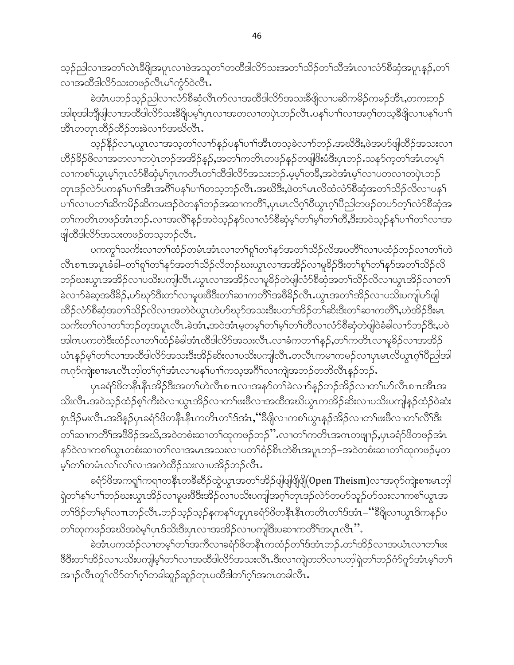သူဉ်ညါလၢအတ႑်လဲၤနိဖြိုအပူၤလၢဖဲအသူတ႑်တထိဒါလိ5်သးအတ႑်သိဉ်တ႑်သိအံၤလၢလံာ်စိဆုံအပူၤန္ဉဉ်,တ႑် လၫအထိဒါလိ5သးတဖဉ်လီၤမၫ်ကွံ5်ဝဲလီၤ.

ခဲအံၤပဘဉ်သုဉ်ညါလၢလံာ်စီဆုံလီၤက်လၢအထိဒါလိာ်အသးခ်ီဖျိလၢပဆိကမိဉ်ကမဉ်အိၤႇတကးဘဉ် အါစုအါဘိုုဖျါလၫအထိဒါလိ5်သးခ်ိဖြုပမ့်ၫပုၤလၫအတလ႑တပုဲၤဘဉ်လိၤႉပန1်ပ႑ါလ႑အဂ္န1်တသ့ခ်ိဖြိုလ႑ပန1်ပ႑ါ အီၤတတုၤထိဉ်ထိဉ်ဘးခဲလၢာ်အဃိလီၤ.

သူဉ်နိ5်လၢ,ယွၤလၢအသူတ႑်လၢာ်နှဉ်ပန႑်ပၢၢိအိၤတသူခဲလၢာ်ဘဉ်.အဃိဒီး,ဖဲအဟ်ဖျါထိဉ်အသးလၢ ဟိႆဉ်<sup>8</sup>ဉ်ဖိလၢအတလၢတပုံၤဘဉ်အအိဉ်နဉ်,အတ<sup>ု</sup>ကတိၤတဖဉ်နဉ်တဖျဖိးမံဒီးပုၤဘဉ်ႉသနၥ်က့တ<sup>၎</sup>အံၤတမ့<sup>၎</sup> လၫကစၫိယ္မွာမူၫိဂူးလံာ်စီဆုံမ့ၫိဂူးကတိၤတ႑်ထီဒါလိာ်အသးဘဉ်ႇမ့မ့ၫ်တခ်ိႇအဝဲအံၤမ့ၫ်လ႑ပတလ႑တပုံၤဘဉ် တုၤဒဉ်လဲဉ်ပကန<်ပ႑ာအိုးအဂိ်ါပနှါပ႑ါတသ့ဘဉ်လီၤ.အဃိဒီး,ဖဲတ႑်မၤလိထံလံဉ်စီဆုံအတ႑်သိဉ်လိလ႑ပနှ႑် ပၢါလၢပတၫ်ဆိကမိဉ်ဆိကမးဒဉ်ဝဲတန1်ဘဉ်အဆၢကတိိ1,ပုၤမၤလိဂ္<sup>ရ</sup>ဝိယ္လၤဂ္<sup>ရ</sup>ပိညါတဖဉ်တပာ်တ့ၤ်လံာ်စိဆုံအ တၫ်ကတိၤတဖဉ်အံၤဘဉ်ႉလၢအလိ်၊နဉ်အဝဲသ့ဉ်နဉ်လၢလံာ်စိဆုံမ့ၢ်တၢ်မ့ၢ်တၢ်တိ,ဒီးအဝဲသ့ဉ်နှ၊်ပၢါတၢ်လၢအ ဖျါထီဒါလိ5်အသးတဖဉ်တသ့ဘဉ်လိၤႉ

ပကကွ<code>s</code>သကိးလၫတ႑်ထံဉ်တမံၤအံၤလၫတ႑်စူ<code>S</code>တ႑်နှဉ်အတ႑်သိဉ်လိအပတိၤ်လ႑ပထံဉ်ဘဉ်လ႑တ႑်ဟဲ လီၤစπအပူၤခံခါ–တၫ်စူၫ်တ႑်နှာ်အတ႑်သိဉ်လိဘဉ်ဃးယွာလၢအအိဉ်လၢမှုခိဉ်ဒီးတ႑်စူၫ်တ႑်နှာ်အတ႑်သိဉ်လိ ဘဉ်ဃးယွၤအအိဉ်လၢပသိးပကျါလီၤႉယွၤလၢအအိဉ်လၢမှုခိဉ်တဲဖျါလံာ်စီဆုံအတ႑်သိဉ်လိလၢယွၤအိဉ်လၢတ႑် ခဲလ႑ာ်ခဲဆ့အဗိဒိဉ်,ပာ်ဃှာ်ဒီးတ႑်လ႑မှုဖူးဗီဒီးတ႑်ဆ႑ကတိႝ အဗိဒိဉ်လီၤ.ယွၤအတ႑်အိဉ်လ႑ပသိုးပကျါပာ်ဖျါ ထိဉ်လံာ်စီဆုံအတ႑်သိဉ်လိလၢအတဲဝဲယွၤဟဲဟ်ဃုာ်အသးဒီးပတ႑်အိဉ်တ႑်ဆိးဒီးတ႑်ဆၢကတိိ႑်,ဟဲအိဉ်ဒီးမၤ သကိႏတ႑်လ႑တ႑်ဘဉ်တဲ့အပူၤလိၤႉခဲအံၤႇအဝဲအံၤမ္စတမ့႑်တ႑်မ္]်တ႑်တိလ႑လံာစိဆုံတဲဖျါဝဲခံခါလ႑ာ်ဘဉ်ဒီးႇပဝဲ အါဂၤပကတဲဒီးထံဉ်လၢတၫ်ထံဉ်ခံခါအံၤထိဒါလိ႒်အသးလီၤႉလၢခံကတၫၢိန္ဉာ,တ႑်ကတိၤလၢမှုခိဉ်လၢအအိဉ် ယံၤန္ဥ်မ္်ာတ႑်လၢအထိဒါလိဉ်အသးဒီးအိဉ်ဆိုးလ႑ပသိႏပက္ပါလိ႑တလိ႑ကမ႑ကမဉ်လ႑ပုၤမၤလိယ္မ႑ဂ္နါဝိညါအါ ဂၤဂုာ်ကျဲးစၢးမၤလီၤဘုါတၫ်ဂုၫ်အံၤလၢပန႑်ပၢၤ်ကသ္ခအဂ်ီၫ်လၢကျဲအဘဉ်တဘိလီၤန္ဉာ်ဘဉ်.

ပုၤခရံာ်ဖိတနိၤနိၤအိဉ်ဒီးအတၤ်ဟဲလီၤစ႑ာလၢအနဉ်တၤ်ခဲလၢာ်နဉ်ဘဉ်အိဉ်လၢတၤ်ဟ်လီၤစ႑ာအီၤအ သိးလီၤႉအဝဲသ့ဉ်ထံဉ်စ့<sup>၎</sup>ကီးဝဲလၢယွၤအိဉ်လၢတၫ်ဖးဖီလၢအထိအဃိယွၤကအိဉ်ဆိးလၢပသိးပကျါနှဉ်ထံဉ်ဝဲဆံး စုၤဒိဉ်မးလီၤ.အဒိန္ဉ်ပုၤခရံာ်ဖိတနိၱၤနီၤကတိၤတၤ်ဒ်အံၤ,''ခ်ိဳဖျိလၢကစၤ်ယွၤန္ဉာ်အိဉ်လၢတၤ်ဖီးဖိလၢတၤ်လီၤ်ဒီး တၫ်ဆၢကတိႝၫ်အဖိခိဉ်အဃိႇအဝဲတစံးဆၢတၫ်ထုကဖဉ်ဘဉ်'' လၢတၫ်ကတိၤအဂၤတဖျာဉ်ႇပုၤခရံာ်ဖိတဖဉ်အံၤ နာ်ဝဲလၢကစၫ်ယွၤတစီးဆၢတၫ်လၢအမၤအသးလၢပတၫ်စံဉ်စိၤတဲစိၤအပူၤဘဉ်–အဝဲတစံးဆၢတၫ်ထုကဖဉ်မ့တ မ့်)တ်ကမံးလျှလ်ပေးအကဲထိဉ်သးလျပအိဉ်ဘဉ်လီး.

ခရံာ်<sup>ပြ</sup>အကၡု၊်ကရၢတနိၤတခ်ိဆိဉ်ထွဲယွာအတ<sup>ရ</sup>အိဉ်ဖျံဖျံဖြိုဖြို **Open Theism)**လၢအဂုာ်ကျဲးစၫးမာဘုါ ရဲတၫန႑်ပ႑ာဘည်ဃးယွာအိဉ်လ႑မူဖးဖိဒီးအိဉ်လ႑ပသိးပကျါအဂ္ဂါတုၤဒဉ်လဲာ်တပာ်သူဉ်ပာ်သးလ႑ကစ႑်ယွာအ တၫ်ဒိဉ်တ႑်မှ႞လ႑ာဘဉ်လီၤ.ဘဉ်သ့ဉ်သ့ဉ်နကန႑်ဟူပုၤခရံာ်ဖိတနိုၤနီၤကတိၤတ႑်ဒ်အံၤ–''ဒီဖျိလ႑ယွၤဒိကနဉ်ပ တၫ်ထုကဖဉ်အဃိအဝဲမ့ၢိပုၤဒ်သိးဒီးပုၤလၢအအိဉ်လၢပကျါဒီးပဆၢကတိႝၤအပူၤလီၤ''.

ခဲအံၤပကထံဉ်လၢတမ့်္ဂတ႑်အကီလၢခရံှာ်ဖိတနိုၤကထံဉ်တ႑်ဒ်အံၤဘဉ်ႉတ႑်အိဉ်လၢအယံၤလၢတ႑်ဖး ဖြိ§ိးတ႑်အိဉ်လ႑ပသိုးပကျါမ့္ပ်တ႑်လ႑အထီဒါလိဉ်အသးလိ႑ႉဒီးလ႑ကျဲတဘိလ႑ပဘုါရဲတ႑်ဘဉ်ဂံဉ်ဂူဉ်အံၤမ့္ပ်တ႑် အၫဉ်လီၤတူၫ်လိ်ာတၫ်ဂ့ၫ်တခါဆူဉ်ဆူဉ်တုၤပထိဒါတ႑်ဂ့ၫ်အကတခါလီၤ.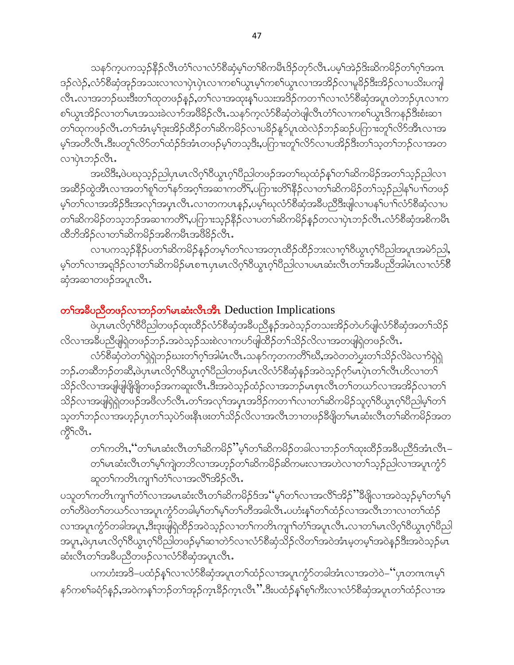သန>်က္နပကသူဉ်နိုဉ်လီၤတံ်ၤလၤလံာ်စီဆုံမ့ၤ်တၤ်စိကမီၤဒိဉ်တုာ်လီၤႉပမ့ၤ်အဲဉ်ဒိးဆိကမိဉ်တၤ်ဂ့ၤ်အက ဒဉ်လဲဉ်,လံာ်စီဆုံအုဉ်အသးလၢလၢပှဲၤပှဲၤလၢကစၫ်ယွၤမ့ၢ်ကစၫ်ယွၤလၢအအိဉ်လၢမူခိဉ်ဒီးအိဉ်လၢပသိးပကျါ လီၤႉလၢအဘဉ်ဃးဒီးတၫ်ထုတဖဉ်နဉ်,တ႑်လၢအထုးနှၤ်ပသးအဒိဉ်ကတၢၤ်လၢလံာ်စိဆုံအပူၤတဲဘဉ်ပုၤလၢက စၢိယ္ဂၤအိဉ်လၢတၫ်မၤအသးခဲလၫာ်အဖိခိဉ်လိၤႉသနာ်က့လံာ်စီဆုံတဲဖျါလီၤတံၤ်လၢကစၤ်ယွၤဒိကနဉ်ဒီးစံးဆ႑ တၫ်ထုကဖဉ်လီၤ.တၫ်အံၤမ့ၫ်ဒုးအိဉ်ထိဉ်တ႑်ဆိကမိဉ်လ႑ပခိဉ်နှဉ်ပူၤထဲလဲဉ်ဘဉ်ဆဉ်ပကြားတှ႑်လိဉ်အီၤလ႑အ မ့်)အတီလီၤ.ဒီးပတူ်လိ်ာတ်ကဲ့ဉ်ဒ်အံၤတဖဉ်မ့ှါတသ့ဒီး,ပကြားတူ်လိ်ာလၢပအိဉ်ဒီးတ႑်သ့တ႑်ဘဉ်လၢအတ လၢပုံၤဘဉ်လီၤ.

အဃိဒီး,ဖဲပဃုသ့ဉ်ညါပုၤမၤလိဂ္ဂၢိ၀ိယ္မၤဂ္ဂၢိ၀ိညါတဖဉ်အတၤ်ဃုထံဉ်န္ ်တ႑်ဆိကမိဉ်အတ႑်သူဉ်ညါလ႑ အဆိဉ်ထွဲအီၤလၢအတၫ်စူၫ်တ႑်နှာ်အဂ္ဂါအဆ႑ကတိိ႑်ပကြားတိ႑်နိုဉ်လ႑တ႑်ဆိကမိဉ်တ႑်သူဉ်ညါန႑်ပ႑ာ်တဖဉ် မ့်)တဉ်လာအအိဉ်ဒီးအလှာ်အပူာလီာႉလာတကဟန္နဉ်,ပမ့်ာဆုလံာ်စီဆုံအခ်ဳပညီဒီးဖျလာပနဉ်ပာဉ်လံာစီဆုံလာပ တၫ်ဆိကမိဉ်တသ့ဘဉ်အဆၫကတိိၢႇပကြားသ့ဉ်နိဉ်လ႑ပတ႑်ဆိကမိဉ်နှဉ်တလ႑ပှဲၤဘဉ်လီၤႉလံာ်စိဆုံအစိကမီၤ ထီဘိအိဉ်လၢတၫ်ဆိကမိဉ်အစိကမီၤအဖီခိဉ်လီၤ.

လၢပကသူဉ်နိ5ုပတ1်ဆိကမိဉ်နဉ်တမ့ၢ်တ႑်လၢအတုၤထိဉ်ထိဉ်ဘးလၢဂ့ၢိဝိယ္ဓၤဂ့ၢိပိညါအပူၤအမဲာ်ညါ, မ့်)တာလာအရှုဒိဉ်လာတ်၊ဆိကမိဉ်မာစπပှာမာလိဂ့်)ဝိယွာဂ့်္ဂါဝိည္ပါလာပမာဆံးလီၤတၢ်အခ်ိဳပညီအါမံၤလာလံာ်စီ ဆုံအဆၢတဖဉ်အပူၤလိၤႉ

# တ<sup>ှ</sup>အခ်ိပညီတဖဉ်လၫဘဉ်တှ်မာဆံးလီၤအိၤ Deduction Implications

ဖဲပုၤမၤလိဂ္ဂၢိ၀ိပိညါတဖဉ်ထုးထိဉ်လံာ်စိဆုံအခ်ဳပညီနှဉ်အဝဲသ့ဉ်တသးအိဉ်တဲဟ်ဖျဲလံာ်စိဆုံအတ႑်သိဉ် လိလၢအခ်ဳပညီဖျဲရဲတဖဉ်ဘဉ်.အဝဲသ့ဉ်သးစဲလၢကဟ်ဖျဲထိဉ်တ႑်သိဉ်လိလၢအတဖျဲရဲတဖဉ်လီၤ.

လံာ်စီဆုံတဲတၫ်ရဲရဲဘဉ်ဃးတၫ်ဂူၫ်အါမံၤလီၤႉသန5်က္ခတကတိႝၤ်ဃိႇအဝဲတတဲပူးတ႑်သိဉ်လိခဲလ႑ာ်ရဲရဲ ဘဉ်ႉတဆီဘဉ်တဆီ,ဖဲပုၤမၤလိဂ္ဂၢိ၀ိယ္ဓၤဂ့ၢ်ပီညါတဖဉ်မၤလိလံာ်စီဆုံန္ဦအဝဲသူဉ်ဂုာ်မၤပုဲၤတၢ်လီၤဟိလၢတ႑် သိဉ်လိလၫအဖျံဖျံဖြိုဖြိုတဖဉ်အကဆူးလီၤ.ဒီးအဝဲသ့ဉ်ထံဉ်လၫအဘဉ်မၤစုၤလီၤတၫ်တယာ်လၢအအိဉ်လ႑တ႑် သိဉ်လၫအဖျဲရဲရဲတဖဉ်အဖိလာ်လီၤႉတၫ်အလှၤ်အပူၤအဒိဉ်ကတ႑ာ်လ႑တ႑်ဆိကမိဉ်သူဂ္ုံဝိယ္လၤဂ္ုံဝိညါမ့္ပ်တ႑် သ့တၫ်ဘဉ်လၢအဟ့ဉ်ပုၤတၫ်သ့ပဲာ်ဖးနီၤဖးတ႑်သိဉ်လိလၢအလီၤဘၢတဖဉ်ခီဖျိတ႑်မၤဆံးလီၤတ႑်ဆိကမိဉ်အတ  $\frac{1}{2}$ 

တၫ်ကတိၤႇဴတၫ်မၤဆံးလီၤတၫ်ဆိကမိဉ်''မဲ့ၫ်တၫ်ဆိကမိဉ်တခါလၫဘဉ်တၫ်ထုးထိဉ်အခီပညီဒ်အံၤလိၤ– တၫ်မၤဆံးလီၤတၫ်မှၫ်ကျဲတဘိလၢအဟ့ဉ်တ႑်ဆိကမိဉ်ဆိကမးလၢအဟဲလၢတ႑်သွဉ်ညါလၢအပူၤက္ဂံ၁် ဆူတၫ်ကတိၤကျၫ်တံၫ်လၢအလိံၤအိဉ်လိၤ.

ပသူတၫ်ကတိၤကျၫ်တံၫ်လၢအမၤဆံးလီၤတၫ်ဆိကမိဉ်ဒ်အ''မ့ၢ်တၫ်လၢအလိၤ်အိဉ်''ဒီဖျိလၢအဝဲသုဉ်မ့ၢ်တၫ်မ့႑် တၫ်တိဖဲတၫ်တယာ်လၢအပူၤကွံာ်တခါမ့ၫ်တ႑်မ့ၫ်တ႑်တိအခါလီၤ.ပဟံးနှၤ်တ႑်ထံဉ်လၢအလီၤဘၢလၢတ႑်ထံဉ် လၢအပူၤကွံာ်တခါအပူၤ,ဒီးဒုးဖျံရဲထိဉ်အဝဲသ့ဉ်လၢတၫ်ကတိၤကျၫ်တံၢ်အပူၤလီၤ.လၢတၢ်မၤလိဂ့ၢ်ဝိယ္πဂ့ၢ်ပိညါ အပူး,ဖဲပုၤမၤလိဂ္ုံ၀ိယ္ယၤဂ္ုံ၀ိည္ပါတဖဉ်မ့္ပ်ာဆ႑တဲ့၁်လ႑လံာ်စီဆုံသိဉ်လိတ္ပ်အဝဲအံၤမ့တမ့္ပ်ာအဝဲန္ဉာဒီးအဝဲသ္ဉ်မၤ ဆံးလီၤတၫ်အခ်ဳပညီတဖဉ်လၢလံာ်စိဆုံအပူၤလီၤ.

ပကဟံးအဒိ–ပထံဉ်နှၤ်လၢလံာ်စိဆုံအပူၤတၢ်ထံဉ်လၢအပူၤကွံာ်တခါအံၤလၢအတဲဝဲ–''ပှၤတဂၤဂၤမ့ၤ် နဉ်ကစါ်ခရံဉ်နဉ်,အဝဲကန္1ိဘဉ်တါအှဉ်ကူၤဒိဉ်ကူၤလီၤ'' ဒီးပထံဉ်နှါစ့ါကီးလၢလံာ်စီဆုံအပူၤတါထံဉ်လၢအ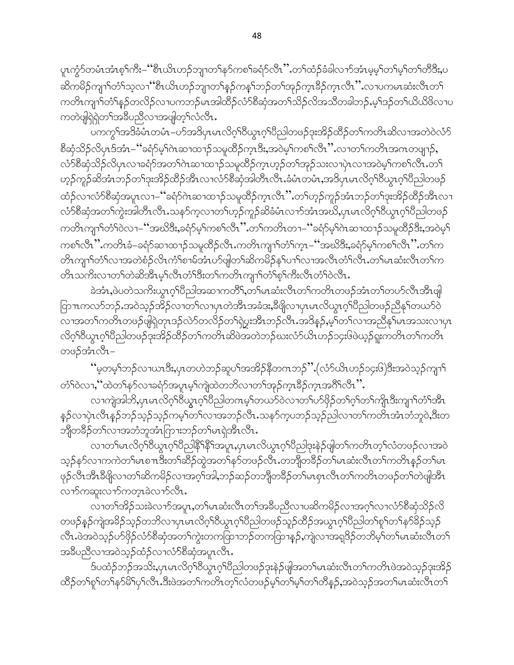ပူၤက္စႆာ်တမံၤအံၤစ္ฺ<sup>ရ</sup>က်ိဳး–''ိစီၤယိၤဟဉ်ဘျၢတ႑်နာ်ကစ႑်ခရံာ်လီၤ'' တ႑်ထံဉ်ခံခါလ႑ာ်အံၤမ့မ္္မာ်တ႑်မ့္ပ်တ႑်တိဒ္မ်ိဳး,ပ ဆိကမိဉ်ကျၢ<sup>ှ</sup>တံ်ှသ့လၢ ပိုးယိၤဟဉ်ဘျာတၢိန္ဉာ်ကန္ ်ဘဉ်တၢ်အုဉ်က္ၤခ်ိဉ်က္ၤလိၤ'' လၢပကမၤဆံးလီၤတ႑် ကတိၤကျၫ်တံၫ်နှဉ်တလိဉ်လၢပကဘဉ်မၤအါထိဉ်လံာ်စိဆုံအတ႑်သိဉ်လိအသိတခါဘဉ်.မှၤ်ဒဉ်တ႑်ယိယိဖိလၢပ ကတဲဖျါရဲရဲတၫ်အခ်ဳပညီလၫအဖျါတ့ၫ်လံလီၤ.

ပကကွ်္ဂါအဒိခံမံၤတမံၤ–ပာ်အဒိပုၤမၤလိဂ့်ၢိ၀ိယ္ပၤဂ့်ၢိပိညါတဖဉ်ဒုးအိဉ်ထိဉ်တ႑်ကတိၤဆိလၢအတဲဝဲလံာ် စိဆုံသိဉ်လိပုၤဒ်အံၤ– ''ခရံှာမ့်ၫ်ဂဲၤဆၢထ႑ာ်သမှုထိဉ်က္πဒီး,အဝဲမ့ၢ်ကစၫ်လီၤ'' လ႑တ႑်ကတိၤအဂၤတဖျ႑ဉ်, လံာ်စီဆုံသိဉ်လိပုၤလၢခရံာ်အတ႑်ဂဲၤဆၢထၢဉ်သမှုထိဉ်က္ၤဟ့ဉ်တ႑်အှဉ်သးလၢပုဲၤလၢအဝဲမ့႑်ကစ႑်လီၤ.တ႑် ဟ့ဉ်ကူဉ်ဆိအံၤဘဉ်တၫ်ဒုးအိဉ်ထိဉ်အီၤလၢလံာ်စီဆုံအါတီၤလီၤ.ခံမံၤတမံၤ,အဒိပှၤမၤလိဂ့ၢ်ဝိယွၤဂ့ၢ်ပိညါတဖဉ် ထံဉ်လၢလံာ်စီဆုံအပူၤလၢ–''ခရံာ်ဂဲၤဆၢထၢဉ်သမူထိဉ်က္ၤလိၤ'' တၫ်ဟ္ဉာ်ကူဉ်အံၤဘဉ်တ႑်ဒုးအိဉ်ထိဉ်အီၤလၢ လံာ်စီဆုံအတၫ်ကွဲးအါတီၤလီၤ.သနာ်က့လၢတ႑်ဟ္ဥာ်ကူဉ်ဆိခံမံၤလၫာ်အံၤအဃိ,ပုၤမၤလိဂ္<sup>ရ</sup>ဝိယ္ဂၤဂ့ၫ်၀ိညါတဖဉ် ကတိၤကျၫ်တံ်ဝဲလၢ–''အဃိဒီး,ခရံဉ်မှါကစါလိၤ'' တါကတိၤတၢ–''ခရံဉ်မ့ါဂဲၤဆၢထၢဉ်သမှုထိဉ်ဒီး,အဝဲမှါ ကစၫ်လီၤ''ိ.ကတိၤခံ–ခရံဉ်ဆၢထၢဉ်သမူထိဉ်လီၤ.ကတိၤကျၢၤ်တံၤ်က္ၤ–''အဃိဒိး,ခရံဉ်မ့ၤ်ကစၤ်လီၤ''.တၤ်က တိၤကျၫ်တံ်လၫအတဲစံဉ်လိၤကံ်ျစၫမ်အံၤဟ်ဖျါတၫ်ဆိကမိဉ်နှၤ်ပၫ်လ႑အလီၤတံၤလီၤတၤ်မၤဆံးလီၤတၤ်က တိၤသကိႏလၢတၫ်တဲဆိအိၤမ္နှုလိၤတံ႑်ဒီးတ႑်ကတိၤကျၤာ်တဲ႑်စ္နှုပ်ကိုးလွိၤတဲ့၂၀ဲလွိၤ

ခဲအံၤႇဖဲပတဲသကိႏယ္ပၤဂ္ဂၤ်ပိညါအဆ႑ကတိိၢႇတ႑်မၤဆံးလီၤတ႑်ကတိၤတဖဉ်အံၤတၤ်တပာ်လီၤအီၤဖျါ ြာ πကလာ်ဘဉ် အဝဲသ့ဉ်အိဉ်လၢတ႑်လၢပုၤတဲအိၤအခံဒး,ဒီဖျိလၢပုၤမၤလိယ္ဂၤဂ့ၢိပိညါတဖဉ်ညီနှၤ်တယာ်ဝဲ လၢအတၤ်ကတိၤတဖဉ်ဖျဲရဲတုၤဒဉ်လဲာ်တလိဉ်တၤ်ရဲပွးအီၤဘဉ်လီၤ.အဒိန္ဉ်,မ့ၤ်တၤ်လၢအညီနှၤ်မၤအသးလၢပုၤ လိဂ္နါ၀ိယ္စၤဂ္နါ၀ိည္ပါတဖ္ဥဴအေနာက္ရွိသိဥ္မ်ာတြက္လည္းအဖြဲဘာဥတ္မ်ားတုံသိုးတုံသင္းဖြဲ့ဖဲ့သူ၌ရူးကတိၤတုပါကတိၤ တဖဉ်အံၤလီၤ–

''မှတမ့်ၢ်ဘဉ်လၢယၤဒီး,ပုၤတဟဲဘဉ်ဆူပၢ်အအိဉ်နိတဂၤဘဉ်'' (လံဉ်ယိၤဟဉ်၁၄း၆)ဒီးအဝဲသ့ဉ်ကျၢၢ် တံ်ျဝဲလၢႇိသတ်ော်နဉ်လၢခရံှာ်အပူးမှု၊်ကျဲထဲတဘိလၢတၫ်အှဉ်ကူးခြဉ်ကူးအဂိ်းလိုး ".

လၫကျဲအါဘိႇပုၤမၤလိဂ္ုံဝိယ္ယၤဂ္ုံဝိညါတဂၤမ့္ပ်တယာ်ဝဲလ႑တ႑်ပာ်ဖိုဉ်တ႑်ဂ္ုံတ႑်ကျိုၤဒီးကျ႑်တံ႑အိၤ န္ဉ်လၫပုဲၤလီၤန္ဉ်ဘဉ်သ့ဉ်သ့ဉ်ကမ့္်တ႑်လ႑အဘဉ်လီၤႉသနဉ်က္နပဘဉ်သူဉ်ညါလ႑တ႑်ကတိၤအံၤဘံဘူဝဲႇဒီးတ ဘိုတခ်ိဳဉ်တ႑်လၢအဘံဘူအံၤြက္၊းဘဉ်တ႑်မၤရဲအီၤလီၤ.

လၢတၫိမၤလိဂ္ဂၢိ၀ိယ္မ႑ဂ္ဂၢိ၀ိည္ပါနိ႑နိ႑အပူးႇပုၤမၤလိယ္မ႑ဂ္ဂၢိ၀ိည္ပါဒုးနဲ႕်ဖျတ႑်ကတိၤတ္႑်လံတဖၣဴလၢအဝဲ သူဉ်နာ်လၢကကဲတၫ်မၤစπဒီးတၫ်ဆိဉ်ထွဲအတ႑်နာ်တဖဉ်လီၤႉတဘိျီတခ်ိဉ်တ႑်မၤဆံးလီၤတ႑်ကတိၤန္ဉာိတ႑်မၤ ဖုဉ်လီၤအီၤဒီဖိုုလၢတၫ်ဆိကမိဉ်လၢအဂ္ဂ<sup>ြ</sup>အါ,ဘဉ်ဆဉ်တဘိျတခ်ိဉ်တၫ်မၤစှၤလီၤတၫ်ကတိၤတဖဉ်တၫ်တဲဖျါအီၤ လၫာ်ကဆူးလၫာ်ကတ္ၤခဲလၫာ်လီၤ.

လၢတၫ်အိဉ်သးခဲလၢာ်အပူၤ,တၫ်မၤဆံးလီၤတၫ်အခ်ဳပညီလၢပဆိကမိဉ်လၢအဂ္ဂ္၊်လၢလံာ်စီဆုံသိဉ်လိ တဖဉ်နဉ်ကျဲအခိဉ်သ့ဉ်တဘိလၢပုၤမၤလိဂ့်္ဂဝိယ္လၤဂ့်္ဂဝိညါတဖဉ်သူဉ်ထိဉ်အယွၤဂ့်္ဂဝိညါတ႑်ရု်တ႑်နှာ်ခိဉ်သ့ဉ် လီၤႉဖဲအဝဲသ့ဉ်ပာ်ဖိုဉ်လံာ်စီဆုံအတၫ်ကွဲးတကထြာဘဉ်တကထြာန္ဉာ်,ကျဲလၢအရှဒိဉ်တဘိမ့ၢ်တၫ်မၤဆံးလီၤတ႑် အခ်ဳပညီလၢအဝဲသူဉ်ထံဉ်လၢလံာ်စီဆုံအပူၤလီၤ.

ဒ်ပထံဉ်ဘဉ်အသိႏႇပုၤမၤလိဂ္ဂS်ပ္လောဂ္ဂS်ပ္ပြံညါတဖဉ်ဒုးနဲ့ဉ်ဖျါအတSမၤဆံးလီၤတS၊ကတိၤဖဲအဝဲသူဉ်ဒုးအိဉ် ထိဉ်တ႑်ရှ ်တ႑်နှာမိြပု႑်လီၤ.ဒီးဖဲအတ႑်ကတိၤတ္ၟ႑်လံတဖဉ်မှ့်ာတ႑်မှ့်ာတ႑်တိန္နဉ်,အဝဲသူဉ်အတ႑်မၤဆံးလီၤတ႑်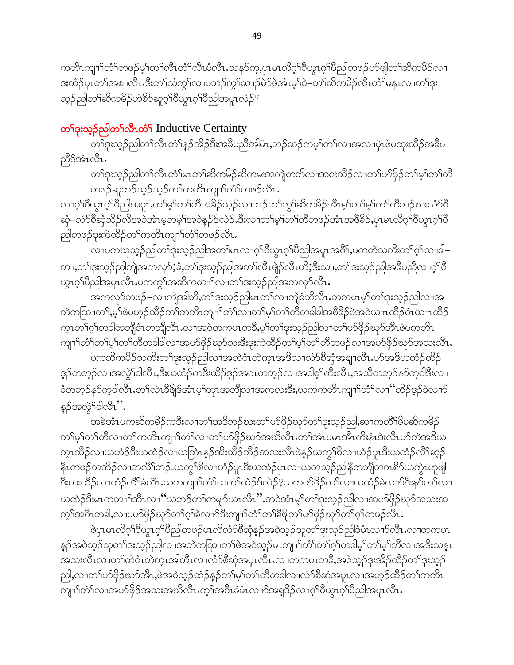ကတိၤကျၫ်တံ်ကဖဉ်မ့ှ်တ႑်လီၤတံ်လီၤမံလီၤ.သန5်က့,ပှၤမၤလိဂ္ဂ်ါဝိယွၤဂ့်္ဂါဝိညါတဖဉ်ပာ်ဖျါတ႑်ဆိကမိဉ်လ႑ ဒုးထံဉ်ပှၤတၫ်အစၢလိၤ.ဒိီးတ႑်သံကွ႑်လၢပဘဉ်ကွ႑်ဆ႑ာ်မဲာ်ဖဲအံၤမ့႑်ဝဲ–တ႑်ဆိကမိဉ်လိၤတံ႑်မနုၤလၢတ႑်ဒုး သ့ဉ်ညါတ1်ဆိကမိဉ်ဟဲ<sup>စွ</sup>ာ်ဆူဂ့<sup>ရ</sup>ဝိယ္ဂၤဂ့<sup>ရ</sup>ဝိညါအပူၤလဲဉ်<sup>ဂု</sup>

## တ<sup>ှ</sup>ဒုးသူ့ဉ်ညါတ<sup>ှ</sup>လီယာဉ် Inductive Certainty

တၫ်ဒုးသုဉ်ညါတၫ်လီၤတံၫ်နဉ်အိဉ်ဒီးအခီပညီအါမံၤႇဘဉ်ဆဉ်ကမ့ၢ်တၫ်လၫအလၢပှဲၤဖဲပထုးထိဉ်အခ်ီပ ညီဒ်အံၤလီၤ.

တၫ်ဒုးသု့ဉ်ညါတၫ်လီၤတံၫ်မၤတၫ်ဆိကမိဉ်ဆိကမးအကျဲတဘိလၢအစးထိဉ်လၢတၫ်ပာ်ဖိုဉ်တ႑်မှ၊်တၫ်တိ တဖဉ်ဆူဘဉ်သူဉ်သူဉ်တၫ်ကတိၤကျၢၤ်တံၤ်တဖဉ်လီၤ.

လၢဂ္ဂါ၀ီယွာဂ္ဂါပီညါအပူာႇတ1်မ့္ပါတ႑်တိအခ်ိဉ်သ့ဉ်လၢဘဉ်တ႑်ကွ႑်ဆိကမိဉ်အိာမ့္ပါတ႑်မ့္ပ်တ႑်တိဘဉ်ဃးလံာ်စီ ဆုံ–လံာ်စီဆုံသိဉ်လိအဝဲအံၤမ့တမ့္ပ်အဝဲန္ဉာ်ဒ်လဲဉ်ႉဒီးလၢတ႑်မ့္ပ်တ႑်တိတဖဉ်အံၤအဖိခိဉ်ႇပုၤမၤလိဂ္႗ါ၀ိယ္လၤဂ္႗်ပြီ ညါတဖဉ်ဒုးကဲထိဉ်တ႑်ကတိၤကျၫ်တံ်ာတဖဉ်လီၤႉ

လၫပကဃုသ့ဉ်ညါတၫ်ဒုးသ့ဉ်ညါအတ႑်မၤလၫဂ္ဂၢိ၀ိယွၤဂ္ဂၢိပိညါအပူၤအဂိၢ်,ပကတဲသကိႏတ႑်ဂ္ဂၢ်သၢခါ– တၫႇတၫ်ဒုးသူဉ်ညါကျဲအကလု5ႏှံခံႇတၫ်ဒုးသူဉ်ညါအတ႑်လီၤဖျဲဉ်လီၤဟိႏ္ဒီးသ႑ႇတ႑်ဒုးသူဉ်ညါအခ်ဳပညီလ႑ဂ္ဂၫ်ဝီ ယ္ဇၤဂ္ဒ္ကုရွည္ပါအပူၤလိုၤ.ပကက္ဂၤ်အဆိကတ႑ၤ်လ႑တ႑ဴးသူ၌ညြအကလုဉ်လိုၤ.

အကလှာ်တဖဉ်–လၫကျဲအါဘိႇတ႑်ဒုးသ့ဉ်ညါမၤတ႑်လ႑ကျဲခံဘိလီၤႉတကပၤမ္ ါတ႑်ဒုးသူဉ်ညါလ႑အ တဲကထြာတ1်ႇမ့်််ပဲယာ့ဉ်ထိဉ်တ႑်ကတိၤကျၤာ်တံ််လၢတ႑်မ့််ာတာ်တိတခါခါအဖိခိဉ်ဖဲအဝဲယπထိဉ်ဝံၤယπထိဉ် က္ၤတၫ်ဂ့ၫ်တခါတဘိုုဝံၤတဘိုုလီၤႉလၢအဝဲတကပၤတခ်ိႇမ့ၫ်တၫ်ဒုးသုဉ်ညါလၢတ႑်ပာ်ဖိုဉ်ဃှာ်အီၤဖဲပကတိၤ ကျၫ်တံ်ာတ်မှ်ာတ်တိတခါခါလ၊အပာ်ဖှိဉ်ဃုာ်သးဒီးဒုးကဲထိဉ်တ်မှ်ာတ်ကိတဖဉ်လ၊အပာ်ဖိုဉ်ဃှာ်အသးလီၤ.

ပကဆိကမိဉ်သကိုးတၫ်ဒုးသုဉ်ညါလၢအတဲဝံၤတဲက္ၤအဒိလၢလံာ်စီဆုံအချၫလိၤႉပာ်အဒိယထံဉ်ထိဉ် ဒ့ဉ်တဘ့ဉ်လၢအလွဲ<sup>၎</sup>ဝါလီၤႇဒီးယထံဉ်ကဒီးထိဉ်ဒ့ဉ်အဂၤတဘ့ဉ်လၢအဝါစ့<sup>၎</sup>ကီးလီၤႇအသိတဘ့ဉ်နဉ်က္ဝါဒီးလၢ ခံတဘ့ဉ်နဉ်က့ဝါလီၤႉတၫ်လဲၤခီဖြိဒ်အံၤမ့ၢ်တုၤအဘိုုလၢအကလးဒီးႇယကကတိၤကျၢၢ်တံၢ်လၢ ''ထိဉ်ဒ့ဉ်ခဲလၢဉ် နဉ်အလွဲ Yolလီး''.

အခဲအံၤပကဆိကမိဉ်ကဒီးလၢတၫ်အဒိဘဉ်ဃးတၫ်ပာ်ဖိုဉ်ဃှာ်တၫ်ဒုးသူဉ်ညါ,ဆၢကတိႝၤ်ဖိပဆိကမိဉ် တၫ်မှ႞တ႑်တွဲလၪတ႕ယတ္႕ပါတ္႕တ႕တ႕ကၟ႙ႝ႒ၮၟၣအဢၟၯၟၪႚထၟၗဘၬၮၣအၞၫၯၟႜႜႜႜၟ႞ဒႈၯၟၯၯအဒ္ပက က္ၤထိဉ်လၢယဟံဉ်ဒီးယထံဉ်လၢယတြဲၤန္ဉာ်အိးထိဉ်ထိဉ်အသးလိၤဖဲန္ဉာ်ယက္ဂ<sup>ရ</sup>စိလၢဟံဉ်ပူၤဒီးယထံဉ်လိ<sup>၎</sup>ဆ္ဉာ် နီၤတဖဉ်တအိဉ်လၢအလိ်ၤဘဉ်ႉယကွၤ်စိလၢဟံဉ်ပူၤဒီးယထံဉ်ပုၤလၢယတသ့ဉ်ညါနိတဘျိတဂၤစိဉ်ယကွဲၤဟူဖျါ ဒီးဟးထိဉ်လၢဟံဉ်လိ်််််််ခံလီၤ.ယကကျၢ်တံ််ယတၤ်ထံဉ်ဒ်လဲဉ် $\cdot$ ုယကဟ်ဖိုဉ်တၤ်လၢယထံဉ်ခဲလၢာ်ဒီးနာ်တၤ်လၢ ယထံဉ်ဒီးမၤကတၫ်ဒၶိၤလၫ'´ယဘဉ်တၫ်တမျာ်ယၤလိၤ'' အဝဲအံၤမ္ ်တ႑်ဒုးသုဉ်ညါလၫအပာ်ဖိုဉ်ဃှာ်အသးအ က့်သြားတခါ,လာပဟ်ဖိုဉ်ဃှာ်တ႑်ဂ့်ခဲလာာ်ဒီးကျာက်ာံ တ႑ိန္ဒိဖျတ႑်ပာဖိုဉ်ဃှာ်တ႑်ဂ့်ာတဖဉ်လီၤ

ဖဲပုၤမၤလိဂ္ုံဝိယွၤဂ္ုံဝိည္ပါတဖဉ်မၤလိလံာ်စီဆုံန္ဥ်အဝဲသ္ဥသူတ႑်ဒုးသ္ဥည္ပါခံမံၤလ႑ာ်လီၤႉလ႑တကပၤ န္ဉာ်အဝဲသုဉ်သူတၫ်ဒုးသုဉ်ညါလၫအတဲကထြၫတၫ်ဖဲအဝဲသုဉ်မၤကျၫၫ်တံၫ်တၫ်ဂ့ၫ်တခါမှၤ်တ႑မှၤ်တိလ႑အဒိုးသန္႑ အသးလိၤလၢတၫ်တဲဝံၤတဲက္ၤအါတိၤလၢလံာ်စိဆုံအပူၤလိၤႉလၢတကပၤတခ်ိႇအဝဲသုဉ်ဒုးအိဉ်ထိဉ်တ႑်ဒုးသုဉ် ညါ,လၢတၫ်ပာ်ဖှိဉ်ဃုာ်အိၤ,ဖဲအဝဲသုဉ်ထံဉ်နဉ်တ႑်မှ၊်တ႑်တိတခါလၢလံာ်စီဆုံအပူၤလၢအဟုဉ်ထိဉ်တ႑်ကတိၤ ကျၫ်တံ်လၫအပာ်ဖိုဉ်အသးအဃိလီၤ.က့်္ကအဂ်ိဳးခံမံၤလၫာ်အရှုဒိဉ်လၫဂ့်္ဂါဝိယ္လၤဂ့်္ဂါဝိညါအပူၤလီၤ.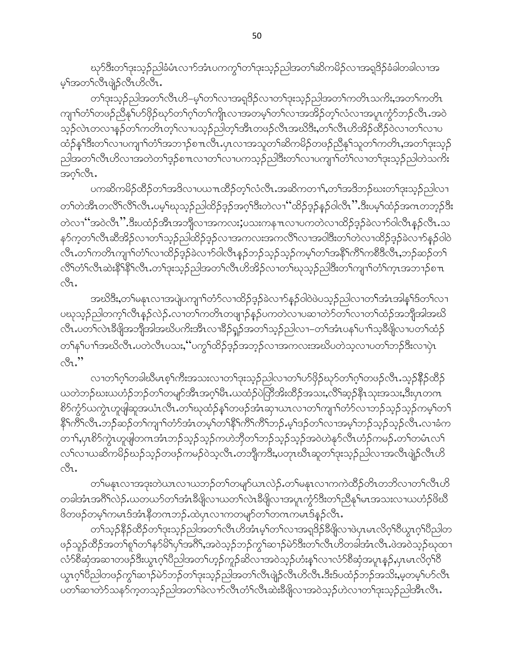ၰာ်ဒီးတ႑်ဒုးသ့ဉ်ညါခံမံၤလၫာ်အံၤပကကွ၂်တ႑်ဒုးသ့ဉ်ညါအတ႑်ဆိကမိဉ်လ႑အရဒြဉ်ခံခါတခါလ႑အ မ့်)အတ်လီးဖျဲ့ဉ်လီးဟိလီး.

တ႑်ဒုးသူဉ်ညါအတ႑်လီၤဟိ–မ့္ပ်ာက်လ႑အရှုဒိုဉ်လ႑တ႑်ဒုးသူဉ်ညါအတ႑်ကတိၤသကိႏႇအတ႑်ကတိၤ ကျၫ်တံ်ာတဖဉ်ညီနှၤ်ပာ်ဖိုဉ်ဃှာ်တ႑်ဂ့ၢ်တ႑်ကျိုးလ႑အတမ့ၤ်တ႑်လ႑အအိဉ်တ့ၤ်လၤအပူးကွဲာ်ဘဉ်လီး အဝဲ သူဉ်လဲၤတလၢန္ဉဉ်တၫ်ကတိၤတ့ၫ်လၢပသ္ဉဉ်ညါတ့ၫ်အီၤတဖဉ်လီၤအဃိဒိးႇတ႑်လီၤဟိအိဉ်ထိဉ်ဝဲလၢတ႑်လၢပ ထံဉ်န5်ဒီးတ5်လၢပကျာာ်တံာ်အဘာဉ်စπလီၤ.ပုၤလၢအသူတ5်ဆိကမိဉ်တဖဉ်ညီန5်သူတ5်ကတိၤ,အတ5ဒုးသ့ဉ် ညါ့အတ႑်လိုၤဟိလၢအတဲတ႑်ဒ့ဉ်စ႑ာလၢတ႑်လၢပကသ့ဉ်ညါဒီးတ႑်လၢပကျ႑ာ်တံ႑်လၢတ႑်ဒုးသ့ဉ်ညါတဲသကိႏ အဂ္{လိၤ.

ပကဆိကမိဉ်ထိဉ်တၫ်အဒိလ႑ပယ႑ာထိဉ်တ့ၫ်လံလီၤ.အဆိကတ႑ၢ်ႇတၫ်အဒိဘဉ်ဃးတ႑်ဒုးသ့ဉ်ညါလ႑ တၫ်တဲအီၤတလိႝၤ်လိၤ်ပမ့္ပါဃုသုဉ်ညါထိဉ်ဒ့ဉ်အဂ္ဂါဒီးတဲလၤဴိထိဉ်ဒ့ဉ်နဉ်ဝါလီၤ'' ဒီးပမ့္ပ်ထံဉ်အဂၤတဘ့ဉ်ဒီး တဲလၫ"အဝဲလီၤ".ဒီးပထံဉ်အီၤအဘိုလၢအကလး;ပသးကနπလၢပကတဲလၢထိဉ်ဒ္၄်ခဲလၢာ်ဝါလီၤန္ဉာ်လီၤ.သ နှာ်ကဲ့တ}ုလွှူးဆွဲအွဲ၃လ1တ}ှတ်သုံပြုထွန်ဒံ၃လ1အယက္ခအယတ္တုဟာအဝါဒွဲးသုပ္ပတ္တာဟုထွဲ၃ဒံ၃၁တြောမွဲ လီၤ.တ<sup>၎</sup>ကတိၤကျၢ<sup>၎</sup>တံႝလၢထိဉ်ဒ့ဉ်ခဲလၢာ်ဝါလီၤန္ဉာ်တဉ်သ့ဉ်သ့ဉ်ကမ့<sup>၎</sup>တၫ်အနိ<sup>၎</sup>ကိ်<sup>1</sup>ကစီဒီလီၤ,ဘဉ်ဆဉ်တ<sup>၎</sup> လိ်ြတံ််လိုၤဆဲးနိ််ါနိ််ြလီၤ.တ်္ကဒုးသ့ဉ်ညါအတၤ်လီၤဟိအိဉ်လၢတၤ်ဃုသွဉ်ညါဒီးတၤ်ကျၤ်တံ််ကူၤအဘၤဉ်စ႑ာ  $\circ \mathcal{E}$ 

အဃိဒီး,တၫ်မနၤလၢအပျဲပကျၫ်တံာ်လၢထိဉ်ဒ့ဉ်ခဲလၢာ်နှဉ်ဝါဝဲဖဲပသ္ဉဉ်ာပါလၢတ႑်အံၤအါန္ ်ဒ်တ႑်လၢ ပဃုသ့ဉ်ညါတက့််လီၤန္ဉာ်လဲဉ်ႉလၢတၤ်ကတိၤတဖျာဉ်နှဉ်ပကတဲလၢပဆၢတဲာ်တၤ်လၢတၤ်ထံဉ်အဘျိအါအဃိ လီၤ.ပတၫ်လဲၤဒီဖျိအဘျိအါအဃိပကိးအိၤလၢဒိဉ်ရှဉ်အတ႑်သ့ဉ်ညါလ႑–တ႑်အံၤပန႑်ပ႑)သ့ဒီဖျိလ႑ပတ႑်ထံဉ် တၫိန႑်ပ႑ါအဃိလိၤႇပတဲလီၤပသးႇိပကၠၫ်ထိဉ်ဒ့ဉ်အဘုဉ်လၢအကလးအဃိပတဲသ့လၢပတ႑်ဘဉ်ဒီးလၢပုံၤ  $\mathcal{B}$ ."

လၢတ႑်ဂ္ဂါတခါဃိမၤစ့ၢ်ကီးအသးလၢတ႑်ားသုဉ်ညါလၢတ႑်ပာဖိုဉ်ဃှာ်တ႑်ဂ့ၢ်တဖဉ်လီၤ.သုဉ်နိုဉ်ထိဉ် ယတဲဘဉ်ဃးယဟံဉ်ဘဉ်တၫ်တမျာ်အီၤအဂ္ဂါမီၤ.ယထံဉ်ပဲတြီအိးထိဉ်အသး,လိ်၊ဆ္ဝ်နိုၤသုးအသး,ဒီးပုၤတဂၤ စိ>်ကွံာ်ယကွဲၤဟူဖျါဆူအယံၤလီၤႉတၫ်ဃုထံဉ်န1်တဖဉ်အံၤဆုၢယၤလၢတၤ်ကျၢၤ်တံာ်လၢဘဉ်သ့ဉ်သ့ဉ်ကမ့ၢ်တ႑် နိ<sup>ု</sup>ကိြလီၤ.ဘဉ်ဆဉ်တ<sup>ု</sup>ကျၢာ်တံာ်အံၤတမ့္ပ်တ႑်နိုြကိြကိြဘဉ်.မ့ှ်ဒဉ်တှလၤအမ့္ပ်ဘဉ်သုဉ်သုဉ်လီၤ.လၢခံက တၫႝႇၦၤစိၥ်ကွဲၤဟူဖျါတဂၤအံၤဘဉ်သ့ဉ်သ့ဉ်ကဟဲဘိုတၫ်ဘဉ်သ့ဉ်သွဉ်အဝဲဟဲနဉ်လီၤဟံဉ်ကမဉ်ႉတၫ်တမံၤလၢ် လၫ်လၫယဆိကမိဉ်ဃဉ်သ့ဉ်တဖဉ်ကမဉ်ဝဲသ့လီၤ.တဘျီကဒီး,ပတုၤဃိၤဆူတၫ်ဒုးသ့ဉ်ညါလၫအလီၤဖျဲှာ်လီၤဟိ ್ಬಿ.

တၫ်မနုၤလၫအဒုးတဲယၤလၫယဘဉ်တၫ်တမျာ်ယၤလဲဉ်ႉတၫ်မနုၤလၢကကဲထိဉ်တိၤတဘိလ႑တ႑်လီၤဟိ တခါအံၤအဂိါလဲဉ်ႉယတယာ်တၫ်အံၤဒီဖျိလၢယတ႑်လဲၤဒီဖျိလၢအပူၤက္ငံာ်ဒီးတ႑်ညီနှၤ်မၤအသးလၢယဟံဉ်ဖိဃီ ဖိတဖဉ်တမ့်္ဂကမၤဒ်အံၤနိတဂၤဘဉ်ႉထဲပုၤလၢကတမျာ်တ႑်တဂၤကမၤဒ်နဉ်လီၤ.

တၫ်သုဉ်နိုဉ်ထိဉ်တၫ်ဒုးသုဉ်ညါအတ႑်လီၤဟိအံၤမ့ၢ်တ႑်လၢအရှုဒိဉ်နိဖျိလၢဖဲပှၤမၤလိဂ္ဂၢိဝိယ္ပၤဂ့ၢိဝိညါတ ဖဉ်သူဉ်ထိဉ်အတ<sup>ှ</sup>စု<sup>ရ</sup>တ်နှာ်မိ်ပှာ်အင်္ဂါ,အဝဲသ့ဉ်ဘဉ်ကွ<sup>ှ</sup>ဆ႑ာ်မဲာ်ဒီးတၢ်လီၤဟိတခါအံၤလီၤ.ဖဲအဝဲသ့ဉ်ဃုထ႑ လံာ်စီဆုံအဆၢတဖဉ်ဒီးယွၤဂ့ၢ်ပီညါအတၢ်ဟ့ဉ်ကူဉ်ဆိလၢအဝဲသ့ဉ်ဟံးနှၤ်လၢလံာ်စီဆုံအပူၤန္ဉာ်,ပုၤမၤလိဂ့ၢ်ဝီ ယ္လာဂ္<sup>ရိ</sup>ည္ပါတဖဉ်က္ဂ<sup>ြ</sup>ဆ႑ာ်မဲာ်ဘာဉ်တ႑်ဒုးသ့ဉ်ညါအတ႑်လီၤဖျဲဉ်လီၤဟိလီၤ.ဒီးဒ်ပထံဉ်ဘဉ်အသိႏႇမ့တမ့္ပ်ဟ်လီၤ ပတၫ်ဆၢတဲာ်သနာ်က့တသူဉ်ညါအတၫ်ခဲလ႑ာလီၤတံၤ်လီၤဆဲးခ်ီဖျိလၢအဝဲသူဉ်ဟဲလ႑တၫ်ဒုးသူဉ်ညါအီၤလီၤ.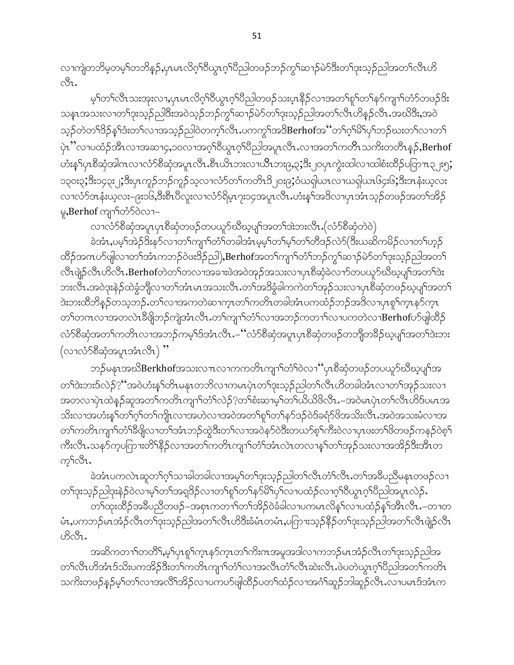လၫကျဲတဘိမ့တမ့်ၫ်တဘိန္ဉာ်,ပုၤမၤလိဂ္ဂၢိ၀ိယ္မၤဂ့ၢိ၀ိညါတဖဉ်ဘဉ်ကွၢ်ဆ႑ာ်မဲာ်ဒီးတ႑်ဒုးသ္ဉာညါအတ႑်လီၤဟိ ी.

မ့်ာက်လီၤသးအုးလၢ,ပုၤမၤလိဂ့်) ဝိယ္ဂၤဂ့ါပိညါတဖဉ်သးပုၤနိဉ်လၢအတ႑်စူၫ်တ႑်နှာ်ကျၤာ်တံာ်တဖဉ်<sup>ဝွ</sup>း သနၤအသးလၫတၫ်ဒုးသ့ဉ်ည<sup>ြ</sup>ဒီးအဝဲသ့ဉ်ဘဉ်ကွ<sup></sup>်ဆ႑ာ်မဲာ်တၫ်ဒုးသ့ဉ်ညါအတ႑်လီၤဟိန္ဉာ်လီၤ.အဃိဒိီး,အဝဲ သ့ဉ်တဲတ<sup>၎ဌ</sup>ဉ်နှ<sup>၎</sup>ဒံးတ<sup>၎</sup>လၫအသ့ဉ်ညါဝဲတက့<sup>၎</sup>လီၤ.ပကကွ<sup>၎</sup>အဒိBerhofအ''တ႑်ဂ့<sup>၎ဌ</sup>်ပှ<sup>၎</sup>ဘဉ်ဃးတ႑်လၫတ႑် ပဲ့ၤ''လၢပထံဉ်အီၤလၢအဆၢ၄,၁၀လၢအဂ္ဂါ၀ိယ္ဂၤဂ့ါပိညါအပူၤလီၤ.လၢအတၫ်ကတိၤသကိႏတတိၤန္ဉ**်,Berhof** ဟံးန5ုပုၤစီဆုံအါဂၤလၢလံာ်စီဆုံအပူၤလီၤ.စီၤယိၤဘးလၢယိၤဘး၉,၃;ဒီး၂၀ပုၤကွဲးထါလၢထါစံးထိဉ်ပတြာၤ၃၂း၅; ၁၃၀း၃;ိ $\overset{2}{3}$ း၁၄၃း၂;ိ $\overset{2}{3}$ းပှ $\gamma$ ကိုဉ်ဘှဉ်ကူဉ်သွလၢလံာ်တၫ်ကတိ $\overset{2}{3}$ ၂၀း၉;ံယရှ $\overset{2}{\omega}$ လ၊လားတျ $\overset{2}{\omega}$ ေး $\overset{2}{3}$ းအနံးယ့လး လၢလံာ်အနံးယ့လး–၉း၁၆,ဒီးစီၤပီလူးလၢလံာ်ရိမ့ၤ၇း၁၄အပူၤလီၤ.ဟံးန5်အဒိလၢပုၤအံၤသ္ဉ်ာတဖဉ်အတ႑်အိဉ် မှ**,Berhof** ကျา<sup>န်</sup>တိဝဲလၢ–

လၢလံာ်စီဆုံအပူၤပုၤစီဆုံတဖဉ်တပယူာ်ဃီဃ့ပျၫ်အတၫ်ဒဲးဘးလီၤ (လံာ်စီဆုံတဲဝဲ)

ခဲအံၤႇပမ့ါ်အဲဉ်ဒိးန5်လၢတါကျၢါတံါတခါအံၤမ့မ့ါတပမဲ့ါတါတီဒဉ်လဲ၁်(ဒီးယဆိကမိဉ်လၢတါဟ့ဉ် ထိဉ်အဂၤဟ်ဖျါလၢတၫ်အံၤကဘဉ်ဝဲဖးဒိဉ်ညါ),Berhofအတၫ်ကျၫ်တံၫ်ဘဉ်ကွၢ်ဆ႑ာ်မဲာ်တၫ်ဒုးသှဉ်ညါအတ႑် လီၤဖျဲ့ဉ်လီၤဟိလီၤ.Berhofတဲတၫ်တလၢအခၢးဖဲအဝဲအုဉ်အသးလၢပုၤစီဆုံခဲလၫာ်တပယူာ်ဃီဃ့ပျၫ်အတၫ်ဒဲး ဘးလီၤ.အဝဲဒုးနဲ့ဉ်ထဲခွံဘိုုလၢတၫ်အံၤမၤအသးလီၤ.တၫ်အဒိခွံခါကကဲတၫ်အှဉ်သးလၢပုၤစိဆုံတဖဉ်ဃ့ပျၫ်အတ႑် ဒဲးဘးထီဘိန္ဉာိတသ့ဘဉ်ႉတၫ်လၢအကတဲဆၫက္ၤတၫ်ကတိၤတခါအံၤပကထံဉ်ဘဉ်အဒိလ႑ပုၤစူၫ်က္ၤနာ်က္ၤ တၫ်တဂၤလၢအတလဲၤဒီဖျိဘဉ်ကျဲအံၤလီၤ.တၫ်ကျาၫ်တံၫ်လၢအဘဉ်ကတၫၢ်လၢပကတဲလၢBerhofပာ်ဖျါထိဉ် လံာ်စီဆုံအတၫ်ကတိၤလၢအဘဉ်ကမ့ၢ်ဒ်အံၤလိၤ.–''လံာ်စီဆုံအပူၤပုၤစီဆုံတဖဉ်တဘျိတခ်ိဉ်ဃ့ပျၫ်အတၫ်ဒဲးဘး (လၢလံ $\delta$ စိဆုံအပူၤအံၤလီၤ) "

ဘဉ်မနၤအဃိ $\operatorname{Berkho}$ fအသးလ႑ာလကတတိၤကျ႑်တံ်ြဝဲလ႑'´ပုၤစီဆုံတဖဉ်တပယူဉ်ဃီဃ့ပျ်ြအ တၫ်ဒဲးဘးဒ်လဲဉ်? ''အဝဲဟံးနဂ်တိၤမနၤတဘိလၢကမၤပှဲၤတၫ်ဒုးသ့ဉ်ညါတၫ်လီၤဟိတခါအံၤလၢတၫ်အုဉ်သးလၢ အတလၢပုံၤထဲန္ဉာိဆူအတၫ်ကတိၤကျၫ်တံၫ်လဲှဉ်?တၫ်စံးဆၢမ့ၫ်တၫ်ယိယိဖိလီၤ.–အဝဲမၤပုံၤတၫ်လီၤဟိဒ်ပမၤအ သိးလၫအဟံးန<sup>ှ</sup>ါတၫ်ဂ့ၫ်တၫ်ကျိၤလၫအဟဲလၫအဝဲအတၫ်စူၫ်တၫ်နဉ်ဒဉ်ဝဲဒ်ခရံဉ်ဖိအသိးလိၤ<sup>့</sup>အဝဲအသးမံလၫအ တၫ်ကတိၤကျၢၤ်တံၢိခ်ိဖျိလၢတၫ်အံၤဘဉ်ထွဲဒီးတၫ်လၢအဝဲန>်ဝဲဒီးတယာ်စ့ၢ်ကီးဝဲလၢပုၤဖးတၫ်ဖိတဖဉ်ကနဉ်ဝဲစ့ၫ် ကီးလီၤႉသန>်က့ပကြားတိ\်နိ႙်လၢအတၤ်ကတိၤကျၤာ်တံၤ်အံၤလဲၤတလၢန္ာ်တၤ်အုဉ်သးလၢအအိဉ်ဒီးအီၤတ က့<sup>၎</sup>လီၤ.

ခဲအံၤပကလဲၤဆူတ႑်ဂ္ုသ႑ခါတခါလ႑အမူ႑်တ႑်ဒုးသူဉ်ညါတ႑်လီၤတိ႑လီၤ.တ႑်အခ်ဳပညီမန္၊ာတဖဉ်လ႑ တၫ်ဒုးသှဉ်ညါဒုးနဲ့ဉ်ဝဲလၢမ့ၢ်တၫ်အရှဒိဉ်လၢတၫ်စူၫ်တ႑်နှာ်မိ႑်ပှၫ်လၢပထံဉ်လၢဂ့ၫ်ဝိယွၤဂ့ၫ်ပိညါအပူၤလဲဉ်.

တၫ်ထုးထိဉ်အခ်ဳပညီတဖဉ်–အစုၤကတ႑ၢ်တ႑်အိဉ်ဝဲခံခါလ႑ပကမၤလိန္1လ႑ပထံဉ်န္1အိၤလီၤ.–တ႑တ မံၤႇပကဘဉ်မၤအံဉ်လီၤတ<sup>၎</sup>ဒုးသ့ဉ်ညါအတ႑်လီၤဟိဒီးခံမံၤတမံၤႇပဂြာၫးသ့ဉ်နိုဉ်တ႑်ဒုးသ့ဉ်ညါအတ႑်လီၤဖျဲဉ်လီၤ <u>ဟိလီး.</u>

အဆိကတ႑ာ်တတိိၢႇမ့်ာပုၤစူာ်က္နာနှာ်က္နာတဉ်ကိုးကအမူအဒါလ႑ကဘဉ်မၤအံ့ဉ်လိၤတ႑်ဒုးသု့ဉ်ညါအ တၫ်လီၤဟိအံၤဒ်သိးပကအိဉ်ဒီးတၫ်ကတိၤကျၫ်တံၫ်လၢအလီၤတံၫ်လီၤဆဲးလီၤ.ဖဲပတဲယွၤဂ့ၢ်ပီညါအတၫ်ကတိၤ သကိႏတဖဉ်နဉ်မ့ှ်တှလာအလိုအိဉ်လာပကပာ်ဖျထိဉ်ပတှ်ထံဉ်လာအင်္ဂါဆူဉ်ဘါဆူဉ်လီၤ.လာပမၤဒ်အံၤက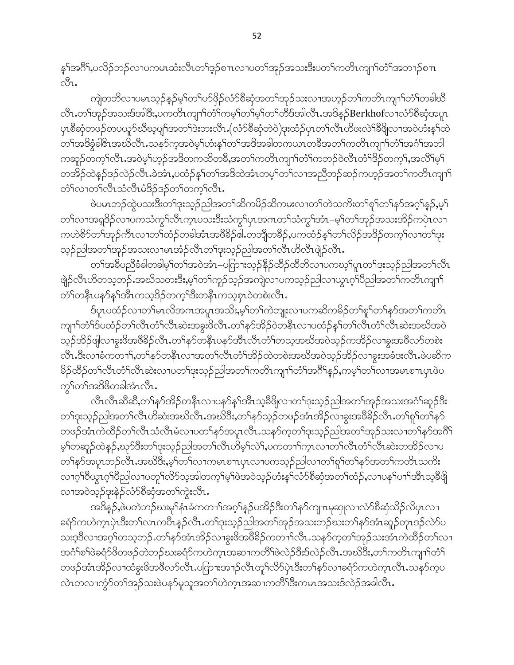နှၤ်အဂိ်း,ပလိဉ်ဘဉ်လၤပကမၤဆံးလီၤတၤ်ဒ့ဉ်စ႑ၤလၤပတၤ်အှဉ်အသးဒီးပတၤ်ကတိၤကျၤါတံၤ်အဘၤဉ်စ႑ာ  $\mathcal{S}_1$ .

ကျဲတဘိလၢပမၤသ့ဉ်နဉ်မ့<sup>၎</sup>တ႑်ဟ်ဖိုဉ်လံာ်စီဆုံအတ႑်အှဉ်သးလၢအဟ့ဉ်တ႑်ကတိၤကျ႑ာ်တံြတခါဃီ လီၤႉတၫ်အှဉ်အသးဒ်အါဒိီး,ပကတိၤကျၢာ်တံၢ်ကမ့ၢ်တၫ်မ့ၢ်တၫ်တိဒ်အါလီၤႉအဒိန္ဉ်Berkhofလၫလံာ်စိဆုံအပူၤ ပုၤစီဆုံတဖဉ်တပယူဉ်ဃီဃ့ပျ<sup>ရ</sup>အတ<sup>ရ</sup>ဒဲးဘးလိၤႉ(လံဉ်စီဆုံတဲ၀ဲ)ဒုးထံဉ်ပုၤတ<sup>ရ</sup>လီၤဟိဖးလဲ<sup>ရန္တိပြု</sup>လၢအ၀ဲဟံးန္<sup>ရ</sup>ထဲ တၫ်အဒိန္နံခါ&ၤအဃိလီၤႉသန5်က္ခအဝဲမ့္ပ်ကဲႏႈန္ ါတ႑်အဒိအခါတကယၤတခ်ိဳအတ႑်ကတိၤကျ႑ာ်တံ႑်အဂၤိုအဘါ ကဆူဉ်တက့်ౕုလီၤႉအဝဲမ့်္ာဉ်အဒိတကထိတခ်ိဳႇအတౕကတိၤကျၤ်တံ်ကဘဉ်ဝဲလီၤတံ်ျဒိဉ်တက့ౕၢႇအလိ်႞မ့္် တအိဉ်ထဲနဉ်ဒဉ်လဲဉ်လီၤ.ခဲအံၤ,ပထံဉ်နှၤ်တၤ်အဒိထဲအံၤတမ့ၤ်တၤ်လၢအညီဘဉ်ဆဉ်ကဟ့ဉ်အတၤ်ကတိၤကျၤၤ် တံ်လาတ်လီးသံလီးမံဒိဉ်ဒဉ်တ်တက္ရာလီး.

ဖဲပမၤဘဉ်ထွဲပသးဒီးတၫ်ဒုးသ့ဉ်ညါ့အတ႑်ဆိကမိဉ်ဆိကမးလ႑တ႑်တဲသကိႏတ႑်စူ႑်တ႑်နဉ်အဂ္ဂ႑်န္နဉ်ႇမ့႑် တၫ်လၢအရှဒိဉ်လၢပကသံကွၢ်လီၤက္ၤပသးဒီးသံကွၢ်ပုၤအဂၤတၫ်သံကွၢ်အံၤ–မ့ၢ်တၫ်အှဉ်အသးအိဉ်ကပုဲၤလၢ ကဟဲစိ႒်တၫ်အုဉ်ကီၤလၢတၫ်ထံဉ်တခါအံၤအဖိခိဉ်ဖါ.တဘိုတခ်ိဉ်,ပကထံဉ်နှၤ်တ႑်လိဉ်အဒိဉ်တက့ၤ်လၢတၤ်ဒုး သူဉ်ညါအတၫ်အှဉ်အသးလၢမၤအံဉ်လီၤတၫ်ဒုးသုဉ်ညါအတ႑်လီၤဟိလီၤဖျဲဉ်လီၤ.

တၫ်အခ်ဳပညီခံခါတခါမှၫ်တၫ်အဝဲအံၤ–ပဂြာၫးသုဉ်နိဉ်ထိဉ်ထိဘိလ႑ပကဃ့ၫ်ပူၤတ႑်ဒုးသုဉ်ညါအတ႑်လီၤ ဖျဲ့ဉ်လီၤဟိတသ့ဘဉ်ႉအဃိသတးဒီးႇမ့<sup>၎</sup>တ႑်ကူဉ်သ့ဉ်အကျဲလၢပကသ့ဉ်ညါလၢယ္ပၤဂ့<sup>၎</sup>ပိညါအတ႑်ကတိၤကျၫ<sup>၎</sup> တံ်ါတနိ1ပန**်**နှါအိၤကသ့ဒိဉ်တက့်<sup>ခြ</sup>ီးတနိၤကသ့စုၤ၀ဲတစဲးလိၤ*ႉ* 

ဒ်ပူၤပထံဉ်လၢတၫ်မၤလိအဂၤအပူၤအသိႏႈမ့ၢ်တ႑်ကဲဘူူးလၢပကဆိကမိဉ်တ႑်စူၫ်တ႑်နှာ်အတ႑်ကတိၤ ကျၫ်တံ်််ဒ်ပထံဉ်တ႑်လီၤတံ််ျလီးဆဲးအခွးဖိလီၤ.တ႑်နဉ်အိဉ်ဝဲတနိုၤလၢပထံဉ်နှၤ်တ႑်လီၤတံၤ်လီၤဆဲးအဃိအဝဲ သ့ဉ်အိဉ်ဖျိလၢခွးဖိအဖိခိဉ်လီၤႉတၫ်နာ်တနီၤပနာ်အီၤလီၤတံၢ်တသ့အဃိအဝဲသ့ဉ်ကအိဉ်လၢခွးအဖိလာ်တစဲး လီၤ.ဒီးလၢခံကတ႑),တ႑်နာ်တနိၤလၢအတ႑်လီၤတံ႑်အိဉ်ထဲတစဲးအဃိအဝဲသုဉ်အိဉ်လၢခွးအခံဒးလီၤ.ဖဲပဆိက မိဉ်ထိဉ်တၫ်လီၤတံၫလီၤဆဲးလ႑ပတၫ်ဒုးသ့ဉ်ညှါအတၫ်ကတိၤကျၫ်တံၫ်အဂိၢိန္ဉဉ်,ကမ့ၢ်တ႑်လ႑အမၤစ႑ာပုၤဖဲပ ကွှ်တှြအဒိမိတခါအံၤလီၤ.

လီၤလီၤဆီဆီ,တౕၢန>်အိဉ်တနိၤလၢပန>်န1်အိၤသ့ခ်ိဖိျလၢတၢ်ဒုးသ့ဉ်ညါအတၤ်အှဉ်အသးအဂံၢိဆူဉ်ဒီး တၫ်ဒုးသုဉ်ညါအတ႑်လီၤဟိဆံးအဃိလီၤ.အဃိဒိး,တ႑်နှာ်သုဉ်တဖဉ်အံၤအိဉ်လ႑ခွးအဖိခိဉ်လီၤ.တ႑်စူ႑်တ႑်နှာ် တဖဉ်အံၤကဲထိဉ်တၫ်လိၤသံလိၤမံလၢပတၫ်နှာ်အပူၤလိၤႉသန5်က့တၫ်ဒုးသူဉ်ညါအတ႑်အှဉ်သးလၢတ႑်နှာ်အဂိၤ် မ့်ၫ်တဆူဉ်ထဲနဉ်,ဃှာ်ဒီးတၢ်ဒုးသ့ဉ်ညါအတ႑်လီၤဟိမ့်ၫ်လဲ႑်ႇပကတ႑ၢ်က္ၤလၢတ႑်လီၤတံၤလီၤဆဲးတအိဉ်လၢပ တၫိနၥ်အပူၤဘဉ်လီၤ.အဃိဒီး,မ့ၢ်တၫ်လၫကမၤစ႑ာပုၤလၢပကသ့ဉ်ညါလၫတၫ်ရှၫ်တၫ်နှာ်အတ႑်ကတိၤသကိႏ လၫဂ္ဂါ၀ိယ္စၤဂ္ဂါ၀ိညါလ႑ပတူ႑်လိုာ်သူအါတက္န႑ိမ္န႑ဲဖဲအ၀ဲသူဉ်ဟံးန္ ႑်လံာစိဆုံအတ႑်ထံဉ်ႇလ႑ပန္ ႑်ပ႑ာအိၤသူ့ခ်ီဖြို လၫအဝဲသူဉ်ဒုးနဲ့ဉ်လံာ်စီဆုံအတ႑်ကွဲးလီၤ.

အဒိန္ဉာ်,ဖဲပတဲဘဉ်ဃးမှၫ်နံၤခံကတ႑ာ်အဂ္ဂါနဉ်ပအိဉ်ဒီးတ႑်နှာ်ကျπမှဆုုလၢလံာ်စီဆုံသိဉ်လိပုၤလၢ ခရံာ်ကဟဲက္ၤပှဲၤဒီးတၫ်လၤကပီၤန္ဉာ်လီၤႉတၫ်ဒုးသ့ဉ်ညါအတ႑်အုဉ်အသးဘဉ်ဃးတ႑်နာ်အံၤဆူဉ်တုၤဒဉ်လဲာ်ပ သးဒ့ဒိလၢအဂ့ါ်တသ့ဘဉ်ႉတၢ်နဉ်အံၤအိဉ်လၢခွးဖိအဖိခိဉ်ကတၢၢ်လိၤႉသနဉ်က့တၢ်အှဉ်သးအံၤကဲထိဉ်တၢ်လၢ အဂံ<sup>ရ</sup>စ်<sup>ရဲ့</sup>တို့တို့တွေကိုတွေ့သည် အောက်သည် အဆာကတိ<sup>ရှ</sup>တ်သိုဒ်းဒိုလဲ့ သို့လီး အသိဒီး တက်ကတိုးကျာက်သိ တဖဉ်အံၤအိဉ်လၢထံခွးဖိအဖိလာ်လီၤ.ပဂြာၫးအၫဉ်လီၤတူၫ်လိာပုံၤဒီးတ႑်နှာ်လၢခရံာ်ကဟဲက္ၤလီၤ.သနာ်က့ပ လဲၤတလၢကွံာ်တၫ်အုဉ်သးဖဲပနာ်မူသူအတ႑်ဟဲက္ၤအဆၢကတိႝၤဒီးကမၤအသးဒ်လဲဉ်အခါလီၤ.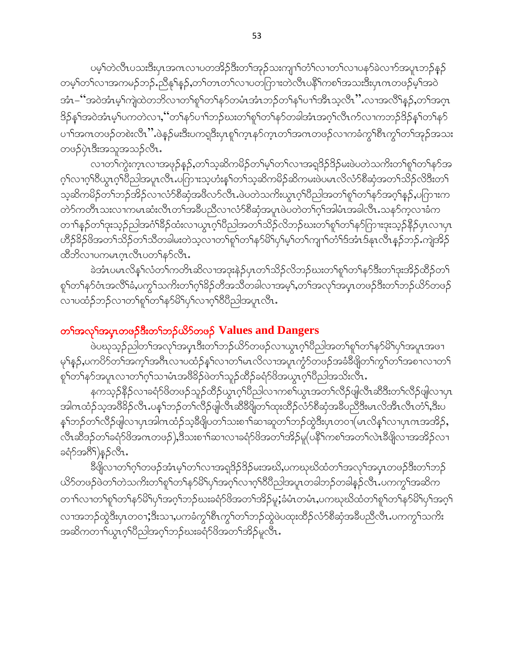ပမ့ါ်တဲလီၤပသးဒီးပုၤအဂၤလၢပတအိဉ်ဒီးတၫ်အုဉ်သးကျၤါ်တံါလၢတၤ်လၢပနၥ်ခဲလၢာ်အပူၤဘဉ်နဉ် တမ့်ၢိတၢိလၫအကမဉ်ဘဉ်ႉညီနု<sup>၎</sup>နဉ်ႇတၢိတၤတၫ်လၢပတကြၫးတဲလီၤပနိ<sup>၎</sup>ကစၫ်အသးဒီးပုၤဂၤတဖဉ်မ့<sup>ဴ</sup>၊အဝဲ အံၤ–"အဝဲအံၤမ့ၢ်ကျဲထဲတဘိလၢတၢ်စူၫ်တ႑်နာ်တမံၤအံၤဘဉ်တ႑်နှၤ်ပၢၤ်အီၤသ့လီၤ" လၢအလိၤ်နဉ်,တ႑်အဂ္ဂၤ ဒိဉ်န1်အဝဲအံၤမ့1်ပကတဲလၢႇ,''တ1်န5်ပၢါဘဉ်ဃးတ1်စူ1်တ1်န5်တခါအံၤအဂ္ဂါလီၤက်လၢကဘဉ်ဒိဉ်န1်တ1်န5် ပၫႝအဂၤတဖဉ်တစဲးလီၤ'' ဖဲနဉ်မးဒီးပကရုဒီးပှၤစူါက္ၤနာ်က္ၤတၫ်အဂၤတဖဉ်လၢကခံကွၢိစီၤကွၢ်တၢ်အုဉ်အသး တဖဉ်ပုံၤဒီးအသူအသဉ်လီၤ.

လၢတၢိက္ပဲးက္ၤလၢအဖုဉ်န္ဉာဴႇတၫ်သ့ဆိကမိဉ်တၫ်မ့ၫ်တ႑်လၢအရှုဒိဉ်ဒိဉ်မႈဖဲပတဲသက်ိးတ႑်စူၫ်တ႑်နှာ်အ ဂ့<sup>၎</sup>လၫဂ့<sup>၎</sup>ဝိယ္ပၤဂ့ၫ်ဝိညါအပူၤလိၤႉပဂြာၫးသ့ဟံးန႑်တ႑်သ့ဆိကမိဉ်ဆိကမးဖဲပမၤလိလံာ်စိဆုံအတ႑်သိဉ်လိဒ်းတ႑် သ့ဆိကမိဉ်တ႑်ဘဉ်အိဉ်လ႑လံာ်စီဆုံအဖိလာ်လီၤႉဖဲပတဲသကိႏယ္လၤဂ္ဂၤ်ပီညါအတ႑်စူၫ်တ႑်နှာ်အဂ္ဂၤ်နှဉ်ႇပကြားက တဲ့၁ ကတိၤသးလၤကမၤဆံးလီၤတၫ်အခ်ဳပညီလၤလံာ်စိဆုံအပူၤဖဲပတဲတၫ်ဂ္ဂ်ၤအါမံၤအခါလီၤ သနဉ်ကလၤခံက တၫ်နည်တဉ်းသည်ညါအင်္ဂါခ်ိဳဉ်ထံးလၢယွၤဂ့ါပိညါအတဉ်သိဉ်လိဘဉ်ဃးတဉ်ရှာ်တဉ်နှာ်ဂြားဒုးသည်နိဉ်ပှၤလၢပှၤ ၯၣၭၣၜႝအတၫၳၖၣတ႑ၯၟၯၜၟၜၟၮၯၯၟၯၟၯၟၯၟၯၟၯၟၣၛၣၛၣၛၣၯၯၯၯၯၟၯၯၯၯၯၯၟၣၟ<br>ၹၣၣၣၯၯၣၯၯၣၯၣၯၣၯၣၯၣၯၣၯၣၯၣၯၣၯၣၯၣ ထီဘိလၢပကမၤဂၞၤလီၤပတౕၢနာ်လီၤ.

ခဲအံၤပမၤလိန္'ါလံတၫ်ကတိၤဆိလၢအဒုးနဲဉ်ပှၤတ႑်သိဉ်လိဘဉ်ဃးတ႑်စူၫ်တ႑်နာ်ဒီးတ႑်ဒုးအိဉ်ထိဉ်တ႑် .<br>စုါတၫ်နဉ်ဝံၤအလိ်၊ခံ,ပက္ဂၤ်သက်းတၫ်ဂ့ၢိခိဉ်တီအသိတခါလၢအမ့ၢ်,တၫ်အလှၤ်အပုၤတဖဉ်ဒီးတၤ်ဘဉ်ယိဉ်တဖဉ် လၢပထံဉ်ဘဉ်လၢတ<sup>ရှ</sup>ရုပ်တ႑်နှာမိ<sup>ရ</sup>ပှါလၢဂ့်၊ စိပ်ညါအပူၤလီၤ.

### တ<sup>ှ</sup>အလှ<sup>ရှ</sup>အပူးတဖဉ်ဒီးတ<sup>ှ</sup>တဉ်ယိ9်တဖဉ် Values and Dangers

့<br>ဖဲပၰသ့ဉ်ညါတ<sup>၎</sup>အလု<sup>႖</sup>အပ္ဒၤဒီးတ႑်ဘဉ်ယိဉ်တဖဉ်လၢယွၤဂ့ၫ်ပညါအတ႑်စူၫ်တ႑်နှာမိ႑်ပှ<sup>႖</sup>အပူၤအဖ႑ မှ<sup>ု</sup>နှဉ်,ပကပိဉ်တ<sup>ရ</sup>အကွ<sup>ရှ</sup>အဂိၤလၢပထံဉ်နှ<sup>ရ</sup>လၢတ<sup>ရု</sup>မၤလိလၢအပူၤက္ဂံဉ်တဖဉ်အခံခ်ိဖြိုတ<sup>ရ</sup>ကွ<sup>ရ</sup>တ<sup>ရ</sup>အစၫလၢတ<sup>ရ</sup> စှ<sup>ရ</sup>တ်ရနဉ်အပူၤလၢတၫ်ဂ့်)သၢမံၤအဗီနဉ်ဖဲတၫ်သူဉ်ထိဉ်ခရံဉ်ဖိအယွၤဂ့ၢ်ပီညါအသိးလီၤ.

နကသ့ဉ်နိဉ်လၢခရံာ်ဖိတဖဉ်သူဉ်ထိဉ်ယွπဂ့ါ်ပိညါလၢကစါယွπအတၤ်လီဉ်ဖျဲလီπဆီဒီးတၤ်လီဉ်ဖျဲလၢပုπ အါဂၤထံဉ်သ့အ<sup>88</sup>ဉ်လိၤ.ပန1်ဘဉ်တ1်လိဉ်ဖျါလီၤဆိ<sup>8ွ</sup>ဖြတ1်ထုးထိဉ်လံာ်စိဆုံအခ်ဳပညီဒီးမၤလိအီၤလိၤတဲ1်,ဒီးပ န5်ဘဉ်တာ်လီဉ်ဖျါလၫပှၤအါဂၤထံဉ်သ့ဒိဖျိပတ5်သးစ႑ာ်ဆ႑ဆူတ5်ဘဉ်ထွဲဒီးပှၤတဝၢ $($ မၤလိန5်လ႑ပှၤဂၤအအိဉ် $\mathcal{S}_{\mathcal{P}}$ .<br>လီၤဆီဒဉ်တ1်ခရံာ်ဖိအကတဖဉ်),ဒီသးစ<sup>-</sup>၊ါဆၫလၢခရံာ်ဖိအတ1်အိဉ်မူ(ပနိ<sup>႖</sup>ကစ1်အတ1်လဲၤခီဖျိလၤအအိဉ်လၤ ခရံဉ်အဂီ်)နဉ်လီၤ.

ခ်ိဳဖျိလၢတၫ်ဂ့ၢ်တဖဉ်အံၤမ့ၢ်တၫလၢအရှဒိဉ်ဒိဉ်မးအဃိႇပကၰဃိထံတၫ်အလှၤ်အပှၤတဖဉ်ဒီးတၤ်ဘဉ် ယိ5်တဖဉ်ဖဲတၫ်တဲသကိႏတ႑်စူၫ်တ႑်နှာမိြပှါအဂ္ဂါလ႑ဂ္ဂါဝီပီညါအပူၤတခါဘဉ်တခါနဉ်လီၤ.ပကကွ<sup>႖</sup>အဆိက တၫ်လၢတၢ်စူ်တၫ်နဉ်မိ်ပြာအဂ့ါဘဉ်ဃးခရံဉ်ဖိအတ႑်အိဉ်မူ;ခံမံၤတမံၤ,ပကဃုဃိထံတ႑်စူ်ကြနဉ်မိ်ပြှာအဂ့ြ လၢအဘဉ်ထွဲဒီးပုၤတဝၢ;ိဒီးသၢ,ပကခံကွ<sup>ှ</sup>စီၤကွှ<sup>1</sup>တ႑်ဘဉ်ထွဲဖဲပထုးထိဉ်လံာ်စီဆုံအခ်ဳပညီလီၤ.ပကကွှ<sup>1</sup>သကိႏ အဆိကတၫ<sup>ှ်</sup>ယွာက်ပိညါအဂ့ါဘဉ်ဃးခရံာ်<sup>8</sup>အာတ<sup>ှ</sup>အိဉ်မူလီၤ.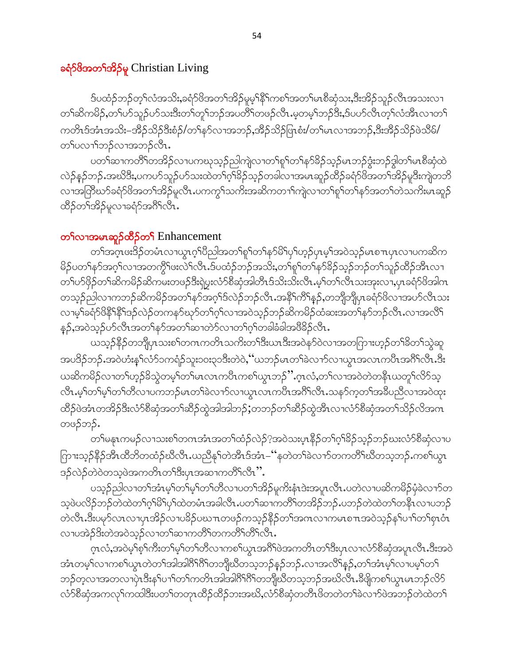#### ခရံှာ်<sup>8</sup>အတ<sup>ှ</sup>အိုန်မူ Christian Living

ဒ်ပထံဉ်ဘဉ်တ့််လံအသိး,ခရံှာ်ဖိအတ်အိဉ်မူမ့်နီ်ိုကစဉ်အတ်မၤစီဆုံသး,ဒီးအိဉ်သူဉ်လီၤအသးလ႑ တၫ်ဆိကမိဉ်,တၫ်ပာ်သူဉ်ပာ်သးဒီးတၫ်တူၫ်ဘဉ်အပတိႝၫ်တဖဉ်လီၤ.မ့တမ့ၢ်ဘဉ်ဒီး,ဒ်ပဟ်လီၤတ့ၢ်လံအီၤလၢတ႑် ကတိၤဒ်အံၤအသိး–အိဉ်သိဉ်ဒီးစံဉ်/တ႑်န5်လၢအဘဉ်ႇအိဉ်သိဉ်ဖြၤစံး/တ႑်မၤလၢအဘဉ်ႇဒီးအိဉ်သိဉ်ဖဲသိမ်/ တ႑်ပလၫ<sup>ှ</sup>ဘဉ်လၢအဘဉ်လီး**.** 

ပတ႑်ဆၢကတိႝၤ်တအိဉ်လၢပကၰသ့ဉ်ညါကျဲလၢတ႑်စူ႑်တ႑်နှာ်ခိဉ်သူဉ်မၤဘဉ်ဒွံးဘဉ်ဒွါတ႑်မၤစီဆုံထဲ လဲဉ်နဉ်ဘဉ် အဃိဒီး,ပကဟ်သူဉ်ဟ်သးထဲတၫ်ဂ့ၢ်ခိဉ်သှဉ်တခါလၢအမၤဆူဉ်ထိဉ်ခရံာ်ဖိအတ႑်အိဉ်မူဒီးကျဲတဘိ လၢအတြိဳဃာ်ခရံာ်ဖိအတၫ်အိဉ်မူလီၤ.ပကကွ႑်သက်ိးအဆိကတ႑ၢ်ကျဲလၢတ႑်စူၫ်တ႑်နာ်အတ႑်တဲသက်ိးမၤဆူဉ် ထိဉ်တၫ်အိဉ်မူလၢခရံဉ်အင်္ဂိုလီၤ.

#### တ¶လၫအမၤဆူဉ်ထိဉ်တ¶ Enhancement

တ<sup>ရအ</sup>ဂ္ဂ်ာဖး<sup>8</sup>ဉ်တမံၤလၢယ္ပၤဂ့<sup>ရ</sup>ပီညါအတ<sup>ရ</sup>ုရာတရနဉ်မိ<sup>ရ</sup>ပုရဟ္ဥပုံပမ့်အဝဲသုဉ်မၤစ႑ာပုၤလၢပကဆိက မိဉ်ပတ<sup>ု</sup>နှာ်အဂ္ဂါလၢအတကွိ<sup>ရ</sup>ဖူးလဲ<sup>ရ</sup>လီး.ဒ်ပထံဉ်ဘဉ်အသိုး,တ<sup>ရ</sup>ုရှာ်တျနဉ်မိဉ်သုဉ်ဘဉ်တျသူဉ်ထိဉ်အီးလၢ တ႑်ပာ်ဖိုဉ်တ႑်ဆိကမိဉ်ဆိကမးတဖဉ်ဒီးရဲပွးလံာ်စီဆုံအါတီၤဒ်သိးသိးလီၤ.မ့ှ်တ႑်လီၤသးအုးလ႑ပုၤခရံာ်ဖိအါဂၤ တသ္ဉ်ညါလၫကဘဉ်ဆိကမိဉ်အတၫ်နဉ်အဂ္ဂၢိဒ်လဲဉ်ဘဉ်လီၤႉအနိ<sup>၎</sup>ကိြန္ဉာ်,တဘျီဘျီပုၤခရံာ်<sup>8ွ</sup>လၢအပာ်လီၤသး လၢမ့ၢ်ခရံှာ်ဖိနိ<sup>ု</sup>နိ<sup>ု</sup>ဒဉ်လဲဉ်တကနဉ်ဃှာ်တၢ်ဂ့ၢ်လၢအဝဲသ့ဉ်ဘဉ်ဆိကမိဉ်ထံဆးအတၢ်နဉ်ဘဉ်လီၤႉလၢအလိံ၊ န5်,အဝဲသ့ဉ်ဟ်လီၤအတ႑်နာ်အတ႑်ဆၢတဲာ်လၢတ႑်ဂ့ၫ်တခါခံခါအဖိခိဉ်လီၤ.

ယသ္ဝိနိုဉ်တဘျီပုၤသးစၫ်တဂၤကတိၤသကိးတၫ်ဒီးယၤဒီးအဝဲနာ်ဝဲလၢအတကြားဟ့ဉ်တၫ်ခိတ႑်သွဲဆူ အပဒိဉ်ဘဉ်.အဝဲဟံးနှ<sup>၎</sup>လံာ်၁ကရံဉ်သူး၁၀း၃၁ဒိးတဲဝဲ, '´ယဘဉ်မၤတၢ်ခဲလၢာ်လၢယွၤအလၤကပိၤအဂိၢ်လီၤ.ဒိး ယဆိကမိဉ်လၢတၫ်ဟ့ဉ်ခ်ိသွဲတမ့ၢ်တၫ်မၤလၤကပိၤကစၢ်ယွၤဘဉ်ိႆႛႉဂၟၤလံႇတၫ်လၢအဝဲတဲတနိၤယတူၢ်လိ>်သ့ လိၤ.မ့္ပ်တ္ပါမ့္ပ်တ္ပါတ္ပါတ္၊ပကဘဉ်မၤတ္ပါခဲ့လ႑ာ်လ႑ယ္မၤလၤကပိၤအဂိၤ်လိၤ.သနၥ်က္စတ္ပါအခ်ီပညီလ႑အဝဲထုး ထိဉ်ဖဲအံၤတအိဉ်ဒီးလံာ်စိဆုံအတ႑်ဆိဉ်ထွဲအါအါဘဉ်;တဘဉ်တ႑်ဆိဉ်ထွဲအီၤလၢလံာ်စိဆုံအတ႑်သိဉ်လိအဂၤ တဖဉ်ဘဉ်.

တၫ်မနုၤကမဉ်လၫသးစၫ်တဂၤအံၤအတ႑်ထံဉ်လဲဉ်?အဝဲသးပ္ၤနိြဉ်တ႑်ဂ့ၫ်ခိဉ်သှဉ်ဘဉ်ဃးလံာ်စီဆုံလၢပ ကြားသုဉ်နိဉ်အီၤထိဘိတထံဉ်ဃိလီၤ.ယညီနှၤ်တဲအီၤဒ်အံၤ–''နတဲတၤ်ခဲလၢာ်တကတိၤ်ဃိတသ့ဘဉ်ႉကစၤ်ယွၤ ဒဉ်လဲဉ်တဲဝဲတသ့ဖဲအကတိၤတၫ်ဒီးပုၤအဆၢကတိၤ်လီၤ''.

ပသူဉ်ညါလၢတၫ်အံၤမ့ၢ်တ႑်မ့ၢ်တ႑်တိလၢပတ႑်အိဉ်မူကိႏနံၤဒဲးအပူၤလီၤ.ပတဲလၢပဆိကမိဉ်မုံခဲလၢာ်တ သူဖဲပလိဉ်ဘဉ်တဲထဲတၫ်ဂုၤ်မိ်ျပုၤ်ထဲတမံၤအခါလီၤႉပတ႑်ဆၢကတိႝၤ်တအိဉ်ဘဉ်ႉပဘဉ်တဲထဲတၤ်တနိၤလၢပဘဉ် တဲလီၤ.ဒီးပမှာ်လၤလၢပုၤအိဉ်လၢပခိဉ်ပဃၤတဖဉ်ကသူဉ်နိဉ်တၢ်အဂၤလၢကမၤစ႑ာအဝဲသူဉ်နှၤ်ပၢၢ်တၢ်စုၤဝံၤ လၢပအဲဉ်ဒိးတဲအဝဲသ့ဉ်လၢတၫ်ဆၢကတိႝၤ်တကတိႝၤတိၤလိၤ

ဂ္ဂၤလံ,အဝဲမ့<sup>၎</sup>စ္<sup>၎</sup>ကီးတ<sup>၎</sup>မ့္ဒါတ႑်တိလၤကစ႑်ယ္လၤအဂ်ီၫဖဲအကတိၤတ႑်ဒီးပုၤလၤလံာ်စီဆုံအပူၤလီၤ.ဒီးအဝဲ အံၤတမ္ါလၫကစၫ်ယွၤတဲတၫ်အါအါဂိ<sup>ု</sup>ဂိုကဘိုုဃိတသ့ဘဉ်နဉ်ဘဉ်ႉလၢအလိ႑်န္၄်,တၫ်အံၤမ္ါလၢပမ့္ပ်တ႑် ဘဉ်တဲ့လၢအတလၢပုံၤဒီးန<်ပၢႝတၟေါကတိၤအါအါဂိ်ါဂိ်ါတဘိုုဃီတသ့ဘဉ်အဃိလီၤႉဒီဖျိကစ႑်ယွၤမၤဘဉ်လိဉ် လံာ်စီဆုံအကလှ<sup>၎</sup>ကထါဒီးပတ<sup>၎</sup>တတုၤထိဉ်ထိဉ်ဘးအဃိႇလံာ်စီဆုံတတိၤဖိတတဲတ<sup>၎</sup>ခဲလၫာ်ဖဲအဘဉ်တဲထဲတ<sup>၎</sup>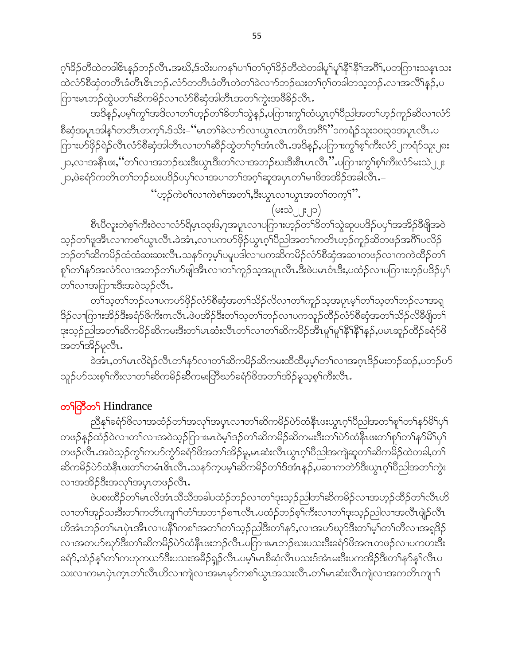ဂ့<sup>ရှ</sup>3်ဉတီထဲတခါ&ာနှဉ်ဘဉ်လီၤ.အဃိႇဒ်သိးပကန5်ပၢာိတ9်ဂ့9်3်ဉတီထဲတခါမူ9်မူ<sup>ရန္ဒေရ</sup>နှိ<sup>ရွ</sup>အဂီ9်ႇပတကြားသန္ၤသး ထဲလံာ်စီဆုံတတိၤခံတိၤဇိၤဘဉ်ႉလံာ်တတိၤခံတိၤတဲတၫ်ခဲလၫာ်ဘဉ်ဃးတ႑်ဂ္႑်တခါတသ့ဘဉ်ႉလၢအလိ႑်န္၄်ႇပ ကြားမၤဘဉ်ထွဲပတၫ်ဆိကမိဉ်လၢလံာ်စီဆုံအါတီၤအတ႑်ကွဲးအဖိခိဉ်လီၤ.

အဒိန္ဉ်,ပမ့္ပ်က္ဂ်ာအဒိလၢတ႑်ဟ္ဥတ႑်ခ်ိတ႑်သွဲန္ဥ်,ပကြားကွ႑်ထံယွၤဂ္ဂါပညါအတ႑်ဟ္ဥကူဥဆိလ႑လံဉ် စီဆုံအပူၤအါန1်တတိၤတကၠ1်.ဒ်သိး–''မၤတ႑်ခဲလ႑ာ်လ႑ယ္ပၤလၤကပီၤအဂိ<sup>၎''</sup>၁ကရံဉ်သူး၁၀း၃၁အပူၤလီၤ.ပ ကြားပာ်ဖြဉ်ရဲဉ်လီၤလံာ်စီဆုံအါတီၤလၢတၫ်ဆိဉ်ထွဲတၫ်ဂ့ၫ်အံၤလီၤအဒိန္ဉာ်,ပကြားကွၫ်စ့ၫ်ကီးလံာ်၂ကရံာ်သူး၂၈း ၂၁,လၫအနီၤဖႏ,''တၫလၫအဘဉ်ဃးဒီးယွၤဒီးတၫ်လၫအဘဉ်ဃးဒီးစီၤပၤလီၤ'' ပဂြာၫးကွ<sup>၎</sup>စ့ၫ်ကီးလံာ်မးသဲ ၂၂း \_<br>၂၁,ဖဲခရံာ်ကတိၤတၫ်ဘဉ်ဃးပဒိဉ်ပၦၢိလၢအပၢတၢ်အဂ္ဂါဆူအပှၤတၢိမၢဖိအအိဉ်အခါလ်ိဳၤ.–

"ဟူဉ်ကဲစါလၢကဲစါအတ1်,ဒီးယွာလၢယွာအတါတက္ပါ".

# $(\circ : \circ)$   $| \cdot | \circ)$

စီၤပီလူးတဲစ့ౕnာိးဝဲလ႑လံာ်ရိမ္ၤ၁၃း၆ႇ၇အပူၤလ႑ပဂြာၫးဟ့ဉ်တ႑်ိခတ႑်သွဲဆူပပဒိဉ်ပၦၤ်အအိဉ်ခ်ီဖျိအဝဲ သ့ဉ်တၫ်ဖူအီၤလၢကစၫ်ယွၤလီၤ.ခဲအံၤ,လၢပကပာ်ဖှိဉ်ယွၤဂ့ၢ်ပီညါအတၢ်ကတိၤဟ့ဉ်ကူဉ်ဆိတဖဉ်အင်္ဂါပလိဉ် ဘဉ်တၫ်ဆိကမိဉ်ထံထံဆးဆးလိၤႉသနၥ်က့မ့ၢ်ပမူပဒါလၤပကဆိကမိဉ်လံာ်စီဆုံအဆၤတဖဉ်လၤကကဲထိဉ်တ႑် စူ<sup>ရ</sup>တၫ်နဉ်အလံဉ်လၫအဘဉ်တၫ်ဟ်ဖျါအီၤလၫတၫ်ကူဉ်သ့အပူၤလီၤမီးဖဲပမၤဝံၤ<sup>မီး</sup>ႇပထံဉ်လ႑ပဂြာၫးဟ့ဉ်ပ<sup>8</sup>ဉ်ပု<sup>ရ</sup> တၫ်လၫအဂြာၫးဒီးအဝဲသုဉ်လီၤ.

တၫ်သူတၫ်ဘဉ်လၢပကပာ်ဖိုဉ်လံာ်စီဆုံအတ႑်သိဉ်လိလၢတ႑်ကူဉ်သ့အပူၤမ့္ပ်တ႑်သူတ႑်ဘဉ်လၢအရှ ဒိုဉ်လာကြားအိဉ်ဒိီးခရံှာ်ဖိကိုးကလီၤ.ဖဲပအိဉ်ဒီးတ႑်သူတ႑်ဘဉ်လျပကသူဉ်ထိဉ်လံှာစီဆုံအတ႑်သိဉ်လိနိဖျိတ႑် ဒုးသ့ဉ်ညါအတၫ်ဆိကမိဉ်ဆိကမးဒီးတၫ်မၤဆံးလီၤတၫ်လၢတၫ်ဆိကမိဉ်အိၤမှု၊်မှု၊်နိ<sup>ု</sup>နှံုနှဉ်,ပမၤဆူဉ်ထိဉ်ခရံာ်<sup>ဖွ</sup> အတ႑်အိဉ်မှုလီၤ.

ခဲအံၤႇတၫ်မၤလိရဲဉ်လီၤတၫ်နဉ်လၢတ႑်ဆိကမိဉ်ဆိကမးထိထိမ့မ့ှ်တ႑်လၢအဂ္ဂၤဒိဉ်မးဘဉ်ဆဉ်ႇပဘဉ်ပဉ် သူဉ်ဟ်သးစ့<sup>၎</sup>ကီးလၢတ<sup>၎</sup>ဆိကမိဉ်ဆိကမးကြီဃာ်ခရံာ်ဖိအတၫ်အိဉ်မူသ့စ့<sup>၎</sup>ကီးလီၤ**.** 

# တ<sup>5</sup>တြိတ် Hindrance

ညီနှ1်ခရံာ်ဖိလၢအထံဉ်တ1်အလှ1်အပူၤလၢတ1်ဆိကမိဉ်ပဲာ်ထံနိုၤဖးယွၤဂ့ါပီညါအတ1်စူ1်တ1်နဉ်မိ1်ပု1 တဖဉ်နဉ်ထံဉ်ဝဲလၢတၫ်လၢအဝဲသ့ဉ်ဂြာၫးမၤဝဲမ့ၢ်ဒဉ်တၫ်ဆိကမိဉ်ဆိကမးဒီးတၫ်ပဲာ်ထံနီၤဖးတၫ်စူၫ်တ႑်နာ်မိ႑်ပှ႑် တဖဉ်လီၤ.အဝဲသ့ဉ်ကွ<sup>၎</sup>ကပဉ်ကွံာ်ခရံဉ်ဖိအတ<sup>၎</sup>အိဉ်မူ,မၤဆံးလီၤယွၤဂ့ၢ်ပိညါအကျဲဆူတ<sup>၎</sup>ဆိကမိဉ်ထဲတခါ,တ<sup>၎</sup> ဆိက်မိဉ်ပဲာ်ထံနိၤဖဴးတ<sup>ြ</sup>တမံၤ<sup>ဇွ</sup>ၤလီၤႉသနာ်က့ပမ့<sup>၎</sup>ဆိကမိဉ်တၫ်ဒ်အံၤန္ဉာ်,ပဆၢကတဲာ်ဒီးယွၤဂ့ၢိပိညါအတၤ်ကွဲး လၢအအိဉ်ဒီးအလှၢ်အပ္ၤတဖဉ်လီၤ.

ဖဲ့ပစးထိဉ်တၫ်မၤလိအံၤသိသိအခါပထံဉ်ဘဉ်လၢတ႑်ဒုးသ့ဉ်ညါတ႑်ဆိကမိဉ်လၢအဟူဉ်ထိဉ်တ႑်လီၤဟိ လၢတၫ်အှဉ်သးဒီးတၫ်ကတိၤကျၫ်တံၫ်အဘ႑ာ်စ႑ာလီၤႉပထံဉ်ဘဉ်စ့ၫ်ကီးလၢတၫ်ဒုးသူဉ်ညါလၢအလီၤဖျဲဉ်လီၤ ဟိအံၤဘဉ်တ<sup>ျ</sup>မၤပှဲၤအီၤလၢပနိ<sup>၎</sup>ကစၫ်အတ႑်တ႑်သူဉ်ည<sup>ှ</sup>ဒြီးတ႑်န**်,**လၢအပဉ်ဃှာ်ဒီးတ႑်မှ<sup>ြ</sup>တ႑်တိလၢအရှဒ်ဉ် လၢအတပာ်ဃှာ်ဒီးတၫ်ဆိကမိဉ်ပဲာ်ထံနီၤဖးဘဉ်လီၤ.ပဂြာၫးမၤဘဉ်ဃးပသးဒိီးခရံာ်ဖိအဂၤတဖဉ်လၢပကဟးဒိီး ခရံာ်,ထံဉ်နှၤ်တ႑်ကဟုကယာ်ဒီးပသးအခ်ိဉ်ရှဉ်လီၤ.ပမ့ၤ်မၤစီဆုံလီၤပသးဒ်အံၤမးဒီးပကအိဉ်ဒီးတၤ်နှာ်နှၤ်လီၤပ သးလၢကမၤပှဲၤက္ၤတၫ်လီၤဟိလၢကျဲလၢအမၤမှာ်ကစၢ်ယွၤအသးလီၤ.တၫ်မၤဆံးလီၤကျဲလၢအကတိၤကျၫ႑်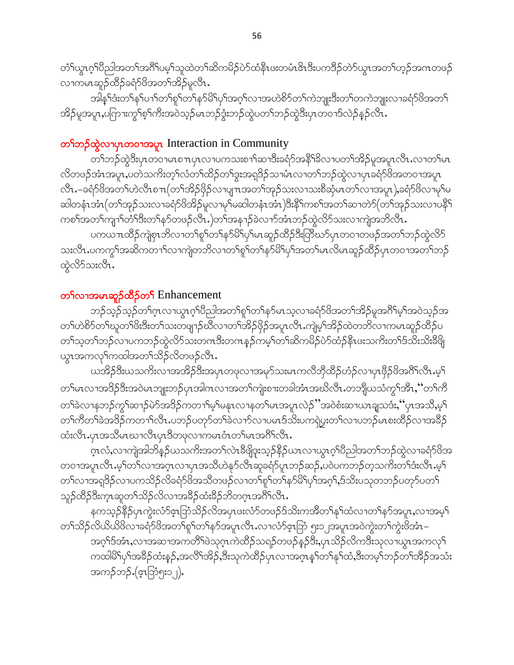တံ်ါယွၤဂ္ဂါပီညါအတၤ်အဂ်ိါပမ့ါသူထဲတၤ်ဆိကမိဉ်ပဲာ်ထံနိုၤဖးတမံၤ&ၤဒီးပကဒိဉ်တဲာ်ယွၤအတၤ်ဟ့ဉ်အဂၤတဖဉ် လၫကမၤဆူဉ်ထိဉ်ခရံာ်ဖိအတ႑်အိဉ်မူလီၤ.

အါန1်ဒံးတ1်န1်ပ႑ါတ1်စူ1်တ1်န5်မိ1်ပှ1်အဂ့1်လ႑အဟဲစိ5်တ1်ကဲဘျုးဒီးတ1်တကဲဘျုးလ႑ခရံ5်ဖိအတ1် အိဉ်မူအပူၤ,ပကြားကွ<sup>ှ</sup>စ့<sup>၎</sup>ကီးအဝဲသ့ဉ်မၤဘဉ်ဒွံးဘဉ်ထွဲပတ<sup>၎</sup>ဘဉ်ထွဲဒီးပုၤတဝၢဒ်လဲဉ်နဉ်လီၤ.

## တ<sup>ှ</sup>တဉ်ထွဲလၫပှၤတဝၢအပူၤ Interaction in Community

တၫ်ဘဉ်ထွဲဒီးပုၤတဝၢမၤစၢၤပုၤလၢပကသးစၢၢိဆၢဒိီးခရံဉ်အနိ<sup>ု</sup>ခ်ိလၢပတၫ်အိဉ်မူအပူၤလီၤႉလၢတၢ်မၤ လိတဖဉ်အံၤအပူၤႇပတဲသက်ိးတ့ౕါလံတౕါထိဉ်တၢ်ဒွးအရှုဒိဉ်သၢမံၤလၢတၤ်ဘဉ်ထွဲလၢပုၤခရံာ်ဖိအတဝၢအပူၤ လီၤႉ–ခရံာ်ဖိအတၤ်ဟဲလီၤစ႑္(တၤအိဉ်ဖိုဉ်လ႑ပျ႑ာအတၤ်အှဉ်သးလ႑သးစိဆုံမၤတၤ်လ႑အပူၤ),ခရံာ်ဖိလ႑မှၤ်မ ဆါတနံၤအံၤ(တၫ်အုဉ်သးလၢခရံဉ်ဖိအိဉ်မူလၢမှၢ်မဆါတနံၤအံၤ)ဒီးနိ<sup>၎</sup>ကစၫ်အတ႑်ဆၢတဲ၁်(တ႑်အုဉ်သးလၢပနိ<sup>၎</sup> ကစၫ်အတၫ်ကျၫ်တိ်၊ဒီးတ႑်နှာ်တဖဉ်လီၤ.)တ႑်အန႑ာ်ခဲလ႑ာ်အံၤဘဉ်ထွဲလိ်ာသးလ႑ကျဲအဘိလီၤ.

ပကယπထိဉ်ကျဲစုၤဘိလၢတၫ်စူၫ်တ႑်နှာ်မိ႑်ပု႑်မၤဆူဉ်ထိဉ်ဒီးတြီဃာ်ပုၤတဝၢတဖဉ်အတ႑်ဘဉ်ထွဲလိဉ် သးလီၤ.ပကကွ\်အဆိကတ႑)်လ႑ကျဲတဘိလ႑တ႑်စူှာ်တ႑်နှာ်မိြပုှာ်အတှမြာလိမ္ပာဆူဉ်ထိဉ်ပုၤတဝ႑အတှာ်ဘဉ် ထွဲလိ်ာသးလီး.

## တ<sup>ှ</sup>လၫအမၤဆူဉ်ထိဉ်တ**ှ** Enhancement

ဘဉ်သ့ဉ်သ့ဉ်တၫ်ဂ္ၤလၢယွၤဂ့ၫ်ပီညါအတ႑်စူၫ်တ႑်နာ်မၤသ့လၢခရံာ်ဖိအတ႑်အိဉ်မူအဂိၢ်မ့ၢ်အဝဲသ့ဉ်အ တၫ်ဟဲစိၥ်တၫ်ဃူတၫ်ဖိးဒီးတ႑်သးတဖျာဉ်ဃီလၢတ႑်အိဉ်ဖိုဉ်အပူၤလီၤ.ကျဲမ့ၫ်အိဉ်ထဲတဘိလၢကမၤဆူဉ်ထိဉ်ပ တၫ်သ့တၫ်ဘဉ်လၢပကဘဉ်ထွဲလိ9်သးတဂၤဒီးတဂၤနှဉ်ကမ့ၢ်တၫ်ဆိကမိဉ်ပဲ9်ထံဉ်နီၤဖးသက်ိးတ႑်ဒ်သိးသိးခီဖြို ယ္ပၤအကလုၤ်ကထါအတ႑်သိဉ်လိတဖဉ်လီၤ.

ယအိဉ်ဒီးယသကိႏလၫအအိဉ်ဒီးအပှၤတဖုလၫအမှာ်သးမၤကလီဘိုထိဉ်ဟံဉ်လၢပှၤဖှိဉ်ဖိအဂိၢ်လိၤ.မ့႑် တၫ်မၤလၢအဒိဉ်ဒီးအဝဲမၤဘျုးဘဉ်ပှၤအါဂၤလၢအတ႑်ကျဲးစၫးတခါအံၤအဃိလီၤ.တဘိုုယသံကွ<sup>၎</sup>အိၤ,''တ႑်ကိ တၫ်ခဲလၢနဘဉ်ကွ<sup>၎</sup>ဆၢဉ်မဲာ်အဒိဉ်ကတၢၢိမ့ၢ်မနၤလၢနတၢ်မၤအပူၤလဲဉ်ိႆအဝဲစံးဆၢယၤချသဒံးႇိပုၤအသိႇမ့႑် တၫ်ကီတၫ်ခဲအဒိဉ်ကတ႑ၢ်လီၤ.ပဘဉ်ပတုာ်တ႑်ခဲလ႑ာ်လ႑ပမၤဒ်သိႏပကၡဲပူးတ႑်လ႑ပဘဉ်မၤစးထိဉ်လ႑အနိဉ် ထံးလိၤ.ပုၤအသိမၤဃၢလိၤပုၤဒိတဖုလၢကမၤဝံၤတ႑်မၤအဂိႝၤလိၤ.

ဂ္•ာလံႇလၫကျဲအါဘိန္ဉာိယသကိႏၶာတ႑်လဲ႑ဒီဖျိဒုးသ့ဉ်နိဉ်ယၤလၫယ္ပၤဂ္႗ါပညါအတ႑်ဘဉ်ထွဲလ႑ခရံဉ $\&$ အ တဝၢအပူၤလီၤ.မ့ါတါလၢအဂ္ၤလၢပုၤအသိဟဲနု၁်လီၤဆူခရံာ်ပူၤဘဉ်ဆဉ်ႇပဝဲပကဘဉ်တဲ့သက်ိးတၫ်ဒံးလီၤ.မ့ါ တၫ်လၢအရုဒိဉ်လၢပကသိဉ်လိခရံှာဖိအသိတဖဉ်လၢတ႑်စူၫ်တ႑်နှာ်မိ႑်ပှၢ်အဂ္ဂါ,ဒ်သိးပသုတဘဉ်ပတှာ်ပတ႑် သူဉ်ထိဉ်ဒီးက္•ာဆူတ႑်သိဉ်လိလ႑အခ်ိဳဉ်ထံးခ်ိဳဉ်ဘိတဂ္•ၤအဂီိြလီ႑

နကသူဉ်နိ5ုပုၤကွဲးလံာ်ဇူးဘြဲသိဉ်လိအပုၤဖးလံာ်တဖဉ်ဒ်သိးကအိတၫ်နှၤ်ထံလၢတ႑်နှာ်အပူးႇလၢအမူ႑် တၫ်သိဉ်လိယိယိဖိလၢခရံဉ်ဖိအတ႑်စူဉ်တ႑်နှာ်အပူၤလီၤႉလၢလံဉ်ဇူးဘြံ ၅း၁၂အပူၤအဝဲကွဲးတ႑်ကွဲးဖိအံၤ– အဂ္ဂါဒ်အံၤႇလၫအဆ႑အကတိႝ႞ဖဲသုဂ္ၤကဲထိဉ်သရဉ်တဖဉ်နဉ်ဒီးႇပှၤသိဉ်လိကဒီးသုလ႑ယ္ပၤအကလုႝ ကထါမိ1်ပှ1်အခိဉ်ထံးနဉ်,အလိႝ1အိဉ်,ဒီးသုကဲထိဉ်ပှၤလၢအဂ္ဂၤန1်တ1်နှ1်ထံ,ဒီးတမ့1်ဘဉ်တ1်အိဉ်အသံး အကဉ်ဘဉ် (ဇူးဘြံ၅း၁၂).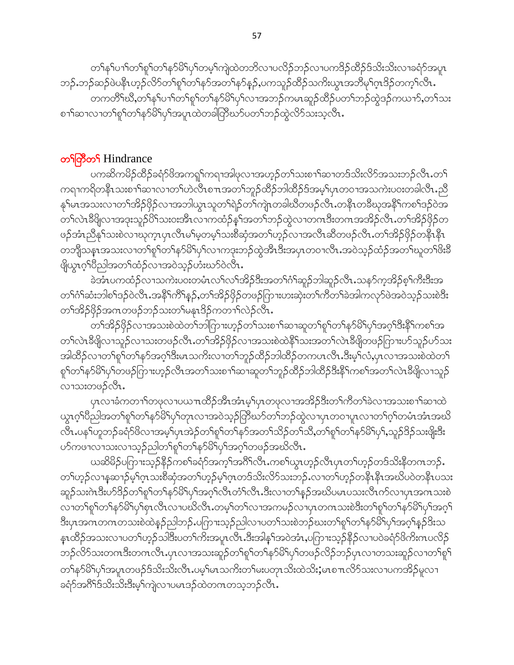တၫ်နှၤ်ပၢၤ်တ႑်စူၤ်တ႑်နှာမိြပု႑်တမ့ၤ်ကျဲထဲတဘိလၤပလိဉ်ဘဉ်လၤပကဒိဉ်ထိဉ်ဒ်သိးသိးလၢခရံာ်အပူၤ ဘဉ်ႉဘဉ်ဆဉ်ဖဲပနိၤဟ့ဉ်လိာ်တၫ်စူၫ်တ႑်နာ်အတ႑်နာ်နဉ်ႇပကသူဉ်ထိဉ်သက်းယွာ အဘိမှၫ်ဂ္ဂၤဒိဉ်တက့႑်လီၤႉ တကတိိ<sup>ု</sup>ဃိဳႇတၫ်နှၤ်ပၢါတ႑်စူၫ်တ႑်နှာ်မိ<sup>ု</sup>ပု႑်လၢအဘဉ်ကမၤဆူဉ်ထိဉ်ပတၤ်ဘဉ်ထွဲဒဉ်ကယၢာ်ႇတၤ်သး စၫႝာဆၫလၫတႝ႞စူႝ႞တႝ႞န႒်မိႝ႞ပုႝ႞အပူၤထဲတခါကြီဃ႒်ပတ႑်ဘဉ်ထွဲလိ9်သးသူလီၤ.

## တ<sup>ှ</sup>ကြိတ် Hindrance

ပကဆိကမိဉ်ထိဉ်ခရံာ်ဖိအကၡုကၡာအါဖုလၢအဟ္နဉ်တ႑်သးစ႑ာ်ဆၢတဒ်သိးလိ်ာအသးဘဉ်လီၤ.တ႑် ကရၢကရိတနိၤသးစၫ်ဆၢလၢတၤ်ဟဲလိၤစ႑ာအတၤ်ဘူဉ်ထိဉ်ဘါထိဉ်ဒ်အမ့ၤ်ပုၤတဝၢအသကဲးပဝးတခါလီၤ.ညိ နု်မၤအသးလၫတၫ်အိဉ်ဖှိဉ်လၫအဘါယွၤသူတ႑်ရဲဉ်တ႑်ကျဲၤတခါဃီတဖဉ်လီၤ.တနိၤတခ်ီဃုအနိႝၤ်ကစ႑်ဒဉ်ဝဲအ တၫ်လဲၤနီဖြိုလၢအဒုးသူဉ်ပိါသး၀းအီၤလၢကထံဉ်နှၤ်အတ႑်ဘဉ်ထွဲလၢတဂၤဒီးတဂၤအအိဉ်လီၤ.တ႑်အိဉ်ဖိုဉ်တ ဖဉ်အံၤညီနှ1်သးစဲလၢဃုက္ၤပုၤလိၤမါမှတမ့ါသးစိဆုံအတၢ်ဟုဉ်လၢအလီၤဆီတဖဉ်လီၤ.တၫ်အိဉ်ဖိုဉ်တနိၤနိၤ တဘျီသနၤအသးလၢတၫ်စူၫ်တ႑်နှာ်မိ႑်ပု႑်လၢကဒုးဘဉ်ထွဲအိၤဒီးအပုၤတဝၢလိၤႉအဝဲသ့ဉ်ထံဉ်အတ႑်ဃူတ႑်ဖိးခ်ိ ဖြယ္လၤဂ့<sup>ရ</sup>ပ္မ်ိဳညါအတ႑်ထံဉ်လၢအဝဲသ့ဉ်ဟံးဃာ်ဝဲလီၤ.

ခဲအံၤပကထံဉ်လၫသကဲးပဝးတမံၤလၫ်လ႑်အိဉ်ဒီးအတ႑်ဂံ႑်ဆူဉ်ဘါဆူဉ်လီၤႉသနဉ်က္ခအိဉ်စ့႑်ကီးဒီးအ တၫ်ဂံၫ်ဆံးဘါစၫ်ဒဉ်ဝဲလီၤႉအနီၫ်ကိ႑်နှဉ်ႇတ႑်အိဉ်ဖိုဉ်တဖဉ်ကြားဟးဆုံးတ႑်ကိတ႑်ခဲအါကလှာ်ဖဲအဝဲသူဉ်သးစဲဒီး တ<sup>ှ</sup>အိဉ်ဖိုဉ်အဂၤတဖဉ်ဘဉ်သးတ<sup>ှ</sup>မနုၤဒိဉ်ကတၢ<sup>ှ</sup>လဲဉ်လီၤ**.** 

တၫ်အိဉ်ဖိုဉ်လၢအသးစဲထဲတၫ်ဘါဂြားဟ့ဉ်တ႑်သးစ႑ာ်ဆၫဆူတ႑်စူၫ်တ႑်နှာ်မိ႑ိပု႑်အဂ္ဂါဒီးနို႑်ကစ႑်အ တ႑်လဲၤုဒီဖြိုလ႑သူဉ်လ႑သးတဖဉ်လီၤႉတ႑်အိဉ်ဖိုဉ်လ႑အသးစဲထဲနိ႑်သးအတ႑်လဲၤုဒီဖြိုတဖဉ်ကြားပာ်သူဉ်ပာ်သး အါထိဉ်လၢတၫ်စူၫ်တ႑်နှာ်အဂ္ဂၢ်ဒီးမၤသကိႏလၢတ႑်ဘူဉ်ထိဉ်ဘါထိဉ်တကပၤလိၤႉဒီးမ့႑်လံ,ပုၤလၢအသးစဲထဲတ႑် စှါတါနဉ်မိါပုါတဖဉ်ကြားဟ့ဉ်လီၤအတါသးစၢါဆၢဆူတါဘူဉ်ထိဉ်ဘါထိဉ်ဒီးနိုါကစါအတါလဲၤခီဖျိလၢသူဉ် လၫဿးတဖဉ်လီၤ.

ပုၤလၢခံကတၫ်ာတဖုလၢပယ႑ာထိဉ်အိၤအံၤမ့္ပ်ပုၤတဖုလၢအအိဉ်ဒီးတ႑်ကိတ႑်ခဲလၢအသးစ႑ာ်ဆၢထဲ ယွၤဂ့ါ်ပီညါအတ<sup>ရ</sup>စူါတ<sup>ရ</sup>နာ်မိ<sup>ရ</sup>ပှါတုၤလၢအဝဲသ့ဉ်ကြီဃာ်တ<sup>ရ</sup>ဘဉ်ထွဲလၢပှၤတဝၢပူၤလၢတ<sup>ရ</sup>ဂ့ါတမံၤအံၤအဃိ လီၤ.ပန1်ဟူဘဉ်ခရံာ်ဖိလၢအမ့1်ပုၤအဲဉ်တ1်စူ1်တ1်နာ်အတ1်သိဉ်တ1်သိႆ,တ1်စူ1်တ1်နာ်မိ1်ပု1်,သူဉ်ဒိဉ်သးဖျိုးဒီး ဟ်ကၒၫလၫသးလၫသ့ဉ်ညါတ႑်စူ႑်တ႑်နှာ်မိ႑်ပု႑်အဂ္ဍ႑်တၒဉ်အဃိလီၤ.

ယဆိမိဉ်ပကြားသ့ဉ်နိဉ်ကစ<sup>႑</sup>ခရံဉ်အက့<sup>၎</sup>အဂိ<sup>ု</sup>လိၤ.ကစ႑်ယွာဟ့ဉ်လီၤပှာတ႑်ဟ့ဉ်တဒ်သိးနိတဂၤဘဉ်. တၫ်ဟ္ဉ်လၫန္နဆ႑ာ်မ့ၫ်ဂ္ၤသးစီဆုံအတၫ်ဟ္ဉ်မ့ၫ်ဂ္ၤတဒ်သိးလိ်ာသးဘဉ်ႉလၢတ႑်ဟ္ဉ်တနိၤနိၤအဃိပဝဲတနိၤပသး ဆူဉ်သးဂဲၤဒီးဟ်ဒိဉ်တ႑်စှ႑်တ႑်နှာ်မိ႑်ပှ႑်အဂ္ဂၤလီၤတိၤလီၤ.ဒီးလၢတ႑်နှဉ်အဃိပမၤပသးလီၤက်လၢပုၤအဂၤသးစဲ လၢတၫ်စူၫ်တ႑်နဉ်မိ႑ိပု႑်စုၤလီၤလၢပဃိလီၤႉတမ့႑်တ႑်လၢအကမဉ်လၢပုၤတဂၤသးစဲဒီးတ႑်စူ႑်တ႑်နဉ်မိ႑်ပု႑်အဂ္ဂ႑် ဒီးပုၤအဂၤတဂၤတသးစဲထဲနဉ်ညါဘဉ်ႉပဂြာၫးသ့ဉ်ညါလ႑ပတ႑်သးစဲဘဉ်ဃးတ႑်ရှာ်တ႑်နှာ်မိ၊ပု႑်အဂ္ဂါနည်ဒိးသ န္ၤထိဉ်အသးလၢပတၫ်ဟ့ဉ်သါဒီးပတၫ်ကိႏအပူၤလီၤ.ဒီးအါန္႑်အဝဲအံၤ,ပကြားသ့ဉ်နိဉ်လၢပဝဲခရံာ်ဖိကိႏၵၤပလိဉ် ဘဉ်လိ်ာသးတဂၤဒီးတဂၤလိၤႉပုၤလၢအသးဆူဉ်တ႑်စူ႑်တ႑်နှာ်မိြပု႑်တဖဉ်လိဉ်ဘဉ်ပုၤလၢတသးဆူဉ်လၢတ႑်စူ႑် တၫ်နာ်မိ၊်ပှ၊်အပူၤတဖဉ်ဒ်သိးသိးလီၤ.ပမ့၊်မၤသကိးတၢ်မးပတုၤသိးထဲသိး;မၤစ႑ၤလိဉ်သးလ႑ပကအိဉ်မူလ႑ ခရံာ်အဂိါ်ဒ်သိးသိးဒီးမ့ါ်ကျဲလၢပမၤဒဉ်ထဲတဂၤတသ့ဘဉ်လီၤ.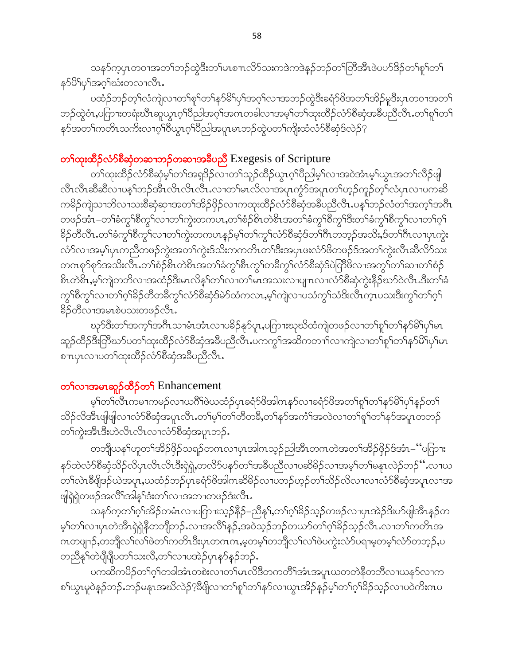သနၥ်က္ခပှၤတဝၢအတၫ်ဘဉ်ထွဲဒီးတၫ်မၤစ႑ၤလိၵ်သးကဒဲကဒဲနဉ်ဘဉ်တၫ်တြိအိၤဖဲပပာ်ဒိဉ်တၫ်စူၫ်တ႑် န>်မိ႑်ပု႑်အဂ္ဂ႑်ဃီးတလၢလိၤ

ပထံဉ်ဘဉ်တ့ၢ်လံကျဲလၢတၢ်စူၫ်တၫ်နှာ်မိ၊်ပှၢ်အဂ့ၢ်လၢအဘဉ်ထွဲဒီးခရံာ်ဖိအတၢ်အိဉ်မူဒီးပှၤတဝၢအတ႑် ဘဉ်ထွဲဝံၤႇပဂြာၫးတရံးဃိၤဆူယွၤဂ့ၫ်ပညါအဂ္ဂၢိအဂၤတခါလၫအမ့ၢ်တၫ်ထုံးထိဉ်လံာ်စိဆုံအခ်ဳပညီလီၤႉတၫ်စူၫ်တ႑် နဉ်အတ႑်ကတိၤသက်ိးလၢဂ္ဂါဝိယ္ဂၤဂ့ါပီညါအပူၤမၤဘဉ်ထွဲပတ႑်ကိုုးထံလံာ်စီဆုံဒ်လဲဉ်?

# တ<sup>ှ</sup>ထုံးထိဉ်လံာ်စီဆုံတဆ႑ဘဉ်တဆ႑အခ်ဳပညီ Exegesis of Scripture

တ်ရထူးထိ<mark>ဉ်လံ</mark>ာ်စီဆုံမဲ့<sup>ရ</sup>တ<sup>ရ</sup>အရှဒိဉ်လၫတ<sup>ရ</sup>သူဉ်ထိဉ်ယွာဂ့<sup>ရ</sup>ပီညါမဲ့<sup>ရ</sup>လၫအဝဲအံၤမ့<sup>ရ</sup>ယွာအတ<sup>ရ</sup>လီဉ်ဖျ လီၤလီၤဆီဆီလ႑ပန္ ်ဘဉ်အီၤလိၤလိၤလီၤ.လ႑တ႑်မၤလိလ႑အပူၤက္ပံာ်အပူၤတ႑်ဟ္ဉ်ကူဉ်တ္႑်လံပှၤလ႑ပကဆိ ကမိဉ်ကျဲသၢဘိလၢသးစိဆုံဆှၢအတၫ်အိဉ်ဖှိဉ်လၢကထုးထိဉ်လံာ်စိဆုံအခ်ီပညီလိၤ.ပန1်ဘဉ်လံတၫ်အက္1်အဂိၤ တဖဉ်အံၤ–တ1်ခံကွ1်စီကွ1်လ1တ1်ကွဲးတကပၤ,တ1်စံဉ်စ်ၤတဲစိၤအတ1်ခံကွ1်စီကွ1်ဒီးတ1်ခံကွ1်စီကွ1်လ1တ1်ဂ့1် ခြိဉ်တီလီၤ.တၫ်ခံကွ<sup>ရှ</sup>စီကွ<sup>ရ</sup>လၢတၫ်ကွဲးတကပၤနှဉ်မ့<sup>ရ</sup>တၫ်ကွ<sup>ရ</sup>လံာ်စီဆုံဒ်တၫ်ဂီၤတဘ္ဉ်အသိး,ဒ်တၫ်ဂီၤလၢပုၤကွဲး လံာ်လၢအမ့<sup>၎</sup>ပှၤကညီတဖဉ်ကွဲးအတ<sup>၎</sup>ကွဲးဒ်သိးကကတိၤတ<sup>၎</sup>ဒိးအပှၤဖးလံာ်ဖိတဖဉ်ဒ်အတ႑်ကွဲးလီၤဆီလိ<sup>5</sup>သး တဂၤစု၁်စုာ်အသိးလိြးတ<sup>ြ</sup>စုံခိုစိုးတဲ့စိုးအတ<sup>ြ</sup>ခံကွ<sup>ျ</sup>စီးကွ<sup>ျ</sup>တခ်ကွ<sup>ြ</sup>လံာ်စီဆုံဒ်ပဲတြိဖိလၢအကွ<sup>ြ</sup>တ်၊ဆၢတၢ်စံဉ် စိၤတဲစိၤ,မ့ါ်ကျဲတဘိလၢအထံဉ်ဒီးမၤလိန္ ါတ႑်လၢတ႑်မၤအသးလၢပျ႑ာလၢလံာ်စီဆုံကွဲးနိဉ်ဃာ်ဝဲလီၤ.ဒီးတ႑်ခံ ကွ<sup>ျ</sup>စီကွ<sup>ျ</sup>လၢတၫ်ဂ့<sup>ရှ</sup>ခ်ိုတီတခ်ီကွ<sup>ရ</sup>လံာ်စိဆုံဒ်မဲာ်ထံကလၤႇမ့<sup>ရ</sup>ကျဲလၢပသံကွ<sup>ရ</sup>သံဒိးလီၤက္ၤပသးဒီးကွ<sup>ရ</sup>တၫ်ဂ့<sup>ရ</sup> နိ5်တီလာအမာစဲပသးတဖဉ်လီး.

ဃုာ်ဒီးတ<sup>၎</sup>အက့်<sup>ရြ</sup>ာဂီၤသၢမံၤအံၤလၢပ<sup>္ဌ</sup>ဉ်နှာ်ပူၤ,ပဂြာၫးဃုဃိထံကျဲတဖဉ်လၢတၢ်စူၫ်တၫ်နှာ်မိ<sup>၎</sup>ပှၢ်မၤ ဆူဉ်ထိဉ်ဒီးတြိဃာ်ပတၫ်ထုးထိဉ်လံာ်စိဆုံအခ်ိပညီလီၤ.ပကကွၢ်အဆိကတၫၢ်လၢကျဲလၢတ႑်စူၫ်တ႑်နာ်မိ႑်ပု႑်မၤ စ႑ာပုၤလ႑ပတ႑်ထုးထိဉ်လံာ်စီဆုံအခ်ဳပညီလီၤ.

# တ<sup>ှ</sup>လၫအမၤဆူဉ်ထိဉ်တ**ှ** Enhancement

မ့<sup>၎</sup>တ<sup>ြ</sup>လ်ကမၢကမဉ်လၢယဂိ<sup>ရ</sup>ဖဲယထံဉ်ပှၤခရံာ်ဖိအါကနဉ်လၢခရံာ်ဖိအတ<sup>ှ</sup>ရှာ်တ<sup>ှ</sup>နဉ်မိ<sup>ရ</sup>ပှ<sup>ု</sup>နဉ်တ<sup>ှ</sup> သိဉ်လိအီၤဖျံဖျဲလၫလံာ်စီဆုံအပူၤလီၤ.တၫ်မှၫ်တ်ကိတ်ခ်ိႇတ႑်နာ်အကံ႑်အလဲလ႑တ႑်စူ႑်တ႑်နာ်အပူၤတဘဉ် တၫ်ကွဲးအီးဒီးဟဲလိၤလိၤလၢလံာ်စီဆုံအပူၤဘဉ်.

တဘိုုယန1်ဟူတ1်အိဉ်ဖိုဉ်သရဉ်တဂၤလၢပှၤအါဂၤသ့ဉ်ညါအီၤတဂၤတဲအတ1်အိဉ်ဖှိဉ်ဒ်အံၤ–''ပဂြာၢး နၵ်ထဲလံၵ်စီဆုံသိဉ်လိပှၤလိၤလိၤဒီးရှဲရှဲ,တလိၵ်ပနၵ်တၫ်အခီပညီလၢပဆိမိဉ်လၢအမ့ၢ်တၫ်မနုၤလဲဉ်ဘဉ်'' လၢယ တၫ်လဲၤဒီဖျိဒဉ်ယဲအပူၤႇယထံဉ်ဘဉ်ပှၤခရံဉ်ဖိအါဂၤဆိမိဉ်လၢပဘဉ်ဟ့ဉ်တ႑်သိဉ်လိလၢလၢလံဉ်စီဆုံအပူၤလၢအ ဖျါရဲရဲတဖဉ်အလိ်ၤအါနၤ်ဒီးတၤ်လၤအဘၤတဖဉ်ဒံးလိၤ.

သန>်က့တၫ်ဂ့ၫ်အိဉ်တမံၤလၢပကြားသ့ဉ်နိဉ်–ညီနုၤ်,တ႑်ဂ့ၫ်ခိဉ်သ့ဉ်တဖဉ်လၢပုၤအဲဉ်ဒိးဟ်ဖျဲအီၤန္ဉာ်တ မ့်ၢိတၢ်လၢပုၤတဲအိၤရှဲရှဲနိတဘျိဘဉ် လၢအလိ်၊နဉ်,အဝဲသ့ဉ်ဘဉ်တယာ်တၢ်ဂ့ၢ်ခိဉ်သ့ဉ်လီၤ လၢတၢ်ကတိၤအ ဂၤတဖျာဉ်,တဘျီလၫ်လၫ်ဖဲတၫ်ကတိၤဒီးပုၤတဂၤဂၤ,မ့တမ့ၫ်တဘျီလၫ်လၫ်ဖဲပကွဲးလံာ်ပရၢမ့တမ့ၫ်လံာ်တဘုဉ်,ပ တညီနှ1်တဲပိုပြီုပတ1်သးလိ,တ1်လ႑ပအဲဉ်ပုၤနၥ်နဉ်ဘဉ်.

ပကဆိကမိဉ်တ<sup>ရ</sup>ဂ့်ၢ်တခါအံၤတစဲးလၢတ<sup>ရှ</sup>မၤလိဒိတကတိႝၤ်အံၤအပူၤယတတဲနိတဘိလၢယနဉ်လၢက စၢိယ္မွာမူဝဲန္ဉာိဘဉ်ႉဘဉ်မနုၤအဃိလဲဉ်<sup>၇့</sup>ဒီဖျိလၫတၫ်စူၫ်တၫ်နှာ်လၫယ္မွၤအိဉ်နှဉ်မှၫ်တၫ်ဂ့ၫ်ခိဉ်သ့ဉ်လ႑ပဝဲကိုးဂၤပ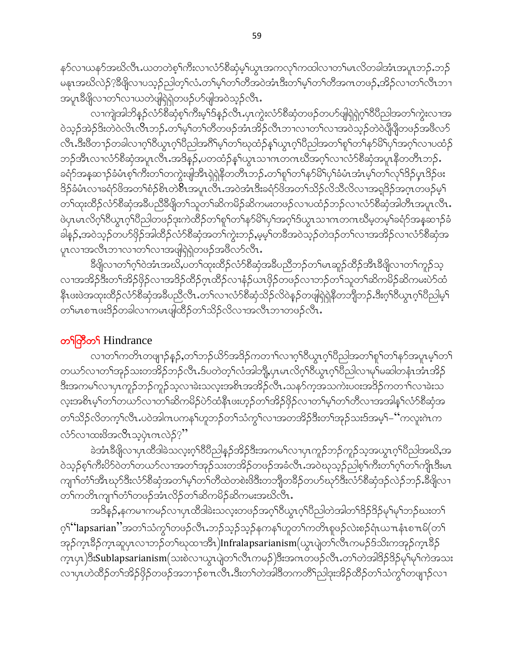န>်လၢယန>်အဃိလီၤႉယတတဲစ့ၫ်ကီးလၢလံ>်စီဆုံမ့ၫ်ယွၤအကလုၤ်ကထါလၢတၤ်မၤလိတခါအံၤအပူၤဘဉ်ႉဘဉ် မနၤအဃိလဲဉ်?နီဖြိုလၢပသူဉ်ညါတ့်ၫလံႉတ႑်မှ႞တ႑်တိအဝဲအံၤဒီးတ႑်မှ႞တ႑်တိအဂၤတဖဉ်ႇအိဉ်လၢတ႑်လီၤဘၤ အပူၤဒီဖြိုလၢတ႑်လၢယတဲဖျံရြဲရဲတဖဉ်ပာ်ဖျံအဝဲသူဉ်လီၤ.

လၫကျဲအါဘိန္ဉာ်လံာ်စိဆုံစ့ၫ်ကိဳးမ့ၫ်ဒ်န္ဉာ်လိၤႉပုၤက္ဂဲးလံာ်စိဆုံတဖဉ်တပာ်ဖျံရဲရဲဂ့ၫ်၀ိပိညါအတ႑်က္ဂဲးလ႑အ ဝဲသု့ဉ်အဲဉ်ဒိးတဲဝဲလိၤလိၤဘဉ်.တ<sup>ရု</sup>မှ<sup>ု</sup>တ႑်တိတဖဉ်အံၤအိဉ်လီၤဘၢလၢတ႑်လၢအဝဲသု့ဉ်တဲဝဲပျီပျီတဖဉ်အဖိလဉ် လီၤ.ဒီးဗီတ႑ာ်တခါလ႑ဂ္ဂါဝိယ္မ႑ဂ္ဂါဝိညါအဂ်ိါမ့္ပ်တ႑်ဃုထံဉ်န္ ါယ္ဇ႑ဂ္ဂါဝိညါအတ႑်စူ႑်တ႑်နာမိြပု႑်အဂ္ဂါလ႑ပထံဉ် ဘဉ်အီၤလၢလံာ်စီဆုံအပူၤလီၤအဒိန္ဉန,ပတထံဉ်နှၤ်ယွၤသၢဂၤတဂၤဃိအဂ္໋ါလၢလံာ်စီဆုံအပူၤနီတတိၤဘဉ်ႉ ခရံာ်အနအောဉ်ခံမံၤစ့<sup>၎</sup>ကီးတ<sup>၎</sup>တကွဲးဖျံအိၤရှဲရှဲနီတတိၤဘဉ်ႉတၢ်စူၫ်တၫ်နာ်မိၫ်ပုၫ်ခံမံၤအံၤမ့<sup>်</sup>၊တ<sup>၎ဌ</sup>ာ်ပုၤဒိဉ်ပုၤဒိဉ်ဖး 8ှ်ာ်မံၤလၢခရံှာ်ဖိအတၫ်စံဉ်စိၤတဲစိၤအပူၤလီၤ.အဝဲအံၤဒီးခရံှာ်ဖိအတ႑်သိဉ်လိုသိလိုလၤအရှုဒိဉ်အဂ္ဂၤတဖဉ်မှု၂ တၫ်ထုးထိဉ်လံာ်စီဆုံအခ်ဳပညီခ်ီဖျိတ႑်သူတ႑်ဆိကမိဉ်ဆိကမးတဖဉ်လ႑ပထံဉ်ဘဉ်လ႑လံာ်စီဆုံအါတိၤအပူၤလိၤ. ဖဲပှၤမၤလိဂ့်ၢဝိယွၤဂ့်ၢဝိညါတဖဉ်ဒုးကဲထိဉ်တ႑်စူၫ်တ႑်နှာမိ႑်ပှၤ်အဂ့ၤ်ဒ်ယွၤသၢဂၤတဂၤဃိမ့တမ့ၤ်ခရံာ်အန္**ဆ**႑ာ်ခံ ခါနဉ်,အဝဲသ့ဉ်တပာ်ဖိုဉ်အါထိဉ်လံာ်စီဆုံအတ႑်ကွဲးဘဉ်,မမ့္ပါတခ်ီအဝဲသ့ဉ်တဲဒဉ်တ႑်လ႑အအိဉ်လ႑လံာ်စီဆုံအ ပူးလၫအလီးဘၫလၫတၫ်လၫအဖျိရဲရှဲတဖဉ်အဖီလာ်လီး.

ခ်ိဳဖျိလၢတၫ်ဂ့ၫ်ဝဲအံၤအဃိႇပတ႑်ထုံးထိဉ်လံာ်စိဆုံအခ်ိဳပညီဘဉ်တ႑်မၤဆူဉ်ထိဉ်အိၤခ်ိဳဖျိလၢတ႑်ကူဉ်သ့ လၢအအိဉ်ဒီးတၫ်အိဉ်ဖှိဉ်လၢအဒိဉ်ထိဉ်ဂုၤထိဉ်လၢနံဉ်ယၤဖှိဉ်တဖဉ်လၢဘဉ်တ႑်သူတ႑်ဆိကမိဉ်ဆိကမးပဲဉ်ထံ နိုၤဖးဖဲအထုးထိဉ်လံာ်စိဆုံအခ်ဳပညီလိုၤတ႑်လၢလံာ်စိဆုံသိဉ်လိဝဲနဉ်တဖျါရဲရှဲနိုတဘျိဘဉ်.ဒီးဂ္႗ါ၀ိယ္ဂၤဂ္႗်ပြညါမ္႗ြ တၫ်မၤစ႑ာဖးဒိဉ်တခါလၫကမၤဖျါထိဉ်တ႑်သိဉ်လိလၢအလီၤဘၫတဖဉ်လီၤႉ

### တ<sup>ှ</sup>ကြီတ**်** Hindrance

လၢတၫ်ကတိၤတဖျၫဉ်နှဉ်,တၫ်ဘဉ်ယိဉ်အဒိဉ်ကတ႑ၢ်လၢဂ္ဂၢိဝိယ္စၤဂ္ဂၢိပိညါအတ႑်စူၫ်တ႑်နှဉ်အပူၤမ္န၊်တ႑် တယာ်လၢတၫ်အှဉ်သးတအိဉ်ဘဉ်လီၤ.ဒ်ပတဲတ့ၫ်လံအါဘို့,ပုၤမၤလိဂ္ဂၢိ၀ိယ္ဂၤဂ့ၢ်ပိညါလၢမှၢမဆါတနံၤအီးအိဉ် ဒီးအကမၢ်လၢပုၤကူဉ်ဘဉ်ကူဉ်သ့လၢခဲးသလုံးအစိၤအအိဉ်လီၤ.သန5်က့အသကဲးပဝးအဒိဉ်ကတ႑ၢ်လၢခဲးသ လူးအစိၤမှါတါတယာ်လၢတါဆိကမိဉ်ပဲာ်ထံနီၤဖးဟ့ဉ်တါအိဉ်ဖိုဉ်လၢတါမှါတါတီလၢအအါနှါလံာ်စီဆုံအ တၫ်သိဉ်လိတက့ၫ်လီၤ.ပဝဲအါဂၤပကန႑်ဟူဘဉ်တ႑်သံကွ႑်လၢအတအိဉ်ဒီးတ႑်အုဉ်သးဒ်အမှ႑်– ''ကလူးဂဲၤက လံာ်လၢထးဖိအလိၤသဲ့ပုံၤကလဲဉ်?"

ခဲအံၤဒီဖြိုလၢပုၤထိဒါခဲသလူးဂ္ဂါ၀ိပိညါန္ဉာ်အိဉ်ဒီးအကမၤ်လၢပှၤကူဉ်ဘဉ်ကူဉ်သ့အယွၤဂ့ၢိပိညါအဃိႇအ ဝဲသုဉ်စ့<sup>၎</sup>ကီးပိ5်ဝဲတ<sup>၎</sup>တယာ်လၢအတ<sup>၎</sup>အုဉ်သးတအိဉ်တဖဉ်အခံလိၤ<sup>့</sup>အဝဲဃုသုဉ်ညါစ့<sup>၎</sup>ကီးတ<sup>၎</sup>ဂ္ဂါတြကျို ဒီးမၤ ကျၫ်တံ်ုအီးဃှာ်ဒီးလံာ်စီဆုံအတ႑်မှု်တ႑်တိထဲတစဲးဖိဒီးတဘိုုတခ်ိဉ်တဟ်ဃှာ်ဒီးလံာ်စီဆုံဒဉ်လဲဉ်ဘဉ်.ခီဖြိုလ႑ တၫ်ကတိၤကျၫ်တံၫ်တဖဉ်အံၤလိဉ်တ႑်ဆိကမိဉ်ဆိကမးအဃိလီၤ.

အဒိန္ဉာ်,နကမၢကမဉ်လၢပုၤထိဒါခဲးသလ့းတဖဉ်အဂ္ဂါ၀ီယွၤဂ့ါပီညါတဲအါတ ်ဒိဉ်ဒိဉ်မှ မြာဘဉ်ဃးတ ်၊ ဂ့််ို**' lapsarian''**အတ်သံကွှာ်တဖဉ်လီၤ.ဘဉ်သ့ဉ်သ့ဉ်နကနဉ်ဟူတာ်ကတိၤစူဖဉ်လဲးစဉ်ရံၤယπနံၤစπမ်(တာ် အှဉ်က္ $\iota$ ဒိဉ်က္ $\iota$ ဆူပု $\iota$ လၢဘဉ်တၫ်ဃုထၢအိၤ $\iota$ Infralapsarianism $(\omega$ ပျဲတၫ်လီ $\iota$ ကမဉ်ဒ်သိးကအှဉ်ကဲ့ $\iota$ ဒိဉ် က္နာပုၤ)ဒီးSublapsarianism(သးစဲလၫယ္ဓၤပျဲတ႑်လီၤကမဉ်)ဒီးအဂၤတဖဉ်လီၤ.တ႑်တဲအါဒိဉ်ဒိဉ်မှ႑်မှၫ်ကဲအသး လၢပုၤဟဲထိဉ်တၫ်အိဉ်ဖိုဉ်တဖဉ်အဘ႑ာ်စπလီၤ.ဒီးတ႑်တဲအါဒီတကတိႝ႞ညါဒုးအိဉ်ထိဉ်တ႑်သံကွ႑်တဖျ႑ာ်လ႑